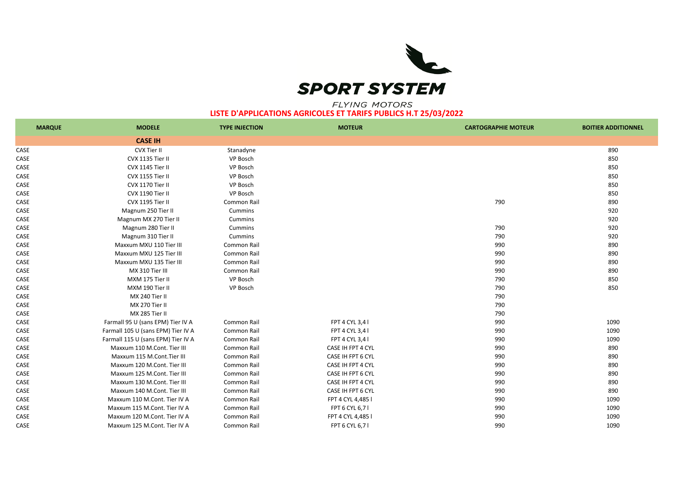## **SPORT SYSTEM**

## **FLYING MOTORS**

## **LISTE D'APPLICATIONS AGRICOLES ET TARIFS PUBLICS H.T 25/03/2022**

| <b>MARQUE</b> | <b>MODELE</b>                      | <b>TYPE INJECTION</b> | <b>MOTEUR</b>     | <b>CARTOGRAPHIE MOTEUR</b> | <b>BOITIER ADDITIONNEL</b> |
|---------------|------------------------------------|-----------------------|-------------------|----------------------------|----------------------------|
|               | <b>CASE IH</b>                     |                       |                   |                            |                            |
| CASE          | CVX Tier II                        | Stanadyne             |                   |                            | 890                        |
| CASE          | CVX 1135 Tier II                   | VP Bosch              |                   |                            | 850                        |
| CASE          | CVX 1145 Tier II                   | VP Bosch              |                   |                            | 850                        |
| CASE          | CVX 1155 Tier II                   | VP Bosch              |                   |                            | 850                        |
| CASE          | CVX 1170 Tier II                   | VP Bosch              |                   |                            | 850                        |
| CASE          | CVX 1190 Tier II                   | VP Bosch              |                   |                            | 850                        |
| CASE          | CVX 1195 Tier II                   | Common Rail           |                   | 790                        | 890                        |
| CASE          | Magnum 250 Tier II                 | Cummins               |                   |                            | 920                        |
| CASE          | Magnum MX 270 Tier II              | Cummins               |                   |                            | 920                        |
| CASE          | Magnum 280 Tier II                 | Cummins               |                   | 790                        | 920                        |
| CASE          | Magnum 310 Tier II                 | Cummins               |                   | 790                        | 920                        |
| CASE          | Maxxum MXU 110 Tier III            | Common Rail           |                   | 990                        | 890                        |
| CASE          | Maxxum MXU 125 Tier III            | Common Rail           |                   | 990                        | 890                        |
| CASE          | Maxxum MXU 135 Tier III            | Common Rail           |                   | 990                        | 890                        |
| CASE          | MX 310 Tier III                    | Common Rail           |                   | 990                        | 890                        |
| CASE          | MXM 175 Tier II                    | VP Bosch              |                   | 790                        | 850                        |
| CASE          | MXM 190 Tier II                    | VP Bosch              |                   | 790                        | 850                        |
| CASE          | MX 240 Tier II                     |                       |                   | 790                        |                            |
| CASE          | MX 270 Tier II                     |                       |                   | 790                        |                            |
| CASE          | MX 285 Tier II                     |                       |                   | 790                        |                            |
| CASE          | Farmall 95 U (sans EPM) Tier IV A  | Common Rail           | FPT 4 CYL 3,4 I   | 990                        | 1090                       |
| CASE          | Farmall 105 U (sans EPM) Tier IV A | Common Rail           | FPT 4 CYL 3,4 I   | 990                        | 1090                       |
| CASE          | Farmall 115 U (sans EPM) Tier IV A | Common Rail           | FPT 4 CYL 3,4 I   | 990                        | 1090                       |
| CASE          | Maxxum 110 M.Cont. Tier III        | Common Rail           | CASE IH FPT 4 CYL | 990                        | 890                        |
| CASE          | Maxxum 115 M.Cont.Tier III         | Common Rail           | CASE IH FPT 6 CYL | 990                        | 890                        |
| CASE          | Maxxum 120 M.Cont. Tier III        | Common Rail           | CASE IH FPT 4 CYL | 990                        | 890                        |
| CASE          | Maxxum 125 M.Cont. Tier III        | Common Rail           | CASE IH FPT 6 CYL | 990                        | 890                        |
| CASE          | Maxxum 130 M.Cont. Tier III        | Common Rail           | CASE IH FPT 4 CYL | 990                        | 890                        |
| CASE          | Maxxum 140 M.Cont. Tier III        | Common Rail           | CASE IH FPT 6 CYL | 990                        | 890                        |
| CASE          | Maxxum 110 M.Cont. Tier IV A       | Common Rail           | FPT 4 CYL 4,485 I | 990                        | 1090                       |
| CASE          | Maxxum 115 M.Cont. Tier IV A       | Common Rail           | FPT 6 CYL 6,7 I   | 990                        | 1090                       |
| CASE          | Maxxum 120 M.Cont. Tier IV A       | Common Rail           | FPT 4 CYL 4,485 I | 990                        | 1090                       |
| CASE          | Maxxum 125 M.Cont. Tier IV A       | Common Rail           | FPT 6 CYL 6,7 I   | 990                        | 1090                       |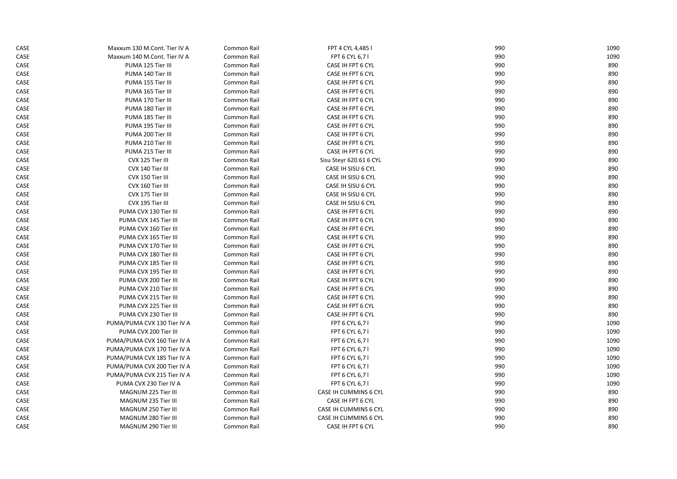| CASE | Maxxum 130 M.Cont. Tier IV A | Common Rail | FPT 4 CYL 4,485 I       | 990 | 1090 |
|------|------------------------------|-------------|-------------------------|-----|------|
| CASE | Maxxum 140 M.Cont. Tier IV A | Common Rail | FPT 6 CYL 6,7 I         | 990 | 1090 |
| CASE | PUMA 125 Tier III            | Common Rail | CASE IH FPT 6 CYL       | 990 | 890  |
| CASE | PUMA 140 Tier III            | Common Rail | CASE IH FPT 6 CYL       | 990 | 890  |
| CASE | PUMA 155 Tier III            | Common Rail | CASE IH FPT 6 CYL       | 990 | 890  |
| CASE | PUMA 165 Tier III            | Common Rail | CASE IH FPT 6 CYL       | 990 | 890  |
| CASE | PUMA 170 Tier III            | Common Rail | CASE IH FPT 6 CYL       | 990 | 890  |
| CASE | PUMA 180 Tier III            | Common Rail | CASE IH FPT 6 CYL       | 990 | 890  |
| CASE | PUMA 185 Tier III            | Common Rail | CASE IH FPT 6 CYL       | 990 | 890  |
| CASE | PUMA 195 Tier III            | Common Rail | CASE IH FPT 6 CYL       | 990 | 890  |
| CASE | PUMA 200 Tier III            | Common Rail | CASE IH FPT 6 CYL       | 990 | 890  |
| CASE | PUMA 210 Tier III            | Common Rail | CASE IH FPT 6 CYL       | 990 | 890  |
| CASE | PUMA 215 Tier III            | Common Rail | CASE IH FPT 6 CYL       | 990 | 890  |
| CASE | CVX 125 Tier III             | Common Rail | Sisu Steyr 620.61 6 CYL | 990 | 890  |
| CASE | CVX 140 Tier III             | Common Rail | CASE IH SISU 6 CYL      | 990 | 890  |
| CASE | CVX 150 Tier III             | Common Rail | CASE IH SISU 6 CYL      | 990 | 890  |
| CASE | CVX 160 Tier III             | Common Rail | CASE IH SISU 6 CYL      | 990 | 890  |
| CASE | CVX 175 Tier III             | Common Rail | CASE IH SISU 6 CYL      | 990 | 890  |
| CASE | CVX 195 Tier III             | Common Rail | CASE IH SISU 6 CYL      | 990 | 890  |
| CASE | PUMA CVX 130 Tier III        | Common Rail | CASE IH FPT 6 CYL       | 990 | 890  |
| CASE | PUMA CVX 145 Tier III        | Common Rail | CASE IH FPT 6 CYL       | 990 | 890  |
| CASE | PUMA CVX 160 Tier III        | Common Rail | CASE IH FPT 6 CYL       | 990 | 890  |
| CASE | PUMA CVX 165 Tier III        | Common Rail | CASE IH FPT 6 CYL       | 990 | 890  |
| CASE | PUMA CVX 170 Tier III        | Common Rail | CASE IH FPT 6 CYL       | 990 | 890  |
| CASE | PUMA CVX 180 Tier III        | Common Rail | CASE IH FPT 6 CYL       | 990 | 890  |
| CASE | PUMA CVX 185 Tier III        | Common Rail | CASE IH FPT 6 CYL       | 990 | 890  |
| CASE | PUMA CVX 195 Tier III        | Common Rail | CASE IH FPT 6 CYL       | 990 | 890  |
| CASE | PUMA CVX 200 Tier III        | Common Rail | CASE IH FPT 6 CYL       | 990 | 890  |
| CASE | PUMA CVX 210 Tier III        | Common Rail | CASE IH FPT 6 CYL       | 990 | 890  |
| CASE | PUMA CVX 215 Tier III        | Common Rail | CASE IH FPT 6 CYL       | 990 | 890  |
| CASE | PUMA CVX 225 Tier III        | Common Rail | CASE IH FPT 6 CYL       | 990 | 890  |
| CASE | PUMA CVX 230 Tier III        | Common Rail | CASE IH FPT 6 CYL       | 990 | 890  |
| CASE | PUMA/PUMA CVX 130 Tier IV A  | Common Rail | FPT 6 CYL 6,7 l         | 990 | 1090 |
| CASE | PUMA CVX 200 Tier III        | Common Rail | FPT 6 CYL 6,7 l         | 990 | 1090 |
| CASE | PUMA/PUMA CVX 160 Tier IV A  | Common Rail | FPT 6 CYL 6,7 I         | 990 | 1090 |
| CASE | PUMA/PUMA CVX 170 Tier IV A  | Common Rail | FPT 6 CYL 6,7 I         | 990 | 1090 |
| CASE | PUMA/PUMA CVX 185 Tier IV A  | Common Rail | FPT 6 CYL 6,7 I         | 990 | 1090 |
| CASE | PUMA/PUMA CVX 200 Tier IV A  | Common Rail | FPT 6 CYL 6,7 I         | 990 | 1090 |
| CASE | PUMA/PUMA CVX 215 Tier IV A  | Common Rail | FPT 6 CYL 6,7 I         | 990 | 1090 |
| CASE | PUMA CVX 230 Tier IV A       | Common Rail | FPT 6 CYL 6,7 I         | 990 | 1090 |
| CASE | MAGNUM 225 Tier III          | Common Rail | CASE IH CUMMINS 6 CYL   | 990 | 890  |
| CASE | MAGNUM 235 Tier III          | Common Rail | CASE IH FPT 6 CYL       | 990 | 890  |
| CASE | MAGNUM 250 Tier III          | Common Rail | CASE IH CUMMINS 6 CYL   | 990 | 890  |
| CASE | MAGNUM 280 Tier III          | Common Rail | CASE IH CUMMINS 6 CYL   | 990 | 890  |
| CASE | MAGNUM 290 Tier III          | Common Rail | CASE IH FPT 6 CYL       | 990 | 890  |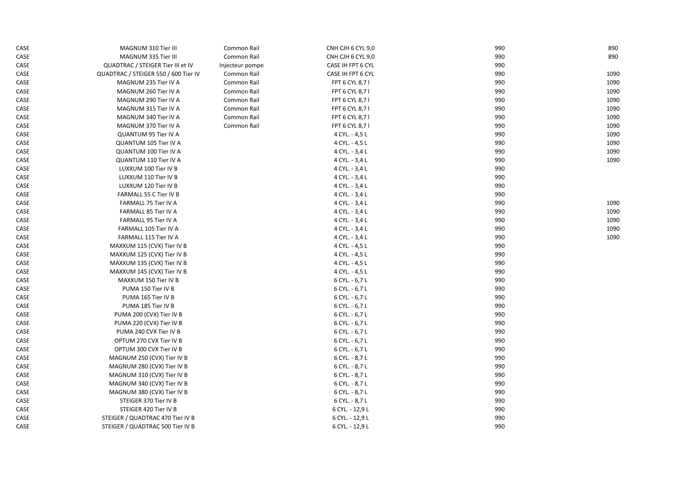| CASE | MAGNUM 310 Tier III                  | Common Rail     | CNH CJH 6 CYL 9,0     | 990 | 890  |
|------|--------------------------------------|-----------------|-----------------------|-----|------|
| CASE | MAGNUM 335 Tier III                  | Common Rail     | CNH CJH 6 CYL 9,0     | 990 | 890  |
| CASE | QUADTRAC / STEIGER Tier III et IV    | Injecteur pompe | CASE IH FPT 6 CYL     | 990 |      |
| CASE | QUADTRAC / STEIGER 550 / 600 Tier IV | Common Rail     | CASE IH FPT 6 CYL     | 990 | 1090 |
| CASE | MAGNUM 235 Tier IV A                 | Common Rail     | FPT 6 CYL 8,7 I       | 990 | 1090 |
| CASE | MAGNUM 260 Tier IV A                 | Common Rail     | FPT 6 CYL 8,7 I       | 990 | 1090 |
| CASE | MAGNUM 290 Tier IV A                 | Common Rail     | <b>FPT 6 CYL 8,71</b> | 990 | 1090 |
| CASE | MAGNUM 315 Tier IV A                 | Common Rail     | FPT 6 CYL 8,71        | 990 | 1090 |
| CASE | MAGNUM 340 Tier IV A                 | Common Rail     | <b>FPT 6 CYL 8,71</b> | 990 | 1090 |
| CASE | MAGNUM 370 Tier IV A                 | Common Rail     | FPT 6 CYL 8,7 I       | 990 | 1090 |
| CASE | QUANTUM 95 Tier IV A                 |                 | 4 CYL. - 4,5 L        | 990 | 1090 |
| CASE | <b>QUANTUM 105 Tier IV A</b>         |                 | 4 CYL. - 4,5 L        | 990 | 1090 |
| CASE | QUANTUM 100 Tier IV A                |                 | 4 CYL. - 3,4 L        | 990 | 1090 |
| CASE | <b>QUANTUM 110 Tier IV A</b>         |                 | 4 CYL. - 3,4 L        | 990 | 1090 |
| CASE | LUXXUM 100 Tier IV B                 |                 | 4 CYL. - 3,4 L        | 990 |      |
| CASE | LUXXUM 110 Tier IV B                 |                 | 4 CYL. - 3,4 L        | 990 |      |
| CASE | LUXXUM 120 Tier IV B                 |                 | 4 CYL. - 3,4 L        | 990 |      |
| CASE | FARMALL 55 C Tier IV B               |                 | 4 CYL. - 3,4 L        | 990 |      |
| CASE | FARMALL 75 Tier IV A                 |                 | 4 CYL. - 3,4 L        | 990 | 1090 |
| CASE | FARMALL 85 Tier IV A                 |                 | 4 CYL. - 3,4 L        | 990 | 1090 |
| CASE | FARMALL 95 Tier IV A                 |                 | 4 CYL. - 3,4 L        | 990 | 1090 |
| CASE | FARMALL 105 Tier IV A                |                 | 4 CYL. - 3,4 L        | 990 | 1090 |
| CASE | FARMALL 115 Tier IV A                |                 | 4 CYL. - 3,4 L        | 990 | 1090 |
| CASE | MAXXUM 115 (CVX) Tier IV B           |                 | 4 CYL. - 4,5 L        | 990 |      |
| CASE | MAXXUM 125 (CVX) Tier IV B           |                 | 4 CYL. - 4,5 L        | 990 |      |
| CASE | MAXXUM 135 (CVX) Tier IV B           |                 | 4 CYL. - 4,5 L        | 990 |      |
| CASE | MAXXUM 145 (CVX) Tier IV B           |                 | 4 CYL. - 4,5 L        | 990 |      |
| CASE | MAXXUM 150 Tier IV B                 |                 | 6 CYL. - 6,7 L        | 990 |      |
| CASE | PUMA 150 Tier IV B                   |                 | 6 CYL. - 6,7 L        | 990 |      |
| CASE | PUMA 165 Tier IV B                   |                 | 6 CYL. - 6,7 L        | 990 |      |
| CASE | PUMA 185 Tier IV B                   |                 | 6 CYL. - 6,7 L        | 990 |      |
| CASE | PUMA 200 (CVX) Tier IV B             |                 | 6 CYL. - 6,7 L        | 990 |      |
| CASE | PUMA 220 (CVX) Tier IV B             |                 | 6 CYL. - 6,7 L        | 990 |      |
| CASE | PUMA 240 CVX Tier IV B               |                 | 6 CYL. - 6,7 L        | 990 |      |
| CASE | OPTUM 270 CVX Tier IV B              |                 | 6 CYL. - 6,7 L        | 990 |      |
| CASE | OPTUM 300 CVX Tier IV B              |                 | 6 CYL. - 6,7 L        | 990 |      |
| CASE | MAGNUM 250 (CVX) Tier IV B           |                 | 6 CYL. - 8,7 L        | 990 |      |
| CASE | MAGNUM 280 (CVX) Tier IV B           |                 | 6 CYL. - 8,7 L        | 990 |      |
| CASE | MAGNUM 310 (CVX) Tier IV B           |                 | 6 CYL. - 8,7 L        | 990 |      |
| CASE | MAGNUM 340 (CVX) Tier IV B           |                 | 6 CYL. - 8,7 L        | 990 |      |
| CASE | MAGNUM 380 (CVX) Tier IV B           |                 | 6 CYL. - 8,7 L        | 990 |      |
| CASE | STEIGER 370 Tier IV B                |                 | 6 CYL. - 8,7 L        | 990 |      |
| CASE | STEIGER 420 Tier IV B                |                 | 6 CYL. - 12,9 L       | 990 |      |
| CASE | STEIGER / QUADTRAC 470 Tier IV B     |                 | 6 CYL. - 12,9 L       | 990 |      |
| CASE | STEIGER / QUADTRAC 500 Tier IV B     |                 | 6 CYL. - 12,9 L       | 990 |      |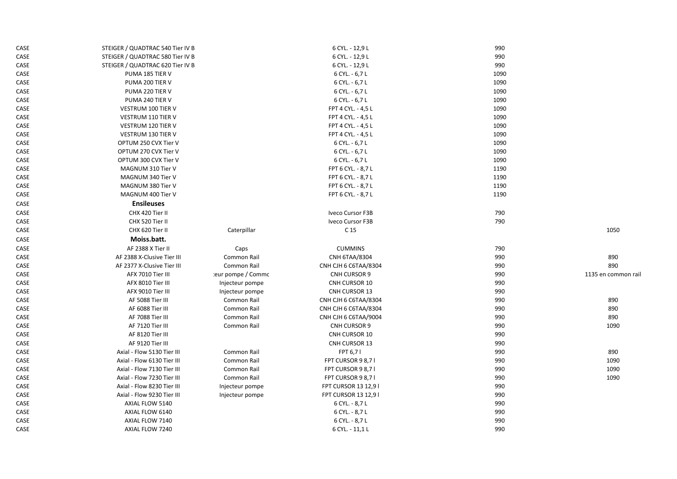| CASE | STEIGER / QUADTRAC 540 Tier IV B |                    | 6 CYL. - 12,9 L      | 990  |                     |
|------|----------------------------------|--------------------|----------------------|------|---------------------|
| CASE | STEIGER / QUADTRAC 580 Tier IV B |                    | 6 CYL. - 12,9 L      | 990  |                     |
| CASE | STEIGER / QUADTRAC 620 Tier IV B |                    | 6 CYL. - 12,9 L      | 990  |                     |
| CASE | PUMA 185 TIER V                  |                    | 6 CYL. - 6,7 L       | 1090 |                     |
| CASE | PUMA 200 TIER V                  |                    | 6 CYL. - 6,7 L       | 1090 |                     |
| CASE | PUMA 220 TIER V                  |                    | 6 CYL. - 6,7 L       | 1090 |                     |
| CASE | PUMA 240 TIER V                  |                    | 6 CYL. - 6,7 L       | 1090 |                     |
| CASE | VESTRUM 100 TIER V               |                    | FPT 4 CYL. - 4,5 L   | 1090 |                     |
| CASE | VESTRUM 110 TIER V               |                    | FPT 4 CYL. - 4,5 L   | 1090 |                     |
| CASE | VESTRUM 120 TIER V               |                    | FPT 4 CYL. - 4,5 L   | 1090 |                     |
| CASE | VESTRUM 130 TIER V               |                    | FPT 4 CYL. - 4,5 L   | 1090 |                     |
| CASE | OPTUM 250 CVX Tier V             |                    | 6 CYL. - 6,7 L       | 1090 |                     |
| CASE | OPTUM 270 CVX Tier V             |                    | 6 CYL. - 6,7 L       | 1090 |                     |
| CASE | OPTUM 300 CVX Tier V             |                    | 6 CYL. - 6,7 L       | 1090 |                     |
| CASE | MAGNUM 310 Tier V                |                    | FPT 6 CYL. - 8,7 L   | 1190 |                     |
| CASE | MAGNUM 340 Tier V                |                    | FPT 6 CYL. - 8,7 L   | 1190 |                     |
| CASE | MAGNUM 380 Tier V                |                    | FPT 6 CYL. - 8,7 L   | 1190 |                     |
| CASE | MAGNUM 400 Tier V                |                    | FPT 6 CYL. - 8,7 L   | 1190 |                     |
| CASE | <b>Ensileuses</b>                |                    |                      |      |                     |
| CASE | CHX 420 Tier II                  |                    | Iveco Cursor F3B     | 790  |                     |
| CASE | CHX 520 Tier II                  |                    | Iveco Cursor F3B     | 790  |                     |
| CASE | CHX 620 Tier II                  | Caterpillar        | C 15                 |      | 1050                |
| CASE | Moiss.batt.                      |                    |                      |      |                     |
| CASE | AF 2388 X Tier II                | Caps               | <b>CUMMINS</b>       | 790  |                     |
| CASE | AF 2388 X-Clusive Tier III       | Common Rail        | CNH 6TAA/8304        | 990  | 890                 |
| CASE | AF 2377 X-Clusive Tier III       | Common Rail        | CNH CJH 6 C6TAA/8304 | 990  | 890                 |
| CASE | AFX 7010 Tier III                | :eur pompe / Commc | CNH CURSOR 9         | 990  | 1135 en common rail |
| CASE | AFX 8010 Tier III                | Injecteur pompe    | CNH CURSOR 10        | 990  |                     |
| CASE | AFX 9010 Tier III                | Injecteur pompe    | CNH CURSOR 13        | 990  |                     |
| CASE | AF 5088 Tier III                 | Common Rail        | CNH CJH 6 C6TAA/8304 | 990  | 890                 |
| CASE | AF 6088 Tier III                 | Common Rail        | CNH CJH 6 C6TAA/8304 | 990  | 890                 |
| CASE | AF 7088 Tier III                 | Common Rail        | CNH CJH 6 C6TAA/9004 | 990  | 890                 |
| CASE | AF 7120 Tier III                 | Common Rail        | CNH CURSOR 9         | 990  | 1090                |
| CASE | AF 8120 Tier III                 |                    | CNH CURSOR 10        | 990  |                     |
| CASE | AF 9120 Tier III                 |                    | CNH CURSOR 13        | 990  |                     |
| CASE | Axial - Flow 5130 Tier III       | Common Rail        | FPT 6,71             | 990  | 890                 |
| CASE | Axial - Flow 6130 Tier III       | Common Rail        | FPT CURSOR 9 8,71    | 990  | 1090                |
| CASE | Axial - Flow 7130 Tier III       | Common Rail        | FPT CURSOR 9 8,71    | 990  | 1090                |
| CASE | Axial - Flow 7230 Tier III       | Common Rail        | FPT CURSOR 9 8,71    | 990  | 1090                |
| CASE | Axial - Flow 8230 Tier III       | Injecteur pompe    | FPT CURSOR 13 12,91  | 990  |                     |
| CASE | Axial - Flow 9230 Tier III       | Injecteur pompe    | FPT CURSOR 13 12,91  | 990  |                     |
| CASE | AXIAL FLOW 5140                  |                    | 6 CYL. - 8,7 L       | 990  |                     |
| CASE | AXIAL FLOW 6140                  |                    | 6 CYL. - 8,7 L       | 990  |                     |
| CASE | AXIAL FLOW 7140                  |                    | 6 CYL. - 8,7 L       | 990  |                     |
| CASE | AXIAL FLOW 7240                  |                    | 6 CYL. - 11,1 L      | 990  |                     |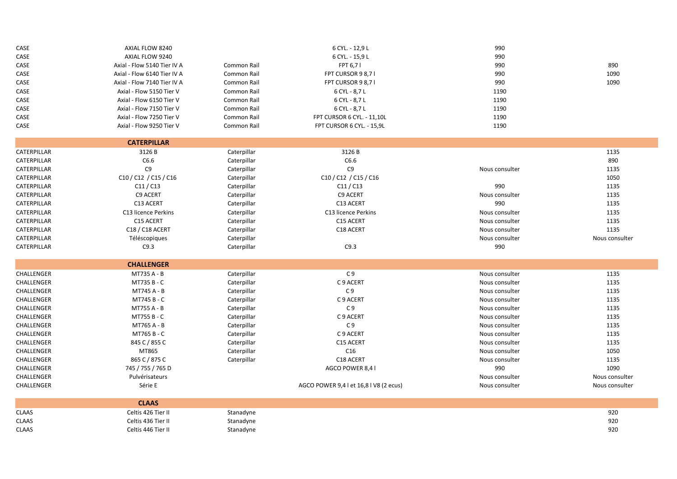| CASE                     | AXIAL FLOW 8240             |             | 6 CYL. - 12,9 L                        | 990            |                |
|--------------------------|-----------------------------|-------------|----------------------------------------|----------------|----------------|
| CASE                     | AXIAL FLOW 9240             |             | 6 CYL. - 15,9 L                        | 990            |                |
| CASE                     | Axial - Flow 5140 Tier IV A | Common Rail | FPT 6,71                               | 990            | 890            |
| CASE                     | Axial - Flow 6140 Tier IV A | Common Rail | FPT CURSOR 9 8,71                      | 990            | 1090           |
| CASE                     | Axial - Flow 7140 Tier IV A | Common Rail | FPT CURSOR 9 8,71                      | 990            | 1090           |
| CASE                     | Axial - Flow 5150 Tier V    | Common Rail | 6 CYL - 8,7 L                          | 1190           |                |
| CASE                     | Axial - Flow 6150 Tier V    | Common Rail | 6 CYL - 8,7 L                          | 1190           |                |
| CASE                     | Axial - Flow 7150 Tier V    | Common Rail | 6 CYL - 8,7 L                          | 1190           |                |
| CASE                     | Axial - Flow 7250 Tier V    | Common Rail | FPT CURSOR 6 CYL. - 11,10L             | 1190           |                |
| CASE                     | Axial - Flow 9250 Tier V    | Common Rail | FPT CURSOR 6 CYL. - 15,9L              | 1190           |                |
|                          | <b>CATERPILLAR</b>          |             |                                        |                |                |
| CATERPILLAR              | 3126 B                      | Caterpillar | 3126 B                                 |                | 1135           |
| CATERPILLAR              | C6.6                        | Caterpillar | C6.6                                   |                | 890            |
| CATERPILLAR              | C <sub>9</sub>              | Caterpillar | C <sub>9</sub>                         | Nous consulter | 1135           |
| CATERPILLAR              | C10 / C12 / C15 / C16       | Caterpillar | C10 / C12 / C15 / C16                  |                | 1050           |
| CATERPILLAR              | C11/C13                     | Caterpillar | C11 / C13                              | 990            | 1135           |
| CATERPILLAR              | C9 ACERT                    | Caterpillar | C9 ACERT                               | Nous consulter | 1135           |
| CATERPILLAR              | C13 ACERT                   | Caterpillar | C13 ACERT                              | 990            | 1135           |
| CATERPILLAR              | C13 licence Perkins         | Caterpillar | C13 licence Perkins                    | Nous consulter | 1135           |
| CATERPILLAR              | C15 ACERT                   | Caterpillar | C15 ACERT                              | Nous consulter | 1135           |
| CATERPILLAR              | C18 / C18 ACERT             | Caterpillar | C18 ACERT                              | Nous consulter | 1135           |
| CATERPILLAR              | Téléscopiques               | Caterpillar |                                        | Nous consulter | Nous consulter |
|                          |                             |             |                                        |                |                |
| CATERPILLAR              | C9.3                        | Caterpillar | C9.3                                   | 990            |                |
|                          |                             |             |                                        |                |                |
|                          | <b>CHALLENGER</b>           |             |                                        |                |                |
| CHALLENGER               | MT735 A - B                 | Caterpillar | C <sub>9</sub>                         | Nous consulter | 1135           |
| CHALLENGER               | MT735 B - C                 | Caterpillar | C 9 ACERT                              | Nous consulter | 1135           |
| CHALLENGER               | MT745 A - B                 | Caterpillar | C <sub>9</sub>                         | Nous consulter | 1135           |
| CHALLENGER               | MT745 B - C                 | Caterpillar | C 9 ACERT                              | Nous consulter | 1135           |
| CHALLENGER               | MT755 A - B                 | Caterpillar | C <sub>9</sub>                         | Nous consulter | 1135           |
| CHALLENGER               | MT755 B - C                 | Caterpillar | C 9 ACERT                              | Nous consulter | 1135           |
| CHALLENGER               | MT765 A - B                 | Caterpillar | C <sub>9</sub>                         | Nous consulter | 1135           |
| CHALLENGER               | MT765 B - C                 | Caterpillar | C 9 ACERT                              | Nous consulter | 1135           |
| CHALLENGER               | 845 C / 855 C               | Caterpillar | C15 ACERT                              | Nous consulter | 1135           |
| CHALLENGER               | MT865                       | Caterpillar | C16                                    | Nous consulter | 1050           |
| CHALLENGER               | 865 C / 875 C               | Caterpillar | C18 ACERT                              | Nous consulter | 1135           |
| CHALLENGER               | 745 / 755 / 765 D           |             | AGCO POWER 8,4 I                       | 990            | 1090           |
|                          | Pulvérisateurs              |             |                                        | Nous consulter | Nous consulter |
| CHALLENGER<br>CHALLENGER | Série E                     |             | AGCO POWER 9,4 l et 16,8 l V8 (2 ecus) | Nous consulter | Nous consulter |
|                          | <b>CLAAS</b>                |             |                                        |                |                |
| CLAAS                    | Celtis 426 Tier II          | Stanadyne   |                                        |                | 920            |
| <b>CLAAS</b>             | Celtis 436 Tier II          | Stanadyne   |                                        |                | 920            |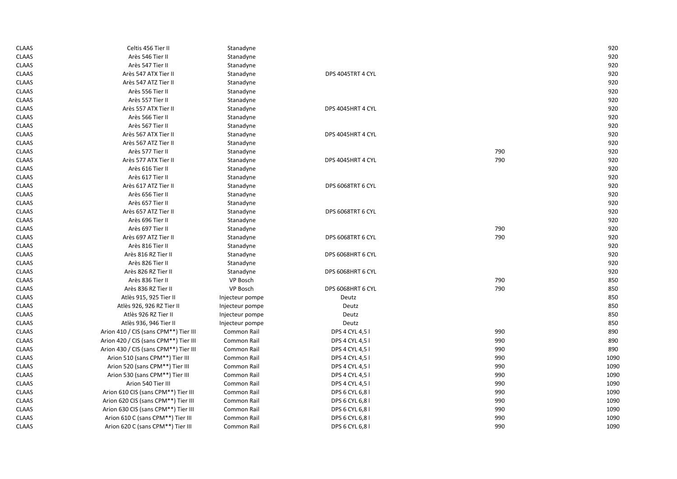| <b>CLAAS</b><br>Arès 546 Tier II<br>Stanadyne<br><b>CLAAS</b><br>Arès 547 Tier II<br>Stanadyne<br><b>CLAAS</b><br>Arès 547 ATX Tier II<br>Stanadyne<br>DPS 4045TRT 4 CYL<br><b>CLAAS</b><br>Arès 547 ATZ Tier II<br>Stanadyne<br><b>CLAAS</b><br>Arès 556 Tier II<br>Stanadyne<br><b>CLAAS</b><br>Arès 557 Tier II<br>Stanadyne<br><b>CLAAS</b><br>Arès 557 ATX Tier II<br>DPS 4045HRT 4 CYL<br>Stanadyne<br>Arès 566 Tier II<br><b>CLAAS</b><br>Stanadyne<br><b>CLAAS</b><br>Arès 567 Tier II<br>Stanadyne<br><b>CLAAS</b><br>Arès 567 ATX Tier II<br>Stanadyne<br>DPS 4045HRT 4 CYL<br><b>CLAAS</b><br>Arès 567 ATZ Tier II<br>Stanadyne | 920<br>920<br>920<br>920<br>920<br>920<br>920<br>920<br>920<br>920 |
|--------------------------------------------------------------------------------------------------------------------------------------------------------------------------------------------------------------------------------------------------------------------------------------------------------------------------------------------------------------------------------------------------------------------------------------------------------------------------------------------------------------------------------------------------------------------------------------------------------------------------------------------|--------------------------------------------------------------------|
|                                                                                                                                                                                                                                                                                                                                                                                                                                                                                                                                                                                                                                            |                                                                    |
|                                                                                                                                                                                                                                                                                                                                                                                                                                                                                                                                                                                                                                            |                                                                    |
|                                                                                                                                                                                                                                                                                                                                                                                                                                                                                                                                                                                                                                            |                                                                    |
|                                                                                                                                                                                                                                                                                                                                                                                                                                                                                                                                                                                                                                            |                                                                    |
|                                                                                                                                                                                                                                                                                                                                                                                                                                                                                                                                                                                                                                            |                                                                    |
|                                                                                                                                                                                                                                                                                                                                                                                                                                                                                                                                                                                                                                            |                                                                    |
|                                                                                                                                                                                                                                                                                                                                                                                                                                                                                                                                                                                                                                            |                                                                    |
|                                                                                                                                                                                                                                                                                                                                                                                                                                                                                                                                                                                                                                            |                                                                    |
|                                                                                                                                                                                                                                                                                                                                                                                                                                                                                                                                                                                                                                            |                                                                    |
|                                                                                                                                                                                                                                                                                                                                                                                                                                                                                                                                                                                                                                            |                                                                    |
|                                                                                                                                                                                                                                                                                                                                                                                                                                                                                                                                                                                                                                            | 920                                                                |
| 790<br><b>CLAAS</b><br>Arès 577 Tier II<br>Stanadyne                                                                                                                                                                                                                                                                                                                                                                                                                                                                                                                                                                                       | 920                                                                |
| <b>CLAAS</b><br>Arès 577 ATX Tier II<br>DPS 4045HRT 4 CYL<br>790<br>Stanadyne                                                                                                                                                                                                                                                                                                                                                                                                                                                                                                                                                              | 920                                                                |
| <b>CLAAS</b><br>Arès 616 Tier II<br>Stanadyne                                                                                                                                                                                                                                                                                                                                                                                                                                                                                                                                                                                              | 920                                                                |
| <b>CLAAS</b><br>Arès 617 Tier II<br>Stanadyne                                                                                                                                                                                                                                                                                                                                                                                                                                                                                                                                                                                              | 920                                                                |
| <b>CLAAS</b><br>Arès 617 ATZ Tier II<br>Stanadyne<br>DPS 6068TRT 6 CYL                                                                                                                                                                                                                                                                                                                                                                                                                                                                                                                                                                     | 920                                                                |
| Arès 656 Tier II<br><b>CLAAS</b><br>Stanadyne                                                                                                                                                                                                                                                                                                                                                                                                                                                                                                                                                                                              | 920                                                                |
| <b>CLAAS</b><br>Arès 657 Tier II<br>Stanadyne                                                                                                                                                                                                                                                                                                                                                                                                                                                                                                                                                                                              | 920                                                                |
| <b>CLAAS</b><br>Arès 657 ATZ Tier II<br>Stanadyne<br>DPS 6068TRT 6 CYL                                                                                                                                                                                                                                                                                                                                                                                                                                                                                                                                                                     | 920                                                                |
| Arès 696 Tier II<br><b>CLAAS</b><br>Stanadyne                                                                                                                                                                                                                                                                                                                                                                                                                                                                                                                                                                                              | 920                                                                |
| <b>CLAAS</b><br>Arès 697 Tier II<br>790<br>Stanadyne                                                                                                                                                                                                                                                                                                                                                                                                                                                                                                                                                                                       | 920                                                                |
| 790<br><b>CLAAS</b><br>Arès 697 ATZ Tier II<br>DPS 6068TRT 6 CYL<br>Stanadyne                                                                                                                                                                                                                                                                                                                                                                                                                                                                                                                                                              | 920                                                                |
| Arès 816 Tier II<br><b>CLAAS</b><br>Stanadyne                                                                                                                                                                                                                                                                                                                                                                                                                                                                                                                                                                                              | 920                                                                |
| <b>CLAAS</b><br>Arès 816 RZ Tier II<br>Stanadyne<br>DPS 6068HRT 6 CYL                                                                                                                                                                                                                                                                                                                                                                                                                                                                                                                                                                      | 920                                                                |
| <b>CLAAS</b><br>Arès 826 Tier II<br>Stanadyne                                                                                                                                                                                                                                                                                                                                                                                                                                                                                                                                                                                              | 920                                                                |
| Arès 826 RZ Tier II<br><b>CLAAS</b><br>Stanadyne<br>DPS 6068HRT 6 CYL                                                                                                                                                                                                                                                                                                                                                                                                                                                                                                                                                                      | 920                                                                |
| VP Bosch<br>790<br><b>CLAAS</b><br>Arès 836 Tier II                                                                                                                                                                                                                                                                                                                                                                                                                                                                                                                                                                                        | 850                                                                |
| Arès 836 RZ Tier II<br>VP Bosch<br>DPS 6068HRT 6 CYL<br>790<br><b>CLAAS</b>                                                                                                                                                                                                                                                                                                                                                                                                                                                                                                                                                                | 850                                                                |
| Atlès 915, 925 Tier II<br><b>CLAAS</b><br>Deutz<br>Injecteur pompe                                                                                                                                                                                                                                                                                                                                                                                                                                                                                                                                                                         | 850                                                                |
| <b>CLAAS</b><br>Atlès 926, 926 RZ Tier II<br>Injecteur pompe<br>Deutz                                                                                                                                                                                                                                                                                                                                                                                                                                                                                                                                                                      | 850                                                                |
| Atlès 926 RZ Tier II<br><b>CLAAS</b><br>Deutz<br>Injecteur pompe                                                                                                                                                                                                                                                                                                                                                                                                                                                                                                                                                                           | 850                                                                |
| <b>CLAAS</b><br>Atlès 936, 946 Tier II<br>Deutz<br>Injecteur pompe                                                                                                                                                                                                                                                                                                                                                                                                                                                                                                                                                                         | 850                                                                |
| Arion 410 / CIS (sans CPM**) Tier III<br>990<br><b>CLAAS</b><br>Common Rail<br>DPS 4 CYL 4,5 l                                                                                                                                                                                                                                                                                                                                                                                                                                                                                                                                             | 890                                                                |
| Arion 420 / CIS (sans CPM**) Tier III<br>990<br><b>CLAAS</b><br>Common Rail<br>DPS 4 CYL 4,5 l                                                                                                                                                                                                                                                                                                                                                                                                                                                                                                                                             | 890                                                                |
| 990<br><b>CLAAS</b><br>Arion 430 / CIS (sans CPM <sup>**</sup> ) Tier III<br>Common Rail<br>DPS 4 CYL 4,5 l                                                                                                                                                                                                                                                                                                                                                                                                                                                                                                                                | 890                                                                |
| 990<br><b>CLAAS</b><br>Arion 510 (sans CPM**) Tier III<br>Common Rail<br>DPS 4 CYL 4,5 l                                                                                                                                                                                                                                                                                                                                                                                                                                                                                                                                                   | 1090                                                               |
| 990<br><b>CLAAS</b><br>Arion 520 (sans CPM**) Tier III<br>Common Rail<br>DPS 4 CYL 4,5 l                                                                                                                                                                                                                                                                                                                                                                                                                                                                                                                                                   | 1090                                                               |
| 990<br><b>CLAAS</b><br>Arion 530 (sans CPM**) Tier III<br>Common Rail<br>DPS 4 CYL 4,5 l                                                                                                                                                                                                                                                                                                                                                                                                                                                                                                                                                   | 1090                                                               |
| 990<br><b>CLAAS</b><br>Arion 540 Tier III<br>Common Rail<br>DPS 4 CYL 4,5 l                                                                                                                                                                                                                                                                                                                                                                                                                                                                                                                                                                | 1090                                                               |
| <b>CLAAS</b><br>Arion 610 CIS (sans CPM**) Tier III<br>Common Rail<br>DPS 6 CYL 6,8 I<br>990                                                                                                                                                                                                                                                                                                                                                                                                                                                                                                                                               | 1090                                                               |
| Arion 620 CIS (sans CPM**) Tier III<br>990<br><b>CLAAS</b><br>Common Rail<br>DPS 6 CYL 6,8 I                                                                                                                                                                                                                                                                                                                                                                                                                                                                                                                                               | 1090                                                               |
| 990<br><b>CLAAS</b><br>Arion 630 CIS (sans CPM**) Tier III<br>Common Rail<br>DPS 6 CYL 6,8 I                                                                                                                                                                                                                                                                                                                                                                                                                                                                                                                                               | 1090                                                               |
| 990<br><b>CLAAS</b><br>Arion 610 C (sans CPM <sup>**</sup> ) Tier III<br>Common Rail<br>DPS 6 CYL 6,8 I                                                                                                                                                                                                                                                                                                                                                                                                                                                                                                                                    | 1090                                                               |
| Arion 620 C (sans CPM**) Tier III<br>990<br><b>CLAAS</b><br>Common Rail<br>DPS 6 CYL 6,8 I                                                                                                                                                                                                                                                                                                                                                                                                                                                                                                                                                 | 1090                                                               |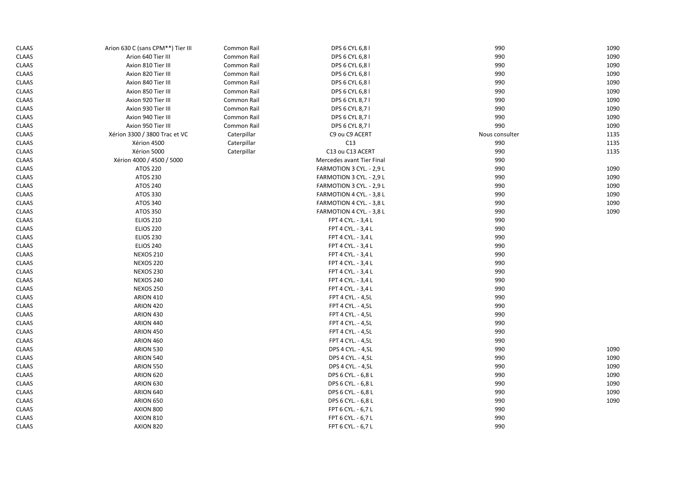| <b>CLAAS</b> | Arion 630 C (sans CPM**) Tier III | Common Rail | DPS 6 CYL 6,8 I           | 990            | 1090 |
|--------------|-----------------------------------|-------------|---------------------------|----------------|------|
| <b>CLAAS</b> | Arion 640 Tier III                | Common Rail | DPS 6 CYL 6,8 I           | 990            | 1090 |
| <b>CLAAS</b> | Axion 810 Tier III                | Common Rail | DPS 6 CYL 6,8 l           | 990            | 1090 |
| <b>CLAAS</b> | Axion 820 Tier III                | Common Rail | DPS 6 CYL 6,8 l           | 990            | 1090 |
| <b>CLAAS</b> | Axion 840 Tier III                | Common Rail | DPS 6 CYL 6,8 I           | 990            | 1090 |
| <b>CLAAS</b> | Axion 850 Tier III                | Common Rail | DPS 6 CYL 6,8 I           | 990            | 1090 |
| <b>CLAAS</b> | Axion 920 Tier III                | Common Rail | DPS 6 CYL 8,7 I           | 990            | 1090 |
| <b>CLAAS</b> | Axion 930 Tier III                | Common Rail | DPS 6 CYL 8,71            | 990            | 1090 |
| <b>CLAAS</b> | Axion 940 Tier III                | Common Rail | DPS 6 CYL 8,7 I           | 990            | 1090 |
| <b>CLAAS</b> | Axion 950 Tier III                | Common Rail | DPS 6 CYL 8,7 I           | 990            | 1090 |
| <b>CLAAS</b> | Xérion 3300 / 3800 Trac et VC     | Caterpillar | C9 ou C9 ACERT            | Nous consulter | 1135 |
| <b>CLAAS</b> | Xérion 4500                       | Caterpillar | C13                       | 990            | 1135 |
| <b>CLAAS</b> | Xérion 5000                       | Caterpillar | C13 ou C13 ACERT          | 990            | 1135 |
| <b>CLAAS</b> | Xérion 4000 / 4500 / 5000         |             | Mercedes avant Tier Final | 990            |      |
| <b>CLAAS</b> | <b>ATOS 220</b>                   |             | FARMOTION 3 CYL. - 2,9 L  | 990            | 1090 |
| <b>CLAAS</b> | <b>ATOS 230</b>                   |             | FARMOTION 3 CYL. - 2,9 L  | 990            | 1090 |
| <b>CLAAS</b> | <b>ATOS 240</b>                   |             | FARMOTION 3 CYL. - 2,9 L  | 990            | 1090 |
| <b>CLAAS</b> | ATOS 330                          |             | FARMOTION 4 CYL. - 3,8 L  | 990            | 1090 |
| <b>CLAAS</b> | ATOS 340                          |             | FARMOTION 4 CYL. - 3,8 L  | 990            | 1090 |
| <b>CLAAS</b> | ATOS 350                          |             | FARMOTION 4 CYL. - 3,8 L  | 990            | 1090 |
| <b>CLAAS</b> | <b>ELIOS 210</b>                  |             | FPT 4 CYL. - 3,4 L        | 990            |      |
| <b>CLAAS</b> | <b>ELIOS 220</b>                  |             | FPT 4 CYL. - 3,4 L        | 990            |      |
| <b>CLAAS</b> | <b>ELIOS 230</b>                  |             | FPT 4 CYL. - 3,4 L        | 990            |      |
| <b>CLAAS</b> | <b>ELIOS 240</b>                  |             | FPT 4 CYL. - 3,4 L        | 990            |      |
| <b>CLAAS</b> | <b>NEXOS 210</b>                  |             | FPT 4 CYL. - 3,4 L        | 990            |      |
| <b>CLAAS</b> | <b>NEXOS 220</b>                  |             | FPT 4 CYL. - 3,4 L        | 990            |      |
| <b>CLAAS</b> | <b>NEXOS 230</b>                  |             | FPT 4 CYL. - 3,4 L        | 990            |      |
| <b>CLAAS</b> | <b>NEXOS 240</b>                  |             | FPT 4 CYL. - 3,4 L        | 990            |      |
| <b>CLAAS</b> | <b>NEXOS 250</b>                  |             | FPT 4 CYL. - 3,4 L        | 990            |      |
| <b>CLAAS</b> | ARION 410                         |             | FPT 4 CYL. - 4,5L         | 990            |      |
| <b>CLAAS</b> | ARION 420                         |             | FPT 4 CYL. - 4,5L         | 990            |      |
| <b>CLAAS</b> | ARION 430                         |             | FPT 4 CYL. - 4,5L         | 990            |      |
| <b>CLAAS</b> | ARION 440                         |             | FPT 4 CYL. - 4,5L         | 990            |      |
| <b>CLAAS</b> | ARION 450                         |             | FPT 4 CYL. - 4,5L         | 990            |      |
| <b>CLAAS</b> | ARION 460                         |             | FPT 4 CYL. - 4,5L         | 990            |      |
| <b>CLAAS</b> | ARION 530                         |             | DPS 4 CYL. - 4,5L         | 990            | 1090 |
| <b>CLAAS</b> | ARION 540                         |             | DPS 4 CYL. - 4,5L         | 990            | 1090 |
| <b>CLAAS</b> | <b>ARION 550</b>                  |             | DPS 4 CYL. - 4,5L         | 990            | 1090 |
| <b>CLAAS</b> | ARION 620                         |             | DPS 6 CYL. - 6,8 L        | 990            | 1090 |
| <b>CLAAS</b> | ARION 630                         |             | DPS 6 CYL. - 6,8 L        | 990            | 1090 |
| <b>CLAAS</b> | ARION 640                         |             | DPS 6 CYL. - 6,8 L        | 990            | 1090 |
| <b>CLAAS</b> | ARION 650                         |             | DPS 6 CYL. - 6,8 L        | 990            | 1090 |
| <b>CLAAS</b> | AXION 800                         |             | FPT 6 CYL. - 6,7 L        | 990            |      |
| <b>CLAAS</b> | AXION 810                         |             | FPT 6 CYL. - 6,7 L        | 990            |      |
| <b>CLAAS</b> | AXION 820                         |             | FPT 6 CYL. - 6,7 L        | 990            |      |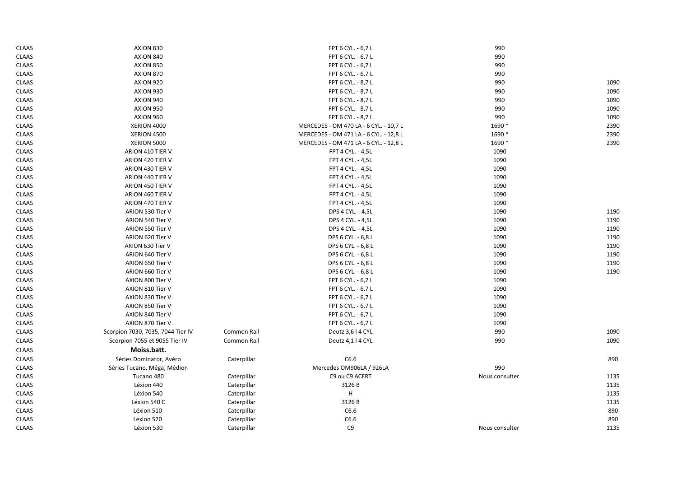| <b>CLAAS</b> | AXION 830                         |             | FPT 6 CYL. - 6,7 L                     | 990            |      |
|--------------|-----------------------------------|-------------|----------------------------------------|----------------|------|
| <b>CLAAS</b> | AXION 840                         |             | FPT 6 CYL. - 6,7 L                     | 990            |      |
| <b>CLAAS</b> | AXION 850                         |             | FPT 6 CYL. - 6,7 L                     | 990            |      |
| <b>CLAAS</b> | AXION 870                         |             | FPT 6 CYL. - 6,7 L                     | 990            |      |
| <b>CLAAS</b> | AXION 920                         |             | FPT 6 CYL. - 8,7 L                     | 990            | 1090 |
| <b>CLAAS</b> | AXION 930                         |             | FPT 6 CYL. - 8,7 L                     | 990            | 1090 |
| <b>CLAAS</b> | AXION 940                         |             | FPT 6 CYL. - 8,7 L                     | 990            | 1090 |
| <b>CLAAS</b> | AXION 950                         |             | FPT 6 CYL. - 8,7 L                     | 990            | 1090 |
| <b>CLAAS</b> | AXION 960                         |             | FPT 6 CYL. - 8,7 L                     | 990            | 1090 |
| <b>CLAAS</b> | XERION 4000                       |             | MERCEDES - OM 470 LA - 6 CYL. - 10,7 L | 1690 *         | 2390 |
| <b>CLAAS</b> | XERION 4500                       |             | MERCEDES - OM 471 LA - 6 CYL. - 12,8 L | 1690 *         | 2390 |
| <b>CLAAS</b> | XERION 5000                       |             | MERCEDES - OM 471 LA - 6 CYL. - 12,8 L | 1690 *         | 2390 |
| <b>CLAAS</b> | ARION 410 TIER V                  |             | FPT 4 CYL. - 4,5L                      | 1090           |      |
| <b>CLAAS</b> | ARION 420 TIER V                  |             | FPT 4 CYL. - 4,5L                      | 1090           |      |
| <b>CLAAS</b> | ARION 430 TIER V                  |             | FPT 4 CYL. - 4,5L                      | 1090           |      |
| <b>CLAAS</b> | ARION 440 TIER V                  |             | FPT 4 CYL. - 4,5L                      | 1090           |      |
| <b>CLAAS</b> | ARION 450 TIER V                  |             | FPT 4 CYL. - 4,5L                      | 1090           |      |
| <b>CLAAS</b> | ARION 460 TIER V                  |             | FPT 4 CYL. - 4,5L                      | 1090           |      |
| <b>CLAAS</b> | ARION 470 TIER V                  |             | FPT 4 CYL. - 4,5L                      | 1090           |      |
| <b>CLAAS</b> | ARION 530 Tier V                  |             | DPS 4 CYL. - 4,5L                      | 1090           | 1190 |
| <b>CLAAS</b> | ARION 540 Tier V                  |             | DPS 4 CYL. - 4,5L                      | 1090           | 1190 |
| <b>CLAAS</b> | ARION 550 Tier V                  |             | DPS 4 CYL. - 4,5L                      | 1090           | 1190 |
| <b>CLAAS</b> | ARION 620 Tier V                  |             | DPS 6 CYL. - 6,8 L                     | 1090           | 1190 |
| <b>CLAAS</b> | ARION 630 Tier V                  |             | DPS 6 CYL. - 6,8 L                     | 1090           | 1190 |
| <b>CLAAS</b> | ARION 640 Tier V                  |             | DPS 6 CYL. - 6,8 L                     | 1090           | 1190 |
| <b>CLAAS</b> | ARION 650 Tier V                  |             | DPS 6 CYL. - 6,8 L                     | 1090           | 1190 |
| <b>CLAAS</b> | ARION 660 Tier V                  |             | DPS 6 CYL. - 6,8 L                     | 1090           | 1190 |
| <b>CLAAS</b> | AXION 800 Tier V                  |             | FPT 6 CYL. - 6,7 L                     | 1090           |      |
| <b>CLAAS</b> | AXION 810 Tier V                  |             | FPT 6 CYL. - 6,7 L                     | 1090           |      |
| <b>CLAAS</b> | AXION 830 Tier V                  |             | FPT 6 CYL. - 6,7 L                     | 1090           |      |
| CLAAS        | AXION 850 Tier V                  |             | FPT 6 CYL. - 6,7 L                     | 1090           |      |
| <b>CLAAS</b> | AXION 840 Tier V                  |             | FPT 6 CYL. - 6,7 L                     | 1090           |      |
| <b>CLAAS</b> | AXION 870 Tier V                  |             | FPT 6 CYL. - 6,7 L                     | 1090           |      |
| <b>CLAAS</b> | Scorpion 7030, 7035, 7044 Tier IV | Common Rail | Deutz 3,6 I 4 CYL                      | 990            | 1090 |
| <b>CLAAS</b> | Scorpion 7055 et 9055 Tier IV     | Common Rail | Deutz 4,1   4 CYL                      | 990            | 1090 |
| <b>CLAAS</b> | Moiss.batt.                       |             |                                        |                |      |
| <b>CLAAS</b> | Séries Dominator, Avéro           | Caterpillar | C6.6                                   |                | 890  |
| <b>CLAAS</b> | Séries Tucano, Méga, Médion       |             | Mercedes OM906LA / 926LA               | 990            |      |
| <b>CLAAS</b> | Tucano 480                        | Caterpillar | C9 ou C9 ACERT                         | Nous consulter | 1135 |
| <b>CLAAS</b> | Léxion 440                        | Caterpillar | 3126 B                                 |                | 1135 |
| <b>CLAAS</b> | Léxion 540                        | Caterpillar | н                                      |                | 1135 |
| CLAAS        | Léxion 540 C                      | Caterpillar | 3126 B                                 |                | 1135 |
| <b>CLAAS</b> | Léxion 510                        | Caterpillar | C6.6                                   |                | 890  |
| <b>CLAAS</b> | Léxion 520                        | Caterpillar | C6.6                                   |                | 890  |
| <b>CLAAS</b> | Léxion 530                        | Caterpillar | C <sub>9</sub>                         | Nous consulter | 1135 |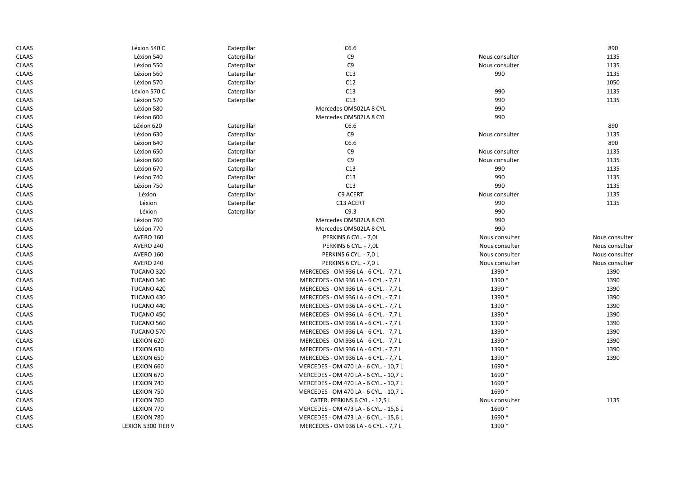| <b>CLAAS</b> | Léxion 540 C       | Caterpillar | C6.6                                   |                | 890            |
|--------------|--------------------|-------------|----------------------------------------|----------------|----------------|
| <b>CLAAS</b> | Léxion 540         | Caterpillar | C <sub>9</sub>                         | Nous consulter | 1135           |
| <b>CLAAS</b> | Léxion 550         | Caterpillar | C <sub>9</sub>                         | Nous consulter | 1135           |
| <b>CLAAS</b> | Léxion 560         | Caterpillar | C13                                    | 990            | 1135           |
| <b>CLAAS</b> | Léxion 570         | Caterpillar | C12                                    |                | 1050           |
| <b>CLAAS</b> | Léxion 570 C       | Caterpillar | C13                                    | 990            | 1135           |
| <b>CLAAS</b> | Léxion 570         | Caterpillar | C13                                    | 990            | 1135           |
| <b>CLAAS</b> | Léxion 580         |             | Mercedes OM502LA 8 CYL                 | 990            |                |
| <b>CLAAS</b> | Léxion 600         |             | Mercedes OM502LA 8 CYL                 | 990            |                |
| <b>CLAAS</b> | Léxion 620         | Caterpillar | C6.6                                   |                | 890            |
| <b>CLAAS</b> | Léxion 630         | Caterpillar | C <sub>9</sub>                         | Nous consulter | 1135           |
| <b>CLAAS</b> | Léxion 640         | Caterpillar | C6.6                                   |                | 890            |
| <b>CLAAS</b> | Léxion 650         | Caterpillar | C9                                     | Nous consulter | 1135           |
| <b>CLAAS</b> | Léxion 660         | Caterpillar | C <sub>9</sub>                         | Nous consulter | 1135           |
| <b>CLAAS</b> | Léxion 670         | Caterpillar | C13                                    | 990            | 1135           |
| <b>CLAAS</b> | Léxion 740         | Caterpillar | C13                                    | 990            | 1135           |
| <b>CLAAS</b> | Léxion 750         | Caterpillar | C13                                    | 990            | 1135           |
| <b>CLAAS</b> | Léxion             | Caterpillar | C9 ACERT                               | Nous consulter | 1135           |
| <b>CLAAS</b> | Léxion             | Caterpillar | C13 ACERT                              | 990            | 1135           |
| <b>CLAAS</b> | Léxion             | Caterpillar | C9.3                                   | 990            |                |
| <b>CLAAS</b> | Léxion 760         |             | Mercedes OM502LA 8 CYL                 | 990            |                |
| <b>CLAAS</b> | Léxion 770         |             | Mercedes OM502LA 8 CYL                 | 990            |                |
| <b>CLAAS</b> | <b>AVERO 160</b>   |             | PERKINS 6 CYL. - 7,0L                  | Nous consulter | Nous consulter |
| <b>CLAAS</b> | AVERO 240          |             | PERKINS 6 CYL. - 7,0L                  | Nous consulter | Nous consulter |
| <b>CLAAS</b> | <b>AVERO 160</b>   |             | PERKINS 6 CYL. - 7,0 L                 | Nous consulter | Nous consulter |
| <b>CLAAS</b> | AVERO 240          |             | PERKINS 6 CYL. - 7,0 L                 | Nous consulter | Nous consulter |
| <b>CLAAS</b> | TUCANO 320         |             | MERCEDES - OM 936 LA - 6 CYL. - 7,7 L  | 1390 *         | 1390           |
| <b>CLAAS</b> | TUCANO 340         |             | MERCEDES - OM 936 LA - 6 CYL. - 7,7 L  | 1390 *         | 1390           |
| <b>CLAAS</b> | TUCANO 420         |             | MERCEDES - OM 936 LA - 6 CYL. - 7,7 L  | 1390 *         | 1390           |
| <b>CLAAS</b> | TUCANO 430         |             | MERCEDES - OM 936 LA - 6 CYL. - 7,7 L  | 1390 *         | 1390           |
| <b>CLAAS</b> | TUCANO 440         |             | MERCEDES - OM 936 LA - 6 CYL. - 7,7 L  | 1390 *         | 1390           |
| <b>CLAAS</b> | TUCANO 450         |             | MERCEDES - OM 936 LA - 6 CYL. - 7,7 L  | 1390 *         | 1390           |
| <b>CLAAS</b> | TUCANO 560         |             | MERCEDES - OM 936 LA - 6 CYL. - 7,7 L  | 1390 *         | 1390           |
| <b>CLAAS</b> | TUCANO 570         |             | MERCEDES - OM 936 LA - 6 CYL. - 7,7 L  | 1390 *         | 1390           |
| <b>CLAAS</b> | LEXION 620         |             | MERCEDES - OM 936 LA - 6 CYL. - 7,7 L  | 1390 *         | 1390           |
| <b>CLAAS</b> | LEXION 630         |             | MERCEDES - OM 936 LA - 6 CYL. - 7,7 L  | 1390 *         | 1390           |
| <b>CLAAS</b> | LEXION 650         |             | MERCEDES - OM 936 LA - 6 CYL. - 7,7 L  | 1390 *         | 1390           |
| <b>CLAAS</b> | LEXION 660         |             | MERCEDES - OM 470 LA - 6 CYL. - 10,7 L | 1690 *         |                |
| <b>CLAAS</b> | LEXION 670         |             | MERCEDES - OM 470 LA - 6 CYL. - 10,7 L | 1690 *         |                |
| <b>CLAAS</b> | LEXION 740         |             | MERCEDES - OM 470 LA - 6 CYL. - 10,7 L | 1690 *         |                |
| <b>CLAAS</b> | LEXION 750         |             | MERCEDES - OM 470 LA - 6 CYL. - 10,7 L | 1690 *         |                |
| <b>CLAAS</b> | LEXION 760         |             | CATER. PERKINS 6 CYL. - 12,5 L         | Nous consulter | 1135           |
| <b>CLAAS</b> | LEXION 770         |             | MERCEDES - OM 473 LA - 6 CYL. - 15,6 L | 1690 *         |                |
| <b>CLAAS</b> | LEXION 780         |             | MERCEDES - OM 473 LA - 6 CYL. - 15,6 L | 1690 *         |                |
| <b>CLAAS</b> | LEXION 5300 TIER V |             | MERCEDES - OM 936 LA - 6 CYL. - 7,7 L  | 1390 *         |                |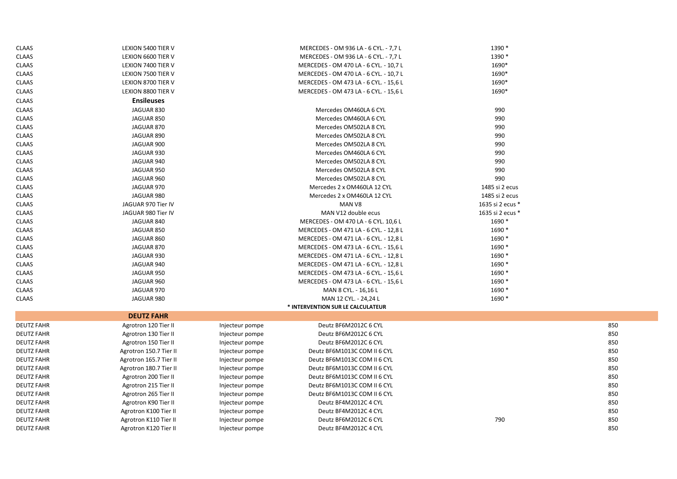| <b>CLAAS</b>      | LEXION 5400 TIER V     |                 | MERCEDES - OM 936 LA - 6 CYL. - 7,7 L  | 1390 *           |     |
|-------------------|------------------------|-----------------|----------------------------------------|------------------|-----|
| <b>CLAAS</b>      | LEXION 6600 TIER V     |                 | MERCEDES - OM 936 LA - 6 CYL. - 7,7 L  | 1390 *           |     |
| <b>CLAAS</b>      | LEXION 7400 TIER V     |                 | MERCEDES - OM 470 LA - 6 CYL. - 10,7 L | 1690*            |     |
| <b>CLAAS</b>      | LEXION 7500 TIER V     |                 | MERCEDES - OM 470 LA - 6 CYL. - 10,7 L | 1690*            |     |
| CLAAS             | LEXION 8700 TIER V     |                 | MERCEDES - OM 473 LA - 6 CYL. - 15,6 L | 1690*            |     |
| CLAAS             | LEXION 8800 TIER V     |                 | MERCEDES - OM 473 LA - 6 CYL. - 15,6 L | 1690*            |     |
| <b>CLAAS</b>      | <b>Ensileuses</b>      |                 |                                        |                  |     |
| CLAAS             | JAGUAR 830             |                 | Mercedes OM460LA 6 CYL                 | 990              |     |
| CLAAS             | JAGUAR 850             |                 | Mercedes OM460LA 6 CYL                 | 990              |     |
| <b>CLAAS</b>      | JAGUAR 870             |                 | Mercedes OM502LA 8 CYL                 | 990              |     |
| <b>CLAAS</b>      | JAGUAR 890             |                 | Mercedes OM502LA 8 CYL                 | 990              |     |
| CLAAS             | JAGUAR 900             |                 | Mercedes OM502LA 8 CYL                 | 990              |     |
| <b>CLAAS</b>      | JAGUAR 930             |                 | Mercedes OM460LA 6 CYL                 | 990              |     |
| CLAAS             | JAGUAR 940             |                 | Mercedes OM502LA 8 CYL                 | 990              |     |
| CLAAS             | JAGUAR 950             |                 | Mercedes OM502LA 8 CYL                 | 990              |     |
| <b>CLAAS</b>      | JAGUAR 960             |                 | Mercedes OM502LA 8 CYL                 | 990              |     |
| <b>CLAAS</b>      | JAGUAR 970             |                 | Mercedes 2 x OM460LA 12 CYL            | 1485 si 2 ecus   |     |
| CLAAS             | JAGUAR 980             |                 | Mercedes 2 x OM460LA 12 CYL            | 1485 si 2 ecus   |     |
| <b>CLAAS</b>      | JAGUAR 970 Tier IV     |                 | MAN V8                                 | 1635 si 2 ecus * |     |
| CLAAS             | JAGUAR 980 Tier IV     |                 | MAN V12 double ecus                    | 1635 si 2 ecus * |     |
| CLAAS             | JAGUAR 840             |                 | MERCEDES - OM 470 LA - 6 CYL. 10,6 L   | 1690 *           |     |
| CLAAS             | JAGUAR 850             |                 | MERCEDES - OM 471 LA - 6 CYL. - 12,8 L | 1690 *           |     |
| <b>CLAAS</b>      | JAGUAR 860             |                 | MERCEDES - OM 471 LA - 6 CYL. - 12,8 L | 1690 *           |     |
| CLAAS             | JAGUAR 870             |                 | MERCEDES - OM 473 LA - 6 CYL. - 15,6 L | 1690 *           |     |
| <b>CLAAS</b>      | JAGUAR 930             |                 | MERCEDES - OM 471 LA - 6 CYL. - 12,8 L | 1690 *           |     |
| CLAAS             | JAGUAR 940             |                 | MERCEDES - OM 471 LA - 6 CYL. - 12,8 L | 1690 *           |     |
| CLAAS             | JAGUAR 950             |                 | MERCEDES - OM 473 LA - 6 CYL. - 15,6 L | 1690 *           |     |
| CLAAS             | JAGUAR 960             |                 | MERCEDES - OM 473 LA - 6 CYL. - 15,6 L | 1690 *           |     |
| <b>CLAAS</b>      | JAGUAR 970             |                 | MAN 8 CYL. - 16,16 L                   | 1690 *           |     |
| <b>CLAAS</b>      | JAGUAR 980             |                 | MAN 12 CYL. - 24,24 L                  | 1690 *           |     |
|                   |                        |                 | * INTERVENTION SUR LE CALCULATEUR      |                  |     |
|                   | <b>DEUTZ FAHR</b>      |                 |                                        |                  |     |
| <b>DEUTZ FAHR</b> | Agrotron 120 Tier II   | Injecteur pompe | Deutz BF6M2012C 6 CYL                  |                  | 850 |
| <b>DEUTZ FAHR</b> | Agrotron 130 Tier II   | Injecteur pompe | Deutz BF6M2012C 6 CYL                  |                  | 850 |
| <b>DEUTZ FAHR</b> | Agrotron 150 Tier II   | Injecteur pompe | Deutz BF6M2012C 6 CYL                  |                  | 850 |
| <b>DEUTZ FAHR</b> | Agrotron 150.7 Tier II | Injecteur pompe | Deutz BF6M1013C COM II 6 CYL           |                  | 850 |
| <b>DEUTZ FAHR</b> | Agrotron 165.7 Tier II | Injecteur pompe | Deutz BF6M1013C COM II 6 CYL           |                  | 850 |
| <b>DEUTZ FAHR</b> | Agrotron 180.7 Tier II | Injecteur pompe | Deutz BF6M1013C COM II 6 CYL           |                  | 850 |
| <b>DEUTZ FAHR</b> | Agrotron 200 Tier II   | Injecteur pompe | Deutz BF6M1013C COM II 6 CYL           |                  | 850 |
| <b>DEUTZ FAHR</b> | Agrotron 215 Tier II   | Injecteur pompe | Deutz BF6M1013C COM II 6 CYL           |                  | 850 |
| <b>DEUTZ FAHR</b> | Agrotron 265 Tier II   | Injecteur pompe | Deutz BF6M1013C COM II 6 CYL           |                  | 850 |
| <b>DEUTZ FAHR</b> | Agrotron K90 Tier II   | Injecteur pompe | Deutz BF4M2012C 4 CYL                  |                  | 850 |
| <b>DEUTZ FAHR</b> | Agrotron K100 Tier II  | Injecteur pompe | Deutz BF4M2012C 4 CYL                  |                  | 850 |
| <b>DEUTZ FAHR</b> | Agrotron K110 Tier II  | Injecteur pompe | Deutz BF6M2012C 6 CYL                  | 790              | 850 |
| <b>DEUTZ FAHR</b> | Agrotron K120 Tier II  | Injecteur pompe | Deutz BF4M2012C 4 CYL                  |                  | 850 |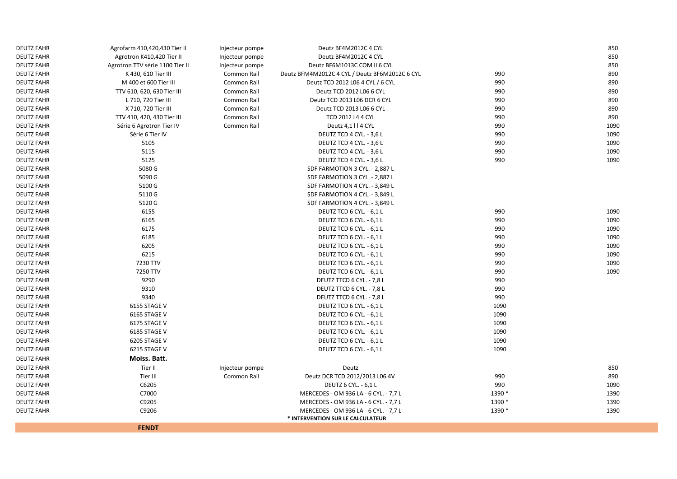| <b>DEUTZ FAHR</b> | Agrofarm 410,420,430 Tier II    | Injecteur pompe | Deutz BF4M2012C 4 CYL                          |        | 850  |
|-------------------|---------------------------------|-----------------|------------------------------------------------|--------|------|
| <b>DEUTZ FAHR</b> | Agrotron K410,420 Tier II       | Injecteur pompe | Deutz BF4M2012C 4 CYL                          |        | 850  |
| <b>DEUTZ FAHR</b> | Agrotron TTV série 1100 Tier II | Injecteur pompe | Deutz BF6M1013C COM II 6 CYL                   |        | 850  |
| <b>DEUTZ FAHR</b> | K 430, 610 Tier III             | Common Rail     | Deutz BFM4M2012C 4 CYL / Deutz BF6M2012C 6 CYL | 990    | 890  |
| <b>DEUTZ FAHR</b> | M 400 et 600 Tier III           | Common Rail     | Deutz TCD 2012 L06 4 CYL / 6 CYL               | 990    | 890  |
| <b>DEUTZ FAHR</b> | TTV 610, 620, 630 Tier III      | Common Rail     | Deutz TCD 2012 L06 6 CYL                       | 990    | 890  |
| <b>DEUTZ FAHR</b> | L 710, 720 Tier III             | Common Rail     | Deutz TCD 2013 L06 DCR 6 CYL                   | 990    | 890  |
| <b>DEUTZ FAHR</b> | X 710, 720 Tier III             | Common Rail     | Deutz TCD 2013 L06 6 CYL                       | 990    | 890  |
| <b>DEUTZ FAHR</b> | TTV 410, 420, 430 Tier III      | Common Rail     | TCD 2012 L4 4 CYL                              | 990    | 890  |
| <b>DEUTZ FAHR</b> | Série 6 Agrotron Tier IV        | Common Rail     | Deutz 4,1     4 CYL                            | 990    | 1090 |
| <b>DEUTZ FAHR</b> | Série 6 Tier IV                 |                 | DEUTZ TCD 4 CYL. - 3,6 L                       | 990    | 1090 |
| <b>DEUTZ FAHR</b> | 5105                            |                 | DEUTZ TCD 4 CYL. - 3,6 L                       | 990    | 1090 |
| <b>DEUTZ FAHR</b> | 5115                            |                 | DEUTZ TCD 4 CYL. - 3,6 L                       | 990    | 1090 |
| <b>DEUTZ FAHR</b> | 5125                            |                 | DEUTZ TCD 4 CYL. - 3,6 L                       | 990    | 1090 |
| <b>DEUTZ FAHR</b> | 5080 G                          |                 | SDF FARMOTION 3 CYL. - 2,887 L                 |        |      |
| <b>DEUTZ FAHR</b> | 5090 G                          |                 | SDF FARMOTION 3 CYL. - 2,887 L                 |        |      |
| <b>DEUTZ FAHR</b> | 5100 G                          |                 | SDF FARMOTION 4 CYL. - 3,849 L                 |        |      |
| <b>DEUTZ FAHR</b> | 5110 G                          |                 | SDF FARMOTION 4 CYL. - 3,849 L                 |        |      |
| <b>DEUTZ FAHR</b> | 5120 G                          |                 | SDF FARMOTION 4 CYL. - 3,849 L                 |        |      |
| <b>DEUTZ FAHR</b> | 6155                            |                 | DEUTZ TCD 6 CYL. - 6,1 L                       | 990    | 1090 |
| <b>DEUTZ FAHR</b> | 6165                            |                 | DEUTZ TCD 6 CYL. - 6,1 L                       | 990    | 1090 |
| <b>DEUTZ FAHR</b> | 6175                            |                 | DEUTZ TCD 6 CYL. - 6,1 L                       | 990    | 1090 |
| <b>DEUTZ FAHR</b> | 6185                            |                 | DEUTZ TCD 6 CYL. - 6,1 L                       | 990    | 1090 |
| <b>DEUTZ FAHR</b> | 6205                            |                 | DEUTZ TCD 6 CYL. - 6,1 L                       | 990    | 1090 |
| <b>DEUTZ FAHR</b> | 6215                            |                 | DEUTZ TCD 6 CYL. - 6,1 L                       | 990    | 1090 |
| <b>DEUTZ FAHR</b> | 7230 TTV                        |                 | DEUTZ TCD 6 CYL. - 6,1 L                       | 990    | 1090 |
| <b>DEUTZ FAHR</b> | 7250 TTV                        |                 | DEUTZ TCD 6 CYL. - 6,1 L                       | 990    | 1090 |
| <b>DEUTZ FAHR</b> | 9290                            |                 | DEUTZ TTCD 6 CYL. - 7,8 L                      | 990    |      |
| <b>DEUTZ FAHR</b> | 9310                            |                 | DEUTZ TTCD 6 CYL. - 7,8 L                      | 990    |      |
| <b>DEUTZ FAHR</b> | 9340                            |                 | DEUTZ TTCD 6 CYL. - 7,8 L                      | 990    |      |
| <b>DEUTZ FAHR</b> | 6155 STAGE V                    |                 | DEUTZ TCD 6 CYL. - 6,1 L                       | 1090   |      |
| <b>DEUTZ FAHR</b> | 6165 STAGE V                    |                 | DEUTZ TCD 6 CYL. - 6,1 L                       | 1090   |      |
| <b>DEUTZ FAHR</b> | 6175 STAGE V                    |                 | DEUTZ TCD 6 CYL. - 6,1 L                       | 1090   |      |
| <b>DEUTZ FAHR</b> | 6185 STAGE V                    |                 | DEUTZ TCD 6 CYL. - 6,1 L                       | 1090   |      |
| <b>DEUTZ FAHR</b> | 6205 STAGE V                    |                 | DEUTZ TCD 6 CYL. - 6,1 L                       | 1090   |      |
| <b>DEUTZ FAHR</b> | 6215 STAGE V                    |                 | DEUTZ TCD 6 CYL. - 6,1 L                       | 1090   |      |
| <b>DEUTZ FAHR</b> | Moiss. Batt.                    |                 |                                                |        |      |
| <b>DEUTZ FAHR</b> | Tier II                         | Injecteur pompe | Deutz                                          |        | 850  |
| <b>DEUTZ FAHR</b> | Tier III                        | Common Rail     | Deutz DCR TCD 2012/2013 L06 4V                 | 990    | 890  |
| <b>DEUTZ FAHR</b> | C6205                           |                 | <b>DEUTZ 6 CYL. - 6,1 L</b>                    | 990    | 1090 |
| <b>DEUTZ FAHR</b> | C7000                           |                 | MERCEDES - OM 936 LA - 6 CYL. - 7,7 L          | 1390 * | 1390 |
| <b>DEUTZ FAHR</b> | C9205                           |                 | MERCEDES - OM 936 LA - 6 CYL. - 7,7 L          | 1390 * | 1390 |
| <b>DEUTZ FAHR</b> | C9206                           |                 | MERCEDES - OM 936 LA - 6 CYL. - 7,7 L          | 1390 * | 1390 |
|                   |                                 |                 | * INTERVENTION SUR LE CALCULATEUR              |        |      |
|                   | <b>FENDT</b>                    |                 |                                                |        |      |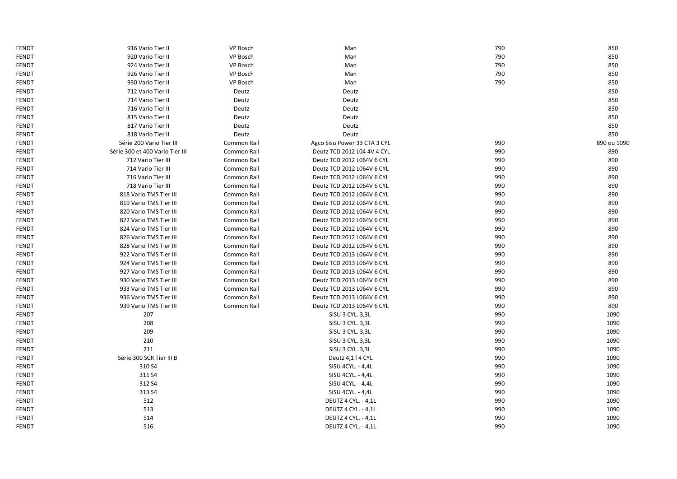| <b>FENDT</b> | 916 Vario Tier II               | VP Bosch    | Man                          | 790 | 850         |
|--------------|---------------------------------|-------------|------------------------------|-----|-------------|
| <b>FENDT</b> | 920 Vario Tier II               | VP Bosch    | Man                          | 790 | 850         |
| <b>FENDT</b> | 924 Vario Tier II               | VP Bosch    | Man                          | 790 | 850         |
| <b>FENDT</b> | 926 Vario Tier II               | VP Bosch    | Man                          | 790 | 850         |
| <b>FENDT</b> | 930 Vario Tier II               | VP Bosch    | Man                          | 790 | 850         |
| <b>FENDT</b> | 712 Vario Tier II               | Deutz       | Deutz                        |     | 850         |
| <b>FENDT</b> | 714 Vario Tier II               | Deutz       | Deutz                        |     | 850         |
| <b>FENDT</b> | 716 Vario Tier II               | Deutz       | Deutz                        |     | 850         |
| <b>FENDT</b> | 815 Vario Tier II               | Deutz       | Deutz                        |     | 850         |
| <b>FENDT</b> | 817 Vario Tier II               | Deutz       | Deutz                        |     | 850         |
| <b>FENDT</b> | 818 Vario Tier II               | Deutz       | Deutz                        |     | 850         |
| <b>FENDT</b> | Série 200 Vario Tier III        | Common Rail | Agco Sisu Power 33 CTA 3 CYL | 990 | 890 ou 1090 |
| <b>FENDT</b> | Série 300 et 400 Vario Tier III | Common Rail | Deutz TCD 2012 L04 4V 4 CYL  | 990 | 890         |
| <b>FENDT</b> | 712 Vario Tier III              | Common Rail | Deutz TCD 2012 L064V 6 CYL   | 990 | 890         |
| <b>FENDT</b> | 714 Vario Tier III              | Common Rail | Deutz TCD 2012 L064V 6 CYL   | 990 | 890         |
| <b>FENDT</b> | 716 Vario Tier III              | Common Rail | Deutz TCD 2012 L064V 6 CYL   | 990 | 890         |
| <b>FENDT</b> | 718 Vario Tier III              | Common Rail | Deutz TCD 2012 L064V 6 CYL   | 990 | 890         |
| <b>FENDT</b> | 818 Vario TMS Tier III          | Common Rail | Deutz TCD 2012 L064V 6 CYL   | 990 | 890         |
| <b>FENDT</b> | 819 Vario TMS Tier III          | Common Rail | Deutz TCD 2012 L064V 6 CYL   | 990 | 890         |
| <b>FENDT</b> | 820 Vario TMS Tier III          | Common Rail | Deutz TCD 2012 L064V 6 CYL   | 990 | 890         |
| <b>FENDT</b> | 822 Vario TMS Tier III          | Common Rail | Deutz TCD 2012 L064V 6 CYL   | 990 | 890         |
| <b>FENDT</b> | 824 Vario TMS Tier III          | Common Rail | Deutz TCD 2012 L064V 6 CYL   | 990 | 890         |
| <b>FENDT</b> | 826 Vario TMS Tier III          | Common Rail | Deutz TCD 2012 L064V 6 CYL   | 990 | 890         |
| <b>FENDT</b> | 828 Vario TMS Tier III          | Common Rail | Deutz TCD 2012 L064V 6 CYL   | 990 | 890         |
| <b>FENDT</b> | 922 Vario TMS Tier III          | Common Rail | Deutz TCD 2013 L064V 6 CYL   | 990 | 890         |
| <b>FENDT</b> | 924 Vario TMS Tier III          | Common Rail | Deutz TCD 2013 L064V 6 CYL   | 990 | 890         |
| <b>FENDT</b> | 927 Vario TMS Tier III          | Common Rail | Deutz TCD 2013 L064V 6 CYL   | 990 | 890         |
| <b>FENDT</b> | 930 Vario TMS Tier III          | Common Rail | Deutz TCD 2013 L064V 6 CYL   | 990 | 890         |
| <b>FENDT</b> | 933 Vario TMS Tier III          | Common Rail | Deutz TCD 2013 L064V 6 CYL   | 990 | 890         |
| <b>FENDT</b> | 936 Vario TMS Tier III          | Common Rail | Deutz TCD 2013 L064V 6 CYL   | 990 | 890         |
| FENDT        | 939 Vario TMS Tier III          | Common Rail | Deutz TCD 2013 L064V 6 CYL   | 990 | 890         |
| <b>FENDT</b> | 207                             |             | SISU 3 CYL. 3,3L             | 990 | 1090        |
| <b>FENDT</b> | 208                             |             | SISU 3 CYL. 3,3L             | 990 | 1090        |
| <b>FENDT</b> | 209                             |             | SISU 3 CYL. 3,3L             | 990 | 1090        |
| <b>FENDT</b> | 210                             |             | SISU 3 CYL. 3,3L             | 990 | 1090        |
| <b>FENDT</b> | 211                             |             | SISU 3 CYL. 3,3L             | 990 | 1090        |
| <b>FENDT</b> | Série 300 SCR Tier III B        |             | Deutz 4,1   4 CYL            | 990 | 1090        |
| <b>FENDT</b> | 310 S4                          |             | SISU 4CYL. - 4,4L            | 990 | 1090        |
| FENDT        | 311 S4                          |             | SISU 4CYL. - 4,4L            | 990 | 1090        |
| <b>FENDT</b> | 312 S4                          |             | SISU 4CYL. - 4,4L            | 990 | 1090        |
| <b>FENDT</b> | 313 S4                          |             | SISU 4CYL. - 4,4L            | 990 | 1090        |
| FENDT        | 512                             |             | <b>DEUTZ 4 CYL. - 4,1L</b>   | 990 | 1090        |
| <b>FENDT</b> | 513                             |             | <b>DEUTZ 4 CYL. - 4,1L</b>   | 990 | 1090        |
| <b>FENDT</b> | 514                             |             | <b>DEUTZ 4 CYL. - 4,1L</b>   | 990 | 1090        |
| <b>FENDT</b> | 516                             |             | <b>DEUTZ 4 CYL. - 4,1L</b>   | 990 | 1090        |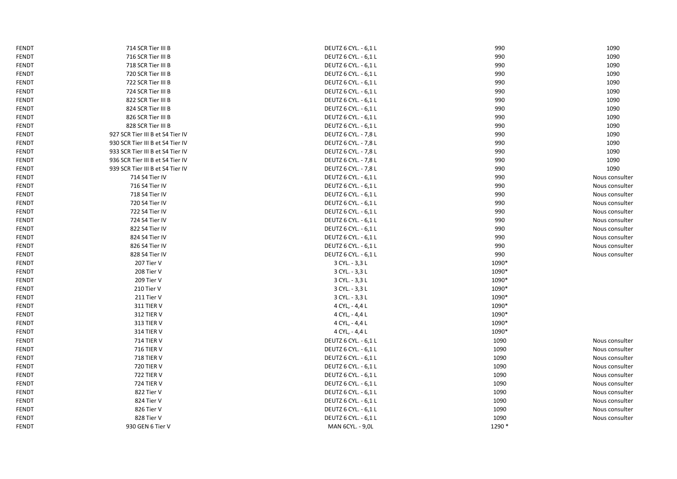| <b>FENDT</b> | 714 SCR Tier III B               | DEUTZ 6 CYL. - 6,1 L        | 990    | 1090           |
|--------------|----------------------------------|-----------------------------|--------|----------------|
| <b>FENDT</b> | 716 SCR Tier III B               | DEUTZ 6 CYL. - 6,1 L        | 990    | 1090           |
| <b>FENDT</b> | 718 SCR Tier III B               | <b>DEUTZ 6 CYL. - 6,1 L</b> | 990    | 1090           |
| <b>FENDT</b> | 720 SCR Tier III B               | <b>DEUTZ 6 CYL. - 6,1 L</b> | 990    | 1090           |
| <b>FENDT</b> | 722 SCR Tier III B               | DEUTZ 6 CYL. - 6,1 L        | 990    | 1090           |
| <b>FENDT</b> | 724 SCR Tier III B               | <b>DEUTZ 6 CYL. - 6,1 L</b> | 990    | 1090           |
| <b>FENDT</b> | 822 SCR Tier III B               | DEUTZ 6 CYL. - 6,1 L        | 990    | 1090           |
| <b>FENDT</b> | 824 SCR Tier III B               | DEUTZ 6 CYL. - 6,1 L        | 990    | 1090           |
| <b>FENDT</b> | 826 SCR Tier III B               | DEUTZ 6 CYL. - 6,1 L        | 990    | 1090           |
| <b>FENDT</b> | 828 SCR Tier III B               | DEUTZ 6 CYL. - 6,1 L        | 990    | 1090           |
| <b>FENDT</b> | 927 SCR Tier III B et S4 Tier IV | DEUTZ 6 CYL. - 7,8 L        | 990    | 1090           |
| FENDT        | 930 SCR Tier III B et S4 Tier IV | DEUTZ 6 CYL. - 7,8 L        | 990    | 1090           |
| <b>FENDT</b> | 933 SCR Tier III B et S4 Tier IV | DEUTZ 6 CYL. - 7,8 L        | 990    | 1090           |
| <b>FENDT</b> | 936 SCR Tier III B et S4 Tier IV | DEUTZ 6 CYL. - 7,8 L        | 990    | 1090           |
| <b>FENDT</b> | 939 SCR Tier III B et S4 Tier IV | DEUTZ 6 CYL. - 7,8 L        | 990    | 1090           |
| <b>FENDT</b> | 714 S4 Tier IV                   | <b>DEUTZ 6 CYL. - 6,1 L</b> | 990    | Nous consulter |
| <b>FENDT</b> | 716 S4 Tier IV                   | DEUTZ 6 CYL. - 6,1 L        | 990    | Nous consulter |
| <b>FENDT</b> | 718 S4 Tier IV                   | DEUTZ 6 CYL. - 6,1 L        | 990    | Nous consulter |
| <b>FENDT</b> | 720 S4 Tier IV                   | <b>DEUTZ 6 CYL. - 6,1 L</b> | 990    | Nous consulter |
| <b>FENDT</b> | 722 S4 Tier IV                   | DEUTZ 6 CYL. - 6,1 L        | 990    | Nous consulter |
| <b>FENDT</b> | 724 S4 Tier IV                   | DEUTZ 6 CYL. - 6,1 L        | 990    | Nous consulter |
| <b>FENDT</b> | 822 S4 Tier IV                   | <b>DEUTZ 6 CYL. - 6,1 L</b> | 990    | Nous consulter |
| <b>FENDT</b> | 824 S4 Tier IV                   | DEUTZ 6 CYL. - 6,1 L        | 990    | Nous consulter |
| <b>FENDT</b> | 826 S4 Tier IV                   | DEUTZ 6 CYL. - 6,1 L        | 990    | Nous consulter |
| <b>FENDT</b> | 828 S4 Tier IV                   | DEUTZ 6 CYL. - 6,1 L        | 990    | Nous consulter |
| <b>FENDT</b> | 207 Tier V                       | 3 CYL. - 3,3 L              | 1090*  |                |
| <b>FENDT</b> | 208 Tier V                       | 3 CYL. - 3,3 L              | 1090*  |                |
| <b>FENDT</b> | 209 Tier V                       | 3 CYL. - 3,3 L              | 1090*  |                |
| <b>FENDT</b> | 210 Tier V                       | 3 CYL. - 3,3 L              | 1090*  |                |
| <b>FENDT</b> | 211 Tier V                       | 3 CYL. - 3,3 L              | 1090*  |                |
| <b>FENDT</b> | 311 TIER V                       | 4 CYL, - 4,4 L              | 1090*  |                |
| <b>FENDT</b> | <b>312 TIER V</b>                | 4 CYL, - 4,4 L              | 1090*  |                |
| <b>FENDT</b> | 313 TIER V                       | 4 CYL, - 4,4 L              | 1090*  |                |
| <b>FENDT</b> | 314 TIER V                       | 4 CYL, - 4,4 L              | 1090*  |                |
| <b>FENDT</b> | <b>714 TIER V</b>                | DEUTZ 6 CYL. - 6,1 L        | 1090   | Nous consulter |
| <b>FENDT</b> | <b>716 TIER V</b>                | DEUTZ 6 CYL. - 6,1 L        | 1090   | Nous consulter |
| <b>FENDT</b> | <b>718 TIER V</b>                | <b>DEUTZ 6 CYL. - 6,1 L</b> | 1090   | Nous consulter |
| <b>FENDT</b> | <b>720 TIER V</b>                | DEUTZ 6 CYL. - 6,1 L        | 1090   | Nous consulter |
| <b>FENDT</b> | 722 TIER V                       | DEUTZ 6 CYL. - 6,1 L        | 1090   | Nous consulter |
| <b>FENDT</b> | 724 TIER V                       | DEUTZ 6 CYL. - 6,1 L        | 1090   | Nous consulter |
| <b>FENDT</b> | 822 Tier V                       | DEUTZ 6 CYL. - 6,1 L        | 1090   | Nous consulter |
| <b>FENDT</b> | 824 Tier V                       | DEUTZ 6 CYL. - 6,1 L        | 1090   | Nous consulter |
| <b>FENDT</b> | 826 Tier V                       | DEUTZ 6 CYL. - 6,1 L        | 1090   | Nous consulter |
| <b>FENDT</b> | 828 Tier V                       | <b>DEUTZ 6 CYL. - 6,1 L</b> | 1090   | Nous consulter |
| <b>FENDT</b> | 930 GEN 6 Tier V                 | MAN 6CYL. - 9,0L            | 1290 * |                |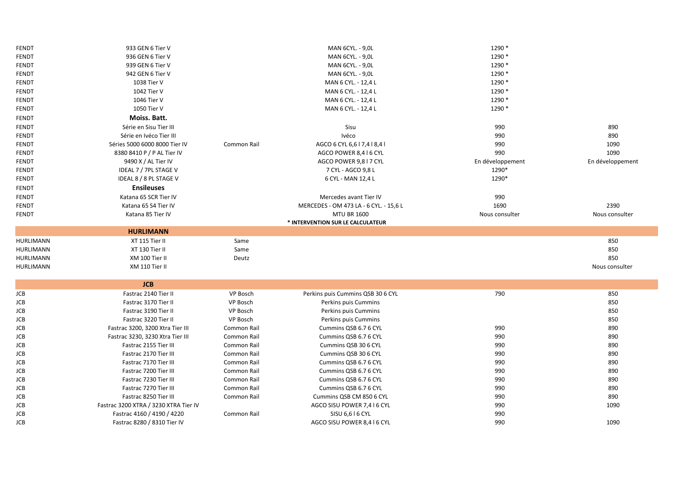| FENDT        | 933 GEN 6 Tier V                      |             | MAN 6CYL. - 9,0L                       | 1290 *           |                  |
|--------------|---------------------------------------|-------------|----------------------------------------|------------------|------------------|
| <b>FENDT</b> | 936 GEN 6 Tier V                      |             | MAN 6CYL. - 9,0L                       | 1290 *           |                  |
| FENDT        | 939 GEN 6 Tier V                      |             | MAN 6CYL. - 9,0L                       | 1290 *           |                  |
| FENDT        | 942 GEN 6 Tier V                      |             | MAN 6CYL. - 9,0L                       | 1290 *           |                  |
| <b>FENDT</b> | 1038 Tier V                           |             | MAN 6 CYL. - 12,4 L                    | 1290 *           |                  |
| FENDT        | 1042 Tier V                           |             | MAN 6 CYL. - 12,4 L                    | 1290 *           |                  |
| FENDT        | 1046 Tier V                           |             | MAN 6 CYL. - 12,4 L                    | 1290 *           |                  |
| FENDT        | 1050 Tier V                           |             | MAN 6 CYL. - 12,4 L                    | 1290 *           |                  |
| <b>FENDT</b> | Moiss. Batt.                          |             |                                        |                  |                  |
| <b>FENDT</b> | Série en Sisu Tier III                |             | Sisu                                   | 990              | 890              |
| <b>FENDT</b> | Série en Ivéco Tier III               |             | Ivéco                                  | 990              | 890              |
| <b>FENDT</b> | Séries 5000 6000 8000 Tier IV         | Common Rail | AGCO 6 CYL 6,6   7,4   8,4             | 990              | 1090             |
| <b>FENDT</b> | 8380 8410 P / P AL Tier IV            |             | AGCO POWER 8,4 I 6 CYL                 | 990              | 1090             |
| FENDT        | 9490 X / AL Tier IV                   |             | AGCO POWER 9,8 I 7 CYL                 | En développement | En développement |
| FENDT        | IDEAL 7 / 7PL STAGE V                 |             | 7 CYL - AGCO 9,8 L                     | 1290*            |                  |
| FENDT        | IDEAL 8 / 8 PL STAGE V                |             | 6 CYL - MAN 12,4 L                     | 1290*            |                  |
| FENDT        | <b>Ensileuses</b>                     |             |                                        |                  |                  |
| <b>FENDT</b> | Katana 65 SCR Tier IV                 |             | Mercedes avant Tier IV                 | 990              |                  |
| <b>FENDT</b> | Katana 65 S4 Tier IV                  |             | MERCEDES - OM 473 LA - 6 CYL. - 15,6 L | 1690             | 2390             |
| <b>FENDT</b> | Katana 85 Tier IV                     |             | <b>MTU BR 1600</b>                     | Nous consulter   | Nous consulter   |
|              |                                       |             | * INTERVENTION SUR LE CALCULATEUR      |                  |                  |
|              | <b>HURLIMANN</b>                      |             |                                        |                  |                  |
| HURLIMANN    | XT 115 Tier II                        | Same        |                                        |                  | 850              |
| HURLIMANN    | XT 130 Tier II                        | Same        |                                        |                  | 850              |
| HURLIMANN    | XM 100 Tier II                        | Deutz       |                                        |                  | 850              |
| HURLIMANN    | XM 110 Tier II                        |             |                                        |                  | Nous consulter   |
|              |                                       |             |                                        |                  |                  |
|              | <b>JCB</b>                            |             |                                        |                  |                  |
| JCB          | Fastrac 2140 Tier II                  | VP Bosch    | Perkins puis Cummins QSB 30 6 CYL      | 790              | 850              |
| JCB          | Fastrac 3170 Tier II                  | VP Bosch    | Perkins puis Cummins                   |                  | 850              |
| JCB          | Fastrac 3190 Tier II                  | VP Bosch    | Perkins puis Cummins                   |                  | 850              |
| JCB          | Fastrac 3220 Tier II                  | VP Bosch    | Perkins puis Cummins                   |                  | 850              |
| JCB          | Fastrac 3200, 3200 Xtra Tier III      | Common Rail | Cummins QSB 6.7 6 CYL                  | 990              | 890              |
| JCB          | Fastrac 3230, 3230 Xtra Tier III      | Common Rail | Cummins QSB 6.7 6 CYL                  | 990              | 890              |
| JCB          | Fastrac 2155 Tier III                 | Common Rail | Cummins QSB 30 6 CYL                   | 990              | 890              |
| JCB          | Fastrac 2170 Tier III                 | Common Rail | Cummins QSB 30 6 CYL                   | 990              | 890              |
| JCB          | Fastrac 7170 Tier III                 | Common Rail | Cummins QSB 6.7 6 CYL                  | 990              | 890              |
| JCB          | Fastrac 7200 Tier III                 | Common Rail | Cummins QSB 6.7 6 CYL                  | 990              | 890              |
| <b>JCB</b>   | Fastrac 7230 Tier III                 | Common Rail | Cummins QSB 6.7 6 CYL                  | 990              | 890              |
| JCB          | Fastrac 7270 Tier III                 | Common Rail | Cummins QSB 6.7 6 CYL                  | 990              | 890              |
| JCB          | Fastrac 8250 Tier III                 | Common Rail | Cummins QSB CM 850 6 CYL               | 990              | 890              |
| <b>JCB</b>   | Fastrac 3200 XTRA / 3230 XTRA Tier IV |             | AGCO SISU POWER 7,416 CYL              | 990              | 1090             |
| JCB          | Fastrac 4160 / 4190 / 4220            | Common Rail | SISU 6,616 CYL                         | 990              |                  |
| <b>JCB</b>   | Fastrac 8280 / 8310 Tier IV           |             | AGCO SISU POWER 8,416 CYL              | 990              | 1090             |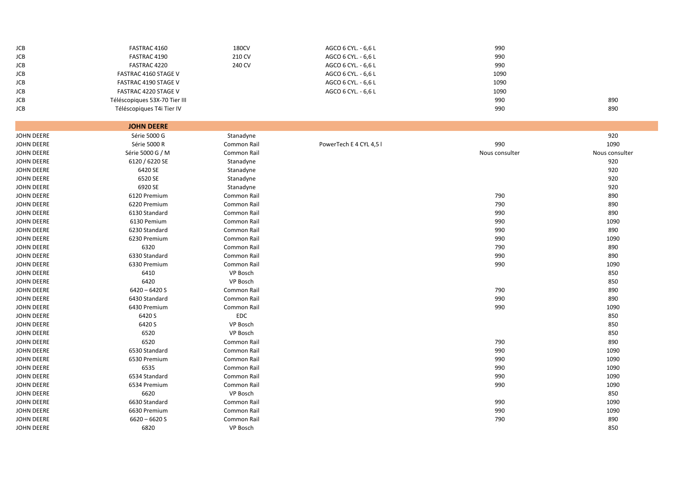| JCB | FASTRAC 4160                  | <b>180CV</b> | AGCO 6 CYL. - 6,6 L | 990  |     |
|-----|-------------------------------|--------------|---------------------|------|-----|
| JCB | FASTRAC 4190                  | 210 CV       | AGCO 6 CYL. - 6,6 L | 990  |     |
| JCB | FASTRAC 4220                  | 240 CV       | AGCO 6 CYL. - 6,6 L | 990  |     |
| JCB | <b>FASTRAC 4160 STAGE V</b>   |              | AGCO 6 CYL. - 6,6 L | 1090 |     |
| JCB | <b>FASTRAC 4190 STAGE V</b>   |              | AGCO 6 CYL. - 6,6 L | 1090 |     |
| JCB | <b>FASTRAC 4220 STAGE V</b>   |              | AGCO 6 CYL. - 6,6 L | 1090 |     |
| JCB | Téléscopiques 53X-70 Tier III |              |                     | 990  | 890 |
| JCB | Téléscopiques T4i Tier IV     |              |                     | 990  | 890 |
|     |                               |              |                     |      |     |

|                   | <b>JOHN DEERE</b> |             |                         |                |                |
|-------------------|-------------------|-------------|-------------------------|----------------|----------------|
| JOHN DEERE        | Série 5000 G      | Stanadyne   |                         |                | 920            |
| JOHN DEERE        | Série 5000 R      | Common Rail | PowerTech E 4 CYL 4,5 l | 990            | 1090           |
| JOHN DEERE        | Série 5000 G / M  | Common Rail |                         | Nous consulter | Nous consulter |
| JOHN DEERE        | 6120 / 6220 SE    | Stanadyne   |                         |                | 920            |
| JOHN DEERE        | 6420 SE           | Stanadyne   |                         |                | 920            |
| JOHN DEERE        | 6520 SE           | Stanadyne   |                         |                | 920            |
| <b>JOHN DEERE</b> | 6920 SE           | Stanadyne   |                         |                | 920            |
| JOHN DEERE        | 6120 Premium      | Common Rail |                         | 790            | 890            |
| JOHN DEERE        | 6220 Premium      | Common Rail |                         | 790            | 890            |
| JOHN DEERE        | 6130 Standard     | Common Rail |                         | 990            | 890            |
| JOHN DEERE        | 6130 Pemium       | Common Rail |                         | 990            | 1090           |
| JOHN DEERE        | 6230 Standard     | Common Rail |                         | 990            | 890            |
| JOHN DEERE        | 6230 Premium      | Common Rail |                         | 990            | 1090           |
| JOHN DEERE        | 6320              | Common Rail |                         | 790            | 890            |
| JOHN DEERE        | 6330 Standard     | Common Rail |                         | 990            | 890            |
| JOHN DEERE        | 6330 Premium      | Common Rail |                         | 990            | 1090           |
| JOHN DEERE        | 6410              | VP Bosch    |                         |                | 850            |
| JOHN DEERE        | 6420              | VP Bosch    |                         |                | 850            |
| JOHN DEERE        | $6420 - 6420S$    | Common Rail |                         | 790            | 890            |
| <b>JOHN DEERE</b> | 6430 Standard     | Common Rail |                         | 990            | 890            |
| JOHN DEERE        | 6430 Premium      | Common Rail |                         | 990            | 1090           |
| JOHN DEERE        | 6420 S            | EDC         |                         |                | 850            |
| JOHN DEERE        | 6420 S            | VP Bosch    |                         |                | 850            |
| <b>JOHN DEERE</b> | 6520              | VP Bosch    |                         |                | 850            |
| JOHN DEERE        | 6520              | Common Rail |                         | 790            | 890            |
| JOHN DEERE        | 6530 Standard     | Common Rail |                         | 990            | 1090           |
| JOHN DEERE        | 6530 Premium      | Common Rail |                         | 990            | 1090           |
| JOHN DEERE        | 6535              | Common Rail |                         | 990            | 1090           |
| JOHN DEERE        | 6534 Standard     | Common Rail |                         | 990            | 1090           |
| JOHN DEERE        | 6534 Premium      | Common Rail |                         | 990            | 1090           |
| JOHN DEERE        | 6620              | VP Bosch    |                         |                | 850            |
| JOHN DEERE        | 6630 Standard     | Common Rail |                         | 990            | 1090           |
| JOHN DEERE        | 6630 Premium      | Common Rail |                         | 990            | 1090           |
| JOHN DEERE        | $6620 - 6620$ S   | Common Rail |                         | 790            | 890            |
| <b>JOHN DEERE</b> | 6820              | VP Bosch    |                         |                | 850            |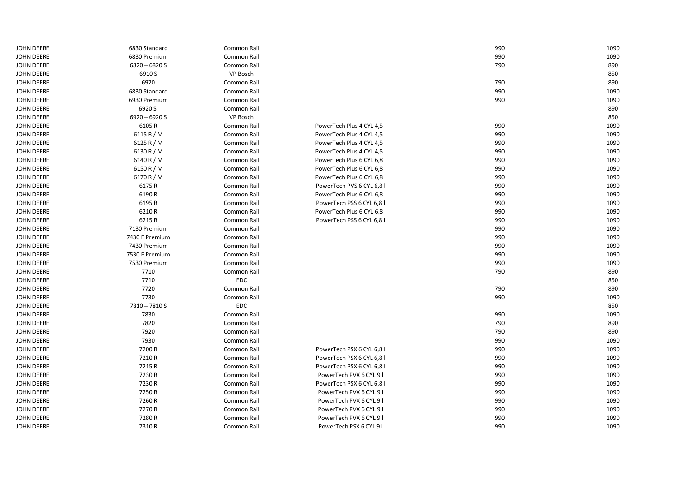| <b>JOHN DEERE</b> | 6830 Standard  | Common Rail |                            | 990 | 1090 |
|-------------------|----------------|-------------|----------------------------|-----|------|
| <b>JOHN DEERE</b> | 6830 Premium   | Common Rail |                            | 990 | 1090 |
| <b>JOHN DEERE</b> | $6820 - 6820S$ | Common Rail |                            | 790 | 890  |
| <b>JOHN DEERE</b> | 6910 S         | VP Bosch    |                            |     | 850  |
| <b>JOHN DEERE</b> | 6920           | Common Rail |                            | 790 | 890  |
| <b>JOHN DEERE</b> | 6830 Standard  | Common Rail |                            | 990 | 1090 |
| <b>JOHN DEERE</b> | 6930 Premium   | Common Rail |                            | 990 | 1090 |
| <b>JOHN DEERE</b> | 6920 S         | Common Rail |                            |     | 890  |
| <b>JOHN DEERE</b> | $6920 - 6920S$ | VP Bosch    |                            |     | 850  |
| <b>JOHN DEERE</b> | 6105R          | Common Rail | PowerTech Plus 4 CYL 4,5 l | 990 | 1090 |
| <b>JOHN DEERE</b> | 6115 R / M     | Common Rail | PowerTech Plus 4 CYL 4,5 l | 990 | 1090 |
| <b>JOHN DEERE</b> | 6125 R / M     | Common Rail | PowerTech Plus 4 CYL 4,5 l | 990 | 1090 |
| <b>JOHN DEERE</b> | 6130 R / M     | Common Rail | PowerTech Plus 4 CYL 4,5 l | 990 | 1090 |
| <b>JOHN DEERE</b> | 6140 R / M     | Common Rail | PowerTech Plus 6 CYL 6,8 I | 990 | 1090 |
| <b>JOHN DEERE</b> | 6150 R / M     | Common Rail | PowerTech Plus 6 CYL 6,8 l | 990 | 1090 |
| <b>JOHN DEERE</b> | 6170 R / M     | Common Rail | PowerTech Plus 6 CYL 6,8 l | 990 | 1090 |
| <b>JOHN DEERE</b> | 6175R          | Common Rail | PowerTech PVS 6 CYL 6,8 I  | 990 | 1090 |
| <b>JOHN DEERE</b> | 6190R          | Common Rail | PowerTech Plus 6 CYL 6,8 l | 990 | 1090 |
| <b>JOHN DEERE</b> | 6195R          | Common Rail | PowerTech PSS 6 CYL 6,8 l  | 990 | 1090 |
| <b>JOHN DEERE</b> | 6210R          | Common Rail | PowerTech Plus 6 CYL 6,8 I | 990 | 1090 |
| <b>JOHN DEERE</b> | 6215R          | Common Rail | PowerTech PSS 6 CYL 6,8 I  | 990 | 1090 |
| <b>JOHN DEERE</b> | 7130 Premium   | Common Rail |                            | 990 | 1090 |
| <b>JOHN DEERE</b> | 7430 E Premium | Common Rail |                            | 990 | 1090 |
| <b>JOHN DEERE</b> | 7430 Premium   | Common Rail |                            | 990 | 1090 |
| <b>JOHN DEERE</b> | 7530 E Premium | Common Rail |                            | 990 | 1090 |
| <b>JOHN DEERE</b> | 7530 Premium   | Common Rail |                            | 990 | 1090 |
| <b>JOHN DEERE</b> | 7710           | Common Rail |                            | 790 | 890  |
| <b>JOHN DEERE</b> | 7710           | <b>EDC</b>  |                            |     | 850  |
| <b>JOHN DEERE</b> | 7720           | Common Rail |                            | 790 | 890  |
| <b>JOHN DEERE</b> | 7730           | Common Rail |                            | 990 | 1090 |
| <b>JOHN DEERE</b> | $7810 - 7810S$ | <b>EDC</b>  |                            |     | 850  |
| <b>JOHN DEERE</b> | 7830           | Common Rail |                            | 990 | 1090 |
| <b>JOHN DEERE</b> | 7820           | Common Rail |                            | 790 | 890  |
| <b>JOHN DEERE</b> | 7920           | Common Rail |                            | 790 | 890  |
| <b>JOHN DEERE</b> | 7930           | Common Rail |                            | 990 | 1090 |
| <b>JOHN DEERE</b> | 7200 R         | Common Rail | PowerTech PSX 6 CYL 6,8 I  | 990 | 1090 |
| <b>JOHN DEERE</b> | 7210R          | Common Rail | PowerTech PSX 6 CYL 6,8 I  | 990 | 1090 |
| <b>JOHN DEERE</b> | 7215R          | Common Rail | PowerTech PSX 6 CYL 6,8 I  | 990 | 1090 |
| <b>JOHN DEERE</b> | 7230 R         | Common Rail | PowerTech PVX 6 CYL 9 I    | 990 | 1090 |
| <b>JOHN DEERE</b> | 7230R          | Common Rail | PowerTech PSX 6 CYL 6,8 I  | 990 | 1090 |
| <b>JOHN DEERE</b> | 7250R          | Common Rail | PowerTech PVX 6 CYL 9 I    | 990 | 1090 |
| <b>JOHN DEERE</b> | 7260R          | Common Rail | PowerTech PVX 6 CYL 9 I    | 990 | 1090 |
| <b>JOHN DEERE</b> | 7270R          | Common Rail | PowerTech PVX 6 CYL 9 I    | 990 | 1090 |
| <b>JOHN DEERE</b> | 7280R          | Common Rail | PowerTech PVX 6 CYL 9 I    | 990 | 1090 |
| <b>JOHN DEERE</b> | 7310R          | Common Rail | PowerTech PSX 6 CYL 9 I    | 990 | 1090 |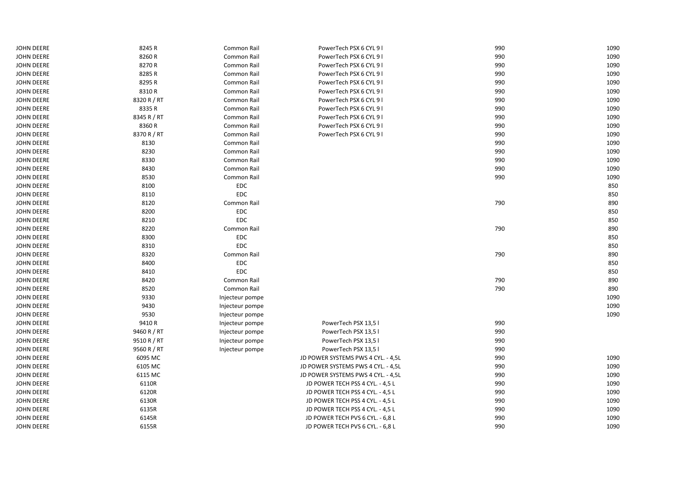| <b>JOHN DEERE</b> | 8245R       | Common Rail     | PowerTech PSX 6 CYL 9 I            | 990 | 1090 |
|-------------------|-------------|-----------------|------------------------------------|-----|------|
| <b>JOHN DEERE</b> | 8260R       | Common Rail     | PowerTech PSX 6 CYL 9 I            | 990 | 1090 |
| <b>JOHN DEERE</b> | 8270R       | Common Rail     | PowerTech PSX 6 CYL 9 I            | 990 | 1090 |
| JOHN DEERE        | 8285R       | Common Rail     | PowerTech PSX 6 CYL 9 I            | 990 | 1090 |
| <b>JOHN DEERE</b> | 8295R       | Common Rail     | PowerTech PSX 6 CYL 9 I            | 990 | 1090 |
| <b>JOHN DEERE</b> | 8310R       | Common Rail     | PowerTech PSX 6 CYL 9 I            | 990 | 1090 |
| JOHN DEERE        | 8320 R / RT | Common Rail     | PowerTech PSX 6 CYL 9 I            | 990 | 1090 |
| <b>JOHN DEERE</b> | 8335R       | Common Rail     | PowerTech PSX 6 CYL 9 I            | 990 | 1090 |
| <b>JOHN DEERE</b> | 8345 R / RT | Common Rail     | PowerTech PSX 6 CYL 9 I            | 990 | 1090 |
| <b>JOHN DEERE</b> | 8360R       | Common Rail     | PowerTech PSX 6 CYL 9 I            | 990 | 1090 |
| JOHN DEERE        | 8370 R / RT | Common Rail     | PowerTech PSX 6 CYL 9 I            | 990 | 1090 |
| <b>JOHN DEERE</b> | 8130        | Common Rail     |                                    | 990 | 1090 |
| JOHN DEERE        | 8230        | Common Rail     |                                    | 990 | 1090 |
| JOHN DEERE        | 8330        | Common Rail     |                                    | 990 | 1090 |
| <b>JOHN DEERE</b> | 8430        | Common Rail     |                                    | 990 | 1090 |
| JOHN DEERE        | 8530        | Common Rail     |                                    | 990 | 1090 |
| <b>JOHN DEERE</b> | 8100        | <b>EDC</b>      |                                    |     | 850  |
| JOHN DEERE        | 8110        | <b>EDC</b>      |                                    |     | 850  |
| JOHN DEERE        | 8120        | Common Rail     |                                    | 790 | 890  |
| JOHN DEERE        | 8200        | <b>EDC</b>      |                                    |     | 850  |
| <b>JOHN DEERE</b> | 8210        | <b>EDC</b>      |                                    |     | 850  |
| JOHN DEERE        | 8220        | Common Rail     |                                    | 790 | 890  |
| <b>JOHN DEERE</b> | 8300        | <b>EDC</b>      |                                    |     | 850  |
| JOHN DEERE        | 8310        | <b>EDC</b>      |                                    |     | 850  |
| <b>JOHN DEERE</b> | 8320        | Common Rail     |                                    | 790 | 890  |
| <b>JOHN DEERE</b> | 8400        | <b>EDC</b>      |                                    |     | 850  |
| JOHN DEERE        | 8410        | <b>EDC</b>      |                                    |     | 850  |
| <b>JOHN DEERE</b> | 8420        | Common Rail     |                                    | 790 | 890  |
| JOHN DEERE        | 8520        | Common Rail     |                                    | 790 | 890  |
| <b>JOHN DEERE</b> | 9330        | Injecteur pompe |                                    |     | 1090 |
| JOHN DEERE        | 9430        | Injecteur pompe |                                    |     | 1090 |
| <b>JOHN DEERE</b> | 9530        | Injecteur pompe |                                    |     | 1090 |
| JOHN DEERE        | 9410R       | Injecteur pompe | PowerTech PSX 13,5 l               | 990 |      |
| <b>JOHN DEERE</b> | 9460 R / RT | Injecteur pompe | PowerTech PSX 13,5 l               | 990 |      |
| <b>JOHN DEERE</b> | 9510 R / RT | Injecteur pompe | PowerTech PSX 13,5 l               | 990 |      |
| JOHN DEERE        | 9560 R / RT | Injecteur pompe | PowerTech PSX 13,51                | 990 |      |
| <b>JOHN DEERE</b> | 6095 MC     |                 | JD POWER SYSTEMS PWS 4 CYL. - 4,5L | 990 | 1090 |
| <b>JOHN DEERE</b> | 6105 MC     |                 | JD POWER SYSTEMS PWS 4 CYL. - 4,5L | 990 | 1090 |
| <b>JOHN DEERE</b> | 6115 MC     |                 | JD POWER SYSTEMS PWS 4 CYL. - 4,5L | 990 | 1090 |
| JOHN DEERE        | 6110R       |                 | JD POWER TECH PSS 4 CYL. - 4,5 L   | 990 | 1090 |
| <b>JOHN DEERE</b> | 6120R       |                 | JD POWER TECH PSS 4 CYL. - 4,5 L   | 990 | 1090 |
| JOHN DEERE        | 6130R       |                 | JD POWER TECH PSS 4 CYL. - 4,5 L   | 990 | 1090 |
| <b>JOHN DEERE</b> | 6135R       |                 | JD POWER TECH PSS 4 CYL. - 4,5 L   | 990 | 1090 |
| <b>JOHN DEERE</b> | 6145R       |                 | JD POWER TECH PVS 6 CYL. - 6,8 L   | 990 | 1090 |
| <b>JOHN DEERE</b> | 6155R       |                 | JD POWER TECH PVS 6 CYL. - 6,8 L   | 990 | 1090 |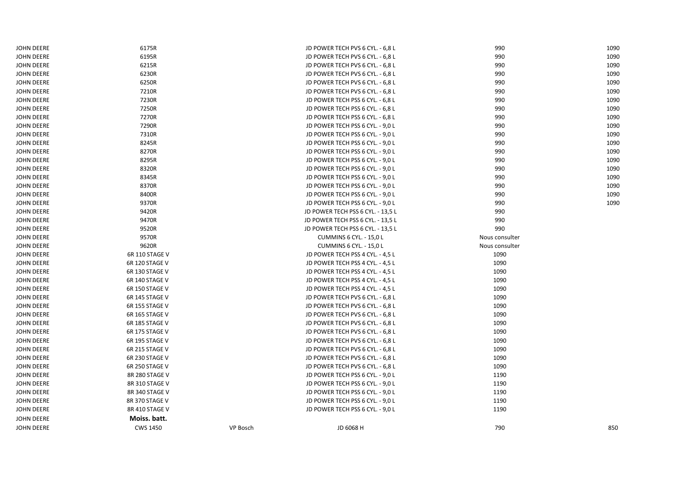| JOHN DEERE        | 6175R           |          | JD POWER TECH PVS 6 CYL. - 6,8 L  | 990            | 1090 |
|-------------------|-----------------|----------|-----------------------------------|----------------|------|
| <b>JOHN DEERE</b> | 6195R           |          | JD POWER TECH PVS 6 CYL. - 6,8 L  | 990            | 1090 |
| JOHN DEERE        | 6215R           |          | JD POWER TECH PVS 6 CYL. - 6,8 L  | 990            | 1090 |
| JOHN DEERE        | 6230R           |          | JD POWER TECH PVS 6 CYL. - 6,8 L  | 990            | 1090 |
| <b>JOHN DEERE</b> | 6250R           |          | JD POWER TECH PVS 6 CYL. - 6,8 L  | 990            | 1090 |
| <b>JOHN DEERE</b> | 7210R           |          | JD POWER TECH PVS 6 CYL. - 6,8 L  | 990            | 1090 |
| <b>JOHN DEERE</b> | 7230R           |          | JD POWER TECH PSS 6 CYL. - 6,8 L  | 990            | 1090 |
| <b>JOHN DEERE</b> | 7250R           |          | JD POWER TECH PSS 6 CYL. - 6,8 L  | 990            | 1090 |
| <b>JOHN DEERE</b> | 7270R           |          | JD POWER TECH PSS 6 CYL. - 6,8 L  | 990            | 1090 |
| <b>JOHN DEERE</b> | 7290R           |          | JD POWER TECH PSS 6 CYL. - 9,0 L  | 990            | 1090 |
| JOHN DEERE        | 7310R           |          | JD POWER TECH PSS 6 CYL. - 9,0 L  | 990            | 1090 |
| <b>JOHN DEERE</b> | 8245R           |          | JD POWER TECH PSS 6 CYL. - 9,0 L  | 990            | 1090 |
| <b>JOHN DEERE</b> | 8270R           |          | JD POWER TECH PSS 6 CYL. - 9,0 L  | 990            | 1090 |
| <b>JOHN DEERE</b> | 8295R           |          | JD POWER TECH PSS 6 CYL. - 9,0 L  | 990            | 1090 |
| <b>JOHN DEERE</b> | 8320R           |          | JD POWER TECH PSS 6 CYL. - 9,0 L  | 990            | 1090 |
| <b>JOHN DEERE</b> | 8345R           |          | JD POWER TECH PSS 6 CYL. - 9,0 L  | 990            | 1090 |
| <b>JOHN DEERE</b> | 8370R           |          | JD POWER TECH PSS 6 CYL. - 9,0 L  | 990            | 1090 |
| JOHN DEERE        | 8400R           |          | JD POWER TECH PSS 6 CYL. - 9,0 L  | 990            | 1090 |
| <b>JOHN DEERE</b> | 9370R           |          | JD POWER TECH PSS 6 CYL. - 9,0 L  | 990            | 1090 |
| <b>JOHN DEERE</b> | 9420R           |          | JD POWER TECH PSS 6 CYL. - 13,5 L | 990            |      |
| <b>JOHN DEERE</b> | 9470R           |          | JD POWER TECH PSS 6 CYL. - 13,5 L | 990            |      |
| <b>JOHN DEERE</b> | 9520R           |          | JD POWER TECH PSS 6 CYL. - 13,5 L | 990            |      |
| <b>JOHN DEERE</b> | 9570R           |          | CUMMINS 6 CYL. - 15,0 L           | Nous consulter |      |
| <b>JOHN DEERE</b> | 9620R           |          | CUMMINS 6 CYL. - 15,0 L           | Nous consulter |      |
| <b>JOHN DEERE</b> | 6R 110 STAGE V  |          | JD POWER TECH PSS 4 CYL. - 4,5 L  | 1090           |      |
| <b>JOHN DEERE</b> | 6R 120 STAGE V  |          | JD POWER TECH PSS 4 CYL. - 4,5 L  | 1090           |      |
| <b>JOHN DEERE</b> | 6R 130 STAGE V  |          | JD POWER TECH PSS 4 CYL. - 4,5 L  | 1090           |      |
| <b>JOHN DEERE</b> | 6R 140 STAGE V  |          | JD POWER TECH PSS 4 CYL. - 4,5 L  | 1090           |      |
| <b>JOHN DEERE</b> | 6R 150 STAGE V  |          | JD POWER TECH PSS 4 CYL. - 4,5 L  | 1090           |      |
| <b>JOHN DEERE</b> | 6R 145 STAGE V  |          | JD POWER TECH PVS 6 CYL. - 6,8 L  | 1090           |      |
| <b>JOHN DEERE</b> | 6R 155 STAGE V  |          | JD POWER TECH PVS 6 CYL. - 6,8 L  | 1090           |      |
| <b>JOHN DEERE</b> | 6R 165 STAGE V  |          | JD POWER TECH PVS 6 CYL. - 6,8 L  | 1090           |      |
| <b>JOHN DEERE</b> | 6R 185 STAGE V  |          | JD POWER TECH PVS 6 CYL. - 6,8 L  | 1090           |      |
| <b>JOHN DEERE</b> | 6R 175 STAGE V  |          | JD POWER TECH PVS 6 CYL. - 6,8 L  | 1090           |      |
| <b>JOHN DEERE</b> | 6R 195 STAGE V  |          | JD POWER TECH PVS 6 CYL. - 6,8 L  | 1090           |      |
| <b>JOHN DEERE</b> | 6R 215 STAGE V  |          | JD POWER TECH PVS 6 CYL. - 6,8 L  | 1090           |      |
| <b>JOHN DEERE</b> | 6R 230 STAGE V  |          | JD POWER TECH PVS 6 CYL. - 6,8 L  | 1090           |      |
| <b>JOHN DEERE</b> | 6R 250 STAGE V  |          | JD POWER TECH PVS 6 CYL. - 6,8 L  | 1090           |      |
| <b>JOHN DEERE</b> | 8R 280 STAGE V  |          | JD POWER TECH PSS 6 CYL. - 9,0 L  | 1190           |      |
| <b>JOHN DEERE</b> | 8R 310 STAGE V  |          | JD POWER TECH PSS 6 CYL. - 9,0 L  | 1190           |      |
| JOHN DEERE        | 8R 340 STAGE V  |          | JD POWER TECH PSS 6 CYL. - 9,0 L  | 1190           |      |
| <b>JOHN DEERE</b> | 8R 370 STAGE V  |          | JD POWER TECH PSS 6 CYL. - 9,0 L  | 1190           |      |
| <b>JOHN DEERE</b> | 8R 410 STAGE V  |          | JD POWER TECH PSS 6 CYL. - 9,0 L  | 1190           |      |
| <b>JOHN DEERE</b> | Moiss. batt.    |          |                                   |                |      |
| <b>JOHN DEERE</b> | <b>CWS 1450</b> | VP Bosch | JD 6068 H                         | 790            | 850  |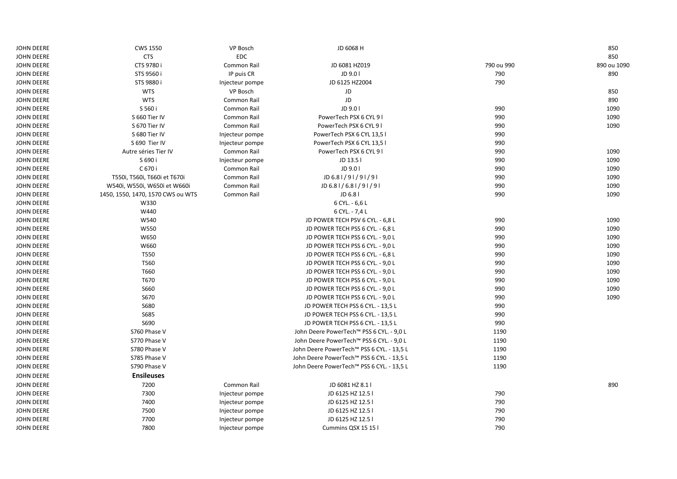| 850<br><b>JOHN DEERE</b><br><b>CTS</b><br><b>EDC</b><br><b>JOHN DEERE</b><br>CTS 9780 i<br>JD 6081 HZ019<br>790 ou 990<br>Common Rail<br><b>JOHN DEERE</b><br>STS 9560 i<br>IP puis CR<br>JD 9.01<br>790<br>890<br>790<br>STS 9880 i<br>JD 6125 HZ2004<br>Injecteur pompe<br><b>JOHN DEERE</b><br><b>WTS</b><br><b>VP Bosch</b><br>JD<br>850<br>JD<br><b>WTS</b><br>890<br>JOHN DEERE<br>Common Rail<br>990<br><b>JOHN DEERE</b><br>S 560 i<br>JD 9.01<br>1090<br>Common Rail<br>990<br><b>JOHN DEERE</b><br>S 660 Tier IV<br>PowerTech PSX 6 CYL 9 I<br>1090<br>Common Rail<br><b>JOHN DEERE</b><br>990<br>1090<br>S 670 Tier IV<br>Common Rail<br>PowerTech PSX 6 CYL 9 I<br><b>JOHN DEERE</b><br>S 680 Tier IV<br>PowerTech PSX 6 CYL 13,5 I<br>990<br>Injecteur pompe<br><b>JOHN DEERE</b><br>S 690 Tier IV<br>PowerTech PSX 6 CYL 13,5 I<br>990<br>Injecteur pompe<br>990<br><b>JOHN DEERE</b><br>1090<br>Autre séries Tier IV<br>Common Rail<br>PowerTech PSX 6 CYL 9 I<br><b>JOHN DEERE</b><br>S 690 i<br>JD 13.5 I<br>990<br>1090<br>Injecteur pompe<br>C 670 i<br>JD 9.01<br>990<br>JOHN DEERE<br>Common Rail<br>1090<br>990<br><b>JOHN DEERE</b><br>JD 6.81/91/91/91<br>1090<br>T550i, T560i, T660i et T670i<br>Common Rail<br>990<br><b>JOHN DEERE</b><br>1090<br>W540i, W550i, W650i et W660i<br>Common Rail<br>$JD 6.8$   $/6.8$   $/9$   $/9$  <br>990<br><b>JOHN DEERE</b><br>1450, 1550, 1470, 1570 CWS ou WTS<br>Common Rail<br>JD 6.81<br>1090<br><b>JOHN DEERE</b><br>W330<br>6 CYL. - 6,6 L<br><b>JOHN DEERE</b><br>W440<br>6 CYL. - 7,4 L<br>990<br><b>JOHN DEERE</b><br>W540<br>JD POWER TECH PSV 6 CYL. - 6,8 L<br>1090<br>990<br><b>JOHN DEERE</b><br>W550<br>JD POWER TECH PSS 6 CYL. - 6,8 L<br>1090<br>W650<br>990<br>JOHN DEERE<br>JD POWER TECH PSS 6 CYL. - 9,0 L<br>1090<br>990<br><b>JOHN DEERE</b><br>W660<br>JD POWER TECH PSS 6 CYL. - 9,0 L<br>1090<br><b>JOHN DEERE</b><br>T550<br>990<br>1090<br>JD POWER TECH PSS 6 CYL. - 6,8 L<br>T560<br>990<br>1090<br>JOHN DEERE<br>JD POWER TECH PSS 6 CYL. - 9,0 L<br>990<br><b>JOHN DEERE</b><br>T660<br>1090<br>JD POWER TECH PSS 6 CYL. - 9,0 L<br><b>JOHN DEERE</b><br>T670<br>990<br>1090<br>JD POWER TECH PSS 6 CYL. - 9,0 L<br>S660<br>990<br><b>JOHN DEERE</b><br>1090<br>JD POWER TECH PSS 6 CYL. - 9,0 L<br>S670<br>990<br><b>JOHN DEERE</b><br>JD POWER TECH PSS 6 CYL. - 9,0 L<br>1090<br>S680<br>990<br>JD POWER TECH PSS 6 CYL. - 13,5 L<br>S685<br>990<br><b>JOHN DEERE</b><br>JD POWER TECH PSS 6 CYL. - 13,5 L<br><b>JOHN DEERE</b><br>S690<br>990<br>JD POWER TECH PSS 6 CYL. - 13,5 L<br><b>JOHN DEERE</b><br>John Deere PowerTech™ PSS 6 CYL. - 9,0 L<br>1190<br>S760 Phase V<br>1190<br><b>JOHN DEERE</b><br>S770 Phase V<br>John Deere PowerTech™ PSS 6 CYL. - 9,0 L<br><b>JOHN DEERE</b><br>S780 Phase V<br>John Deere PowerTech™ PSS 6 CYL. - 13,5 L<br>1190<br>S785 Phase V<br>John Deere PowerTech™ PSS 6 CYL. - 13,5 L<br>1190<br>S790 Phase V<br>1190<br><b>JOHN DEERE</b><br>John Deere PowerTech™ PSS 6 CYL. - 13,5 L<br><b>Ensileuses</b><br>JOHN DEERE<br><b>JOHN DEERE</b><br>7200<br>890<br>Common Rail<br>JD 6081 HZ 8.1  <br><b>JOHN DEERE</b><br>7300<br>790<br>JD 6125 HZ 12.5 I<br>Injecteur pompe<br>7400<br>790<br>JOHN DEERE<br>JD 6125 HZ 12.5<br>Injecteur pompe<br><b>JOHN DEERE</b><br>7500<br>JD 6125 HZ 12.5 I<br>790<br>Injecteur pompe<br>7700<br>790<br>JOHN DEERE<br>JD 6125 HZ 12.5 I<br>Injecteur pompe<br>7800<br>790<br>JOHN DEERE<br>Cummins QSX 15 15 I<br>Injecteur pompe | JOHN DEERE        | <b>CWS 1550</b> | VP Bosch | JD 6068 H | 850         |
|--------------------------------------------------------------------------------------------------------------------------------------------------------------------------------------------------------------------------------------------------------------------------------------------------------------------------------------------------------------------------------------------------------------------------------------------------------------------------------------------------------------------------------------------------------------------------------------------------------------------------------------------------------------------------------------------------------------------------------------------------------------------------------------------------------------------------------------------------------------------------------------------------------------------------------------------------------------------------------------------------------------------------------------------------------------------------------------------------------------------------------------------------------------------------------------------------------------------------------------------------------------------------------------------------------------------------------------------------------------------------------------------------------------------------------------------------------------------------------------------------------------------------------------------------------------------------------------------------------------------------------------------------------------------------------------------------------------------------------------------------------------------------------------------------------------------------------------------------------------------------------------------------------------------------------------------------------------------------------------------------------------------------------------------------------------------------------------------------------------------------------------------------------------------------------------------------------------------------------------------------------------------------------------------------------------------------------------------------------------------------------------------------------------------------------------------------------------------------------------------------------------------------------------------------------------------------------------------------------------------------------------------------------------------------------------------------------------------------------------------------------------------------------------------------------------------------------------------------------------------------------------------------------------------------------------------------------------------------------------------------------------------------------------------------------------------------------------------------------------------------------------------------------------------------------------------------------------------------------------------------------------------------------------------------------------------------------------------------------------------------------------------------------------------------------------------------------------------------------------------------------------------|-------------------|-----------------|----------|-----------|-------------|
|                                                                                                                                                                                                                                                                                                                                                                                                                                                                                                                                                                                                                                                                                                                                                                                                                                                                                                                                                                                                                                                                                                                                                                                                                                                                                                                                                                                                                                                                                                                                                                                                                                                                                                                                                                                                                                                                                                                                                                                                                                                                                                                                                                                                                                                                                                                                                                                                                                                                                                                                                                                                                                                                                                                                                                                                                                                                                                                                                                                                                                                                                                                                                                                                                                                                                                                                                                                                                                                                                                                    |                   |                 |          |           |             |
|                                                                                                                                                                                                                                                                                                                                                                                                                                                                                                                                                                                                                                                                                                                                                                                                                                                                                                                                                                                                                                                                                                                                                                                                                                                                                                                                                                                                                                                                                                                                                                                                                                                                                                                                                                                                                                                                                                                                                                                                                                                                                                                                                                                                                                                                                                                                                                                                                                                                                                                                                                                                                                                                                                                                                                                                                                                                                                                                                                                                                                                                                                                                                                                                                                                                                                                                                                                                                                                                                                                    |                   |                 |          |           | 890 ou 1090 |
|                                                                                                                                                                                                                                                                                                                                                                                                                                                                                                                                                                                                                                                                                                                                                                                                                                                                                                                                                                                                                                                                                                                                                                                                                                                                                                                                                                                                                                                                                                                                                                                                                                                                                                                                                                                                                                                                                                                                                                                                                                                                                                                                                                                                                                                                                                                                                                                                                                                                                                                                                                                                                                                                                                                                                                                                                                                                                                                                                                                                                                                                                                                                                                                                                                                                                                                                                                                                                                                                                                                    |                   |                 |          |           |             |
|                                                                                                                                                                                                                                                                                                                                                                                                                                                                                                                                                                                                                                                                                                                                                                                                                                                                                                                                                                                                                                                                                                                                                                                                                                                                                                                                                                                                                                                                                                                                                                                                                                                                                                                                                                                                                                                                                                                                                                                                                                                                                                                                                                                                                                                                                                                                                                                                                                                                                                                                                                                                                                                                                                                                                                                                                                                                                                                                                                                                                                                                                                                                                                                                                                                                                                                                                                                                                                                                                                                    | <b>JOHN DEERE</b> |                 |          |           |             |
|                                                                                                                                                                                                                                                                                                                                                                                                                                                                                                                                                                                                                                                                                                                                                                                                                                                                                                                                                                                                                                                                                                                                                                                                                                                                                                                                                                                                                                                                                                                                                                                                                                                                                                                                                                                                                                                                                                                                                                                                                                                                                                                                                                                                                                                                                                                                                                                                                                                                                                                                                                                                                                                                                                                                                                                                                                                                                                                                                                                                                                                                                                                                                                                                                                                                                                                                                                                                                                                                                                                    |                   |                 |          |           |             |
|                                                                                                                                                                                                                                                                                                                                                                                                                                                                                                                                                                                                                                                                                                                                                                                                                                                                                                                                                                                                                                                                                                                                                                                                                                                                                                                                                                                                                                                                                                                                                                                                                                                                                                                                                                                                                                                                                                                                                                                                                                                                                                                                                                                                                                                                                                                                                                                                                                                                                                                                                                                                                                                                                                                                                                                                                                                                                                                                                                                                                                                                                                                                                                                                                                                                                                                                                                                                                                                                                                                    |                   |                 |          |           |             |
|                                                                                                                                                                                                                                                                                                                                                                                                                                                                                                                                                                                                                                                                                                                                                                                                                                                                                                                                                                                                                                                                                                                                                                                                                                                                                                                                                                                                                                                                                                                                                                                                                                                                                                                                                                                                                                                                                                                                                                                                                                                                                                                                                                                                                                                                                                                                                                                                                                                                                                                                                                                                                                                                                                                                                                                                                                                                                                                                                                                                                                                                                                                                                                                                                                                                                                                                                                                                                                                                                                                    |                   |                 |          |           |             |
|                                                                                                                                                                                                                                                                                                                                                                                                                                                                                                                                                                                                                                                                                                                                                                                                                                                                                                                                                                                                                                                                                                                                                                                                                                                                                                                                                                                                                                                                                                                                                                                                                                                                                                                                                                                                                                                                                                                                                                                                                                                                                                                                                                                                                                                                                                                                                                                                                                                                                                                                                                                                                                                                                                                                                                                                                                                                                                                                                                                                                                                                                                                                                                                                                                                                                                                                                                                                                                                                                                                    |                   |                 |          |           |             |
|                                                                                                                                                                                                                                                                                                                                                                                                                                                                                                                                                                                                                                                                                                                                                                                                                                                                                                                                                                                                                                                                                                                                                                                                                                                                                                                                                                                                                                                                                                                                                                                                                                                                                                                                                                                                                                                                                                                                                                                                                                                                                                                                                                                                                                                                                                                                                                                                                                                                                                                                                                                                                                                                                                                                                                                                                                                                                                                                                                                                                                                                                                                                                                                                                                                                                                                                                                                                                                                                                                                    |                   |                 |          |           |             |
|                                                                                                                                                                                                                                                                                                                                                                                                                                                                                                                                                                                                                                                                                                                                                                                                                                                                                                                                                                                                                                                                                                                                                                                                                                                                                                                                                                                                                                                                                                                                                                                                                                                                                                                                                                                                                                                                                                                                                                                                                                                                                                                                                                                                                                                                                                                                                                                                                                                                                                                                                                                                                                                                                                                                                                                                                                                                                                                                                                                                                                                                                                                                                                                                                                                                                                                                                                                                                                                                                                                    |                   |                 |          |           |             |
|                                                                                                                                                                                                                                                                                                                                                                                                                                                                                                                                                                                                                                                                                                                                                                                                                                                                                                                                                                                                                                                                                                                                                                                                                                                                                                                                                                                                                                                                                                                                                                                                                                                                                                                                                                                                                                                                                                                                                                                                                                                                                                                                                                                                                                                                                                                                                                                                                                                                                                                                                                                                                                                                                                                                                                                                                                                                                                                                                                                                                                                                                                                                                                                                                                                                                                                                                                                                                                                                                                                    |                   |                 |          |           |             |
|                                                                                                                                                                                                                                                                                                                                                                                                                                                                                                                                                                                                                                                                                                                                                                                                                                                                                                                                                                                                                                                                                                                                                                                                                                                                                                                                                                                                                                                                                                                                                                                                                                                                                                                                                                                                                                                                                                                                                                                                                                                                                                                                                                                                                                                                                                                                                                                                                                                                                                                                                                                                                                                                                                                                                                                                                                                                                                                                                                                                                                                                                                                                                                                                                                                                                                                                                                                                                                                                                                                    |                   |                 |          |           |             |
|                                                                                                                                                                                                                                                                                                                                                                                                                                                                                                                                                                                                                                                                                                                                                                                                                                                                                                                                                                                                                                                                                                                                                                                                                                                                                                                                                                                                                                                                                                                                                                                                                                                                                                                                                                                                                                                                                                                                                                                                                                                                                                                                                                                                                                                                                                                                                                                                                                                                                                                                                                                                                                                                                                                                                                                                                                                                                                                                                                                                                                                                                                                                                                                                                                                                                                                                                                                                                                                                                                                    |                   |                 |          |           |             |
|                                                                                                                                                                                                                                                                                                                                                                                                                                                                                                                                                                                                                                                                                                                                                                                                                                                                                                                                                                                                                                                                                                                                                                                                                                                                                                                                                                                                                                                                                                                                                                                                                                                                                                                                                                                                                                                                                                                                                                                                                                                                                                                                                                                                                                                                                                                                                                                                                                                                                                                                                                                                                                                                                                                                                                                                                                                                                                                                                                                                                                                                                                                                                                                                                                                                                                                                                                                                                                                                                                                    |                   |                 |          |           |             |
|                                                                                                                                                                                                                                                                                                                                                                                                                                                                                                                                                                                                                                                                                                                                                                                                                                                                                                                                                                                                                                                                                                                                                                                                                                                                                                                                                                                                                                                                                                                                                                                                                                                                                                                                                                                                                                                                                                                                                                                                                                                                                                                                                                                                                                                                                                                                                                                                                                                                                                                                                                                                                                                                                                                                                                                                                                                                                                                                                                                                                                                                                                                                                                                                                                                                                                                                                                                                                                                                                                                    |                   |                 |          |           |             |
|                                                                                                                                                                                                                                                                                                                                                                                                                                                                                                                                                                                                                                                                                                                                                                                                                                                                                                                                                                                                                                                                                                                                                                                                                                                                                                                                                                                                                                                                                                                                                                                                                                                                                                                                                                                                                                                                                                                                                                                                                                                                                                                                                                                                                                                                                                                                                                                                                                                                                                                                                                                                                                                                                                                                                                                                                                                                                                                                                                                                                                                                                                                                                                                                                                                                                                                                                                                                                                                                                                                    |                   |                 |          |           |             |
|                                                                                                                                                                                                                                                                                                                                                                                                                                                                                                                                                                                                                                                                                                                                                                                                                                                                                                                                                                                                                                                                                                                                                                                                                                                                                                                                                                                                                                                                                                                                                                                                                                                                                                                                                                                                                                                                                                                                                                                                                                                                                                                                                                                                                                                                                                                                                                                                                                                                                                                                                                                                                                                                                                                                                                                                                                                                                                                                                                                                                                                                                                                                                                                                                                                                                                                                                                                                                                                                                                                    |                   |                 |          |           |             |
|                                                                                                                                                                                                                                                                                                                                                                                                                                                                                                                                                                                                                                                                                                                                                                                                                                                                                                                                                                                                                                                                                                                                                                                                                                                                                                                                                                                                                                                                                                                                                                                                                                                                                                                                                                                                                                                                                                                                                                                                                                                                                                                                                                                                                                                                                                                                                                                                                                                                                                                                                                                                                                                                                                                                                                                                                                                                                                                                                                                                                                                                                                                                                                                                                                                                                                                                                                                                                                                                                                                    |                   |                 |          |           |             |
|                                                                                                                                                                                                                                                                                                                                                                                                                                                                                                                                                                                                                                                                                                                                                                                                                                                                                                                                                                                                                                                                                                                                                                                                                                                                                                                                                                                                                                                                                                                                                                                                                                                                                                                                                                                                                                                                                                                                                                                                                                                                                                                                                                                                                                                                                                                                                                                                                                                                                                                                                                                                                                                                                                                                                                                                                                                                                                                                                                                                                                                                                                                                                                                                                                                                                                                                                                                                                                                                                                                    |                   |                 |          |           |             |
|                                                                                                                                                                                                                                                                                                                                                                                                                                                                                                                                                                                                                                                                                                                                                                                                                                                                                                                                                                                                                                                                                                                                                                                                                                                                                                                                                                                                                                                                                                                                                                                                                                                                                                                                                                                                                                                                                                                                                                                                                                                                                                                                                                                                                                                                                                                                                                                                                                                                                                                                                                                                                                                                                                                                                                                                                                                                                                                                                                                                                                                                                                                                                                                                                                                                                                                                                                                                                                                                                                                    |                   |                 |          |           |             |
|                                                                                                                                                                                                                                                                                                                                                                                                                                                                                                                                                                                                                                                                                                                                                                                                                                                                                                                                                                                                                                                                                                                                                                                                                                                                                                                                                                                                                                                                                                                                                                                                                                                                                                                                                                                                                                                                                                                                                                                                                                                                                                                                                                                                                                                                                                                                                                                                                                                                                                                                                                                                                                                                                                                                                                                                                                                                                                                                                                                                                                                                                                                                                                                                                                                                                                                                                                                                                                                                                                                    |                   |                 |          |           |             |
|                                                                                                                                                                                                                                                                                                                                                                                                                                                                                                                                                                                                                                                                                                                                                                                                                                                                                                                                                                                                                                                                                                                                                                                                                                                                                                                                                                                                                                                                                                                                                                                                                                                                                                                                                                                                                                                                                                                                                                                                                                                                                                                                                                                                                                                                                                                                                                                                                                                                                                                                                                                                                                                                                                                                                                                                                                                                                                                                                                                                                                                                                                                                                                                                                                                                                                                                                                                                                                                                                                                    |                   |                 |          |           |             |
|                                                                                                                                                                                                                                                                                                                                                                                                                                                                                                                                                                                                                                                                                                                                                                                                                                                                                                                                                                                                                                                                                                                                                                                                                                                                                                                                                                                                                                                                                                                                                                                                                                                                                                                                                                                                                                                                                                                                                                                                                                                                                                                                                                                                                                                                                                                                                                                                                                                                                                                                                                                                                                                                                                                                                                                                                                                                                                                                                                                                                                                                                                                                                                                                                                                                                                                                                                                                                                                                                                                    |                   |                 |          |           |             |
|                                                                                                                                                                                                                                                                                                                                                                                                                                                                                                                                                                                                                                                                                                                                                                                                                                                                                                                                                                                                                                                                                                                                                                                                                                                                                                                                                                                                                                                                                                                                                                                                                                                                                                                                                                                                                                                                                                                                                                                                                                                                                                                                                                                                                                                                                                                                                                                                                                                                                                                                                                                                                                                                                                                                                                                                                                                                                                                                                                                                                                                                                                                                                                                                                                                                                                                                                                                                                                                                                                                    |                   |                 |          |           |             |
|                                                                                                                                                                                                                                                                                                                                                                                                                                                                                                                                                                                                                                                                                                                                                                                                                                                                                                                                                                                                                                                                                                                                                                                                                                                                                                                                                                                                                                                                                                                                                                                                                                                                                                                                                                                                                                                                                                                                                                                                                                                                                                                                                                                                                                                                                                                                                                                                                                                                                                                                                                                                                                                                                                                                                                                                                                                                                                                                                                                                                                                                                                                                                                                                                                                                                                                                                                                                                                                                                                                    |                   |                 |          |           |             |
|                                                                                                                                                                                                                                                                                                                                                                                                                                                                                                                                                                                                                                                                                                                                                                                                                                                                                                                                                                                                                                                                                                                                                                                                                                                                                                                                                                                                                                                                                                                                                                                                                                                                                                                                                                                                                                                                                                                                                                                                                                                                                                                                                                                                                                                                                                                                                                                                                                                                                                                                                                                                                                                                                                                                                                                                                                                                                                                                                                                                                                                                                                                                                                                                                                                                                                                                                                                                                                                                                                                    |                   |                 |          |           |             |
|                                                                                                                                                                                                                                                                                                                                                                                                                                                                                                                                                                                                                                                                                                                                                                                                                                                                                                                                                                                                                                                                                                                                                                                                                                                                                                                                                                                                                                                                                                                                                                                                                                                                                                                                                                                                                                                                                                                                                                                                                                                                                                                                                                                                                                                                                                                                                                                                                                                                                                                                                                                                                                                                                                                                                                                                                                                                                                                                                                                                                                                                                                                                                                                                                                                                                                                                                                                                                                                                                                                    |                   |                 |          |           |             |
|                                                                                                                                                                                                                                                                                                                                                                                                                                                                                                                                                                                                                                                                                                                                                                                                                                                                                                                                                                                                                                                                                                                                                                                                                                                                                                                                                                                                                                                                                                                                                                                                                                                                                                                                                                                                                                                                                                                                                                                                                                                                                                                                                                                                                                                                                                                                                                                                                                                                                                                                                                                                                                                                                                                                                                                                                                                                                                                                                                                                                                                                                                                                                                                                                                                                                                                                                                                                                                                                                                                    |                   |                 |          |           |             |
|                                                                                                                                                                                                                                                                                                                                                                                                                                                                                                                                                                                                                                                                                                                                                                                                                                                                                                                                                                                                                                                                                                                                                                                                                                                                                                                                                                                                                                                                                                                                                                                                                                                                                                                                                                                                                                                                                                                                                                                                                                                                                                                                                                                                                                                                                                                                                                                                                                                                                                                                                                                                                                                                                                                                                                                                                                                                                                                                                                                                                                                                                                                                                                                                                                                                                                                                                                                                                                                                                                                    |                   |                 |          |           |             |
|                                                                                                                                                                                                                                                                                                                                                                                                                                                                                                                                                                                                                                                                                                                                                                                                                                                                                                                                                                                                                                                                                                                                                                                                                                                                                                                                                                                                                                                                                                                                                                                                                                                                                                                                                                                                                                                                                                                                                                                                                                                                                                                                                                                                                                                                                                                                                                                                                                                                                                                                                                                                                                                                                                                                                                                                                                                                                                                                                                                                                                                                                                                                                                                                                                                                                                                                                                                                                                                                                                                    | <b>JOHN DEERE</b> |                 |          |           |             |
|                                                                                                                                                                                                                                                                                                                                                                                                                                                                                                                                                                                                                                                                                                                                                                                                                                                                                                                                                                                                                                                                                                                                                                                                                                                                                                                                                                                                                                                                                                                                                                                                                                                                                                                                                                                                                                                                                                                                                                                                                                                                                                                                                                                                                                                                                                                                                                                                                                                                                                                                                                                                                                                                                                                                                                                                                                                                                                                                                                                                                                                                                                                                                                                                                                                                                                                                                                                                                                                                                                                    |                   |                 |          |           |             |
|                                                                                                                                                                                                                                                                                                                                                                                                                                                                                                                                                                                                                                                                                                                                                                                                                                                                                                                                                                                                                                                                                                                                                                                                                                                                                                                                                                                                                                                                                                                                                                                                                                                                                                                                                                                                                                                                                                                                                                                                                                                                                                                                                                                                                                                                                                                                                                                                                                                                                                                                                                                                                                                                                                                                                                                                                                                                                                                                                                                                                                                                                                                                                                                                                                                                                                                                                                                                                                                                                                                    |                   |                 |          |           |             |
|                                                                                                                                                                                                                                                                                                                                                                                                                                                                                                                                                                                                                                                                                                                                                                                                                                                                                                                                                                                                                                                                                                                                                                                                                                                                                                                                                                                                                                                                                                                                                                                                                                                                                                                                                                                                                                                                                                                                                                                                                                                                                                                                                                                                                                                                                                                                                                                                                                                                                                                                                                                                                                                                                                                                                                                                                                                                                                                                                                                                                                                                                                                                                                                                                                                                                                                                                                                                                                                                                                                    |                   |                 |          |           |             |
|                                                                                                                                                                                                                                                                                                                                                                                                                                                                                                                                                                                                                                                                                                                                                                                                                                                                                                                                                                                                                                                                                                                                                                                                                                                                                                                                                                                                                                                                                                                                                                                                                                                                                                                                                                                                                                                                                                                                                                                                                                                                                                                                                                                                                                                                                                                                                                                                                                                                                                                                                                                                                                                                                                                                                                                                                                                                                                                                                                                                                                                                                                                                                                                                                                                                                                                                                                                                                                                                                                                    |                   |                 |          |           |             |
|                                                                                                                                                                                                                                                                                                                                                                                                                                                                                                                                                                                                                                                                                                                                                                                                                                                                                                                                                                                                                                                                                                                                                                                                                                                                                                                                                                                                                                                                                                                                                                                                                                                                                                                                                                                                                                                                                                                                                                                                                                                                                                                                                                                                                                                                                                                                                                                                                                                                                                                                                                                                                                                                                                                                                                                                                                                                                                                                                                                                                                                                                                                                                                                                                                                                                                                                                                                                                                                                                                                    |                   |                 |          |           |             |
|                                                                                                                                                                                                                                                                                                                                                                                                                                                                                                                                                                                                                                                                                                                                                                                                                                                                                                                                                                                                                                                                                                                                                                                                                                                                                                                                                                                                                                                                                                                                                                                                                                                                                                                                                                                                                                                                                                                                                                                                                                                                                                                                                                                                                                                                                                                                                                                                                                                                                                                                                                                                                                                                                                                                                                                                                                                                                                                                                                                                                                                                                                                                                                                                                                                                                                                                                                                                                                                                                                                    | <b>JOHN DEERE</b> |                 |          |           |             |
|                                                                                                                                                                                                                                                                                                                                                                                                                                                                                                                                                                                                                                                                                                                                                                                                                                                                                                                                                                                                                                                                                                                                                                                                                                                                                                                                                                                                                                                                                                                                                                                                                                                                                                                                                                                                                                                                                                                                                                                                                                                                                                                                                                                                                                                                                                                                                                                                                                                                                                                                                                                                                                                                                                                                                                                                                                                                                                                                                                                                                                                                                                                                                                                                                                                                                                                                                                                                                                                                                                                    |                   |                 |          |           |             |
|                                                                                                                                                                                                                                                                                                                                                                                                                                                                                                                                                                                                                                                                                                                                                                                                                                                                                                                                                                                                                                                                                                                                                                                                                                                                                                                                                                                                                                                                                                                                                                                                                                                                                                                                                                                                                                                                                                                                                                                                                                                                                                                                                                                                                                                                                                                                                                                                                                                                                                                                                                                                                                                                                                                                                                                                                                                                                                                                                                                                                                                                                                                                                                                                                                                                                                                                                                                                                                                                                                                    |                   |                 |          |           |             |
|                                                                                                                                                                                                                                                                                                                                                                                                                                                                                                                                                                                                                                                                                                                                                                                                                                                                                                                                                                                                                                                                                                                                                                                                                                                                                                                                                                                                                                                                                                                                                                                                                                                                                                                                                                                                                                                                                                                                                                                                                                                                                                                                                                                                                                                                                                                                                                                                                                                                                                                                                                                                                                                                                                                                                                                                                                                                                                                                                                                                                                                                                                                                                                                                                                                                                                                                                                                                                                                                                                                    |                   |                 |          |           |             |
|                                                                                                                                                                                                                                                                                                                                                                                                                                                                                                                                                                                                                                                                                                                                                                                                                                                                                                                                                                                                                                                                                                                                                                                                                                                                                                                                                                                                                                                                                                                                                                                                                                                                                                                                                                                                                                                                                                                                                                                                                                                                                                                                                                                                                                                                                                                                                                                                                                                                                                                                                                                                                                                                                                                                                                                                                                                                                                                                                                                                                                                                                                                                                                                                                                                                                                                                                                                                                                                                                                                    |                   |                 |          |           |             |
|                                                                                                                                                                                                                                                                                                                                                                                                                                                                                                                                                                                                                                                                                                                                                                                                                                                                                                                                                                                                                                                                                                                                                                                                                                                                                                                                                                                                                                                                                                                                                                                                                                                                                                                                                                                                                                                                                                                                                                                                                                                                                                                                                                                                                                                                                                                                                                                                                                                                                                                                                                                                                                                                                                                                                                                                                                                                                                                                                                                                                                                                                                                                                                                                                                                                                                                                                                                                                                                                                                                    |                   |                 |          |           |             |
|                                                                                                                                                                                                                                                                                                                                                                                                                                                                                                                                                                                                                                                                                                                                                                                                                                                                                                                                                                                                                                                                                                                                                                                                                                                                                                                                                                                                                                                                                                                                                                                                                                                                                                                                                                                                                                                                                                                                                                                                                                                                                                                                                                                                                                                                                                                                                                                                                                                                                                                                                                                                                                                                                                                                                                                                                                                                                                                                                                                                                                                                                                                                                                                                                                                                                                                                                                                                                                                                                                                    |                   |                 |          |           |             |
|                                                                                                                                                                                                                                                                                                                                                                                                                                                                                                                                                                                                                                                                                                                                                                                                                                                                                                                                                                                                                                                                                                                                                                                                                                                                                                                                                                                                                                                                                                                                                                                                                                                                                                                                                                                                                                                                                                                                                                                                                                                                                                                                                                                                                                                                                                                                                                                                                                                                                                                                                                                                                                                                                                                                                                                                                                                                                                                                                                                                                                                                                                                                                                                                                                                                                                                                                                                                                                                                                                                    |                   |                 |          |           |             |
|                                                                                                                                                                                                                                                                                                                                                                                                                                                                                                                                                                                                                                                                                                                                                                                                                                                                                                                                                                                                                                                                                                                                                                                                                                                                                                                                                                                                                                                                                                                                                                                                                                                                                                                                                                                                                                                                                                                                                                                                                                                                                                                                                                                                                                                                                                                                                                                                                                                                                                                                                                                                                                                                                                                                                                                                                                                                                                                                                                                                                                                                                                                                                                                                                                                                                                                                                                                                                                                                                                                    |                   |                 |          |           |             |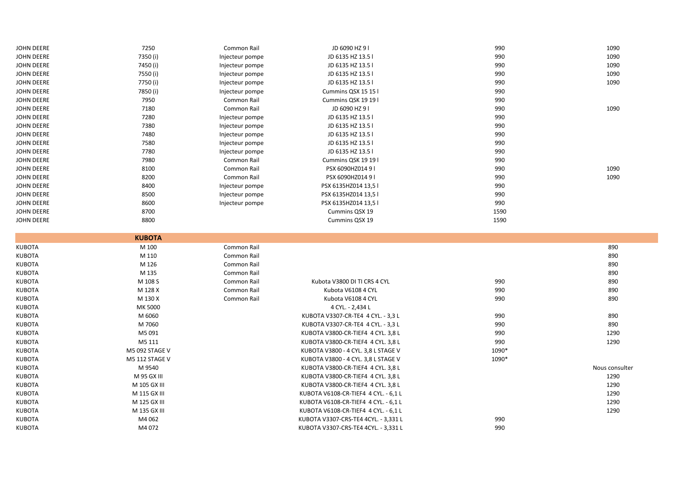| JOHN DEERE | 7250     | Common Rail     | JD 6090 HZ 9 I      | 990  | 1090 |
|------------|----------|-----------------|---------------------|------|------|
| JOHN DEERE | 7350 (i) | Injecteur pompe | JD 6135 HZ 13.51    | 990  | 1090 |
| JOHN DEERE | 7450 (i) | Injecteur pompe | JD 6135 HZ 13.51    | 990  | 1090 |
| JOHN DEERE | 7550 (i) | Injecteur pompe | JD 6135 HZ 13.5 I   | 990  | 1090 |
| JOHN DEERE | 7750 (i) | Injecteur pompe | JD 6135 HZ 13.5 I   | 990  | 1090 |
| JOHN DEERE | 7850 (i) | Injecteur pompe | Cummins QSX 15 15 I | 990  |      |
| JOHN DEERE | 7950     | Common Rail     | Cummins QSK 19191   | 990  |      |
| JOHN DEERE | 7180     | Common Rail     | JD 6090 HZ 9 I      | 990  | 1090 |
| JOHN DEERE | 7280     | Injecteur pompe | JD 6135 HZ 13.51    | 990  |      |
| JOHN DEERE | 7380     | Injecteur pompe | JD 6135 HZ 13.5 I   | 990  |      |
| JOHN DEERE | 7480     | Injecteur pompe | JD 6135 HZ 13.5 I   | 990  |      |
| JOHN DEERE | 7580     | Injecteur pompe | JD 6135 HZ 13.51    | 990  |      |
| JOHN DEERE | 7780     | Injecteur pompe | JD 6135 HZ 13.5 I   | 990  |      |
| JOHN DEERE | 7980     | Common Rail     | Cummins QSK 19191   | 990  |      |
| JOHN DEERE | 8100     | Common Rail     | PSX 6090HZ014 9 I   | 990  | 1090 |
| JOHN DEERE | 8200     | Common Rail     | PSX 6090HZ014 9 I   | 990  | 1090 |
| JOHN DEERE | 8400     | Injecteur pompe | PSX 6135HZ014 13,5  | 990  |      |
| JOHN DEERE | 8500     | Injecteur pompe | PSX 6135HZ014 13,5  | 990  |      |
| JOHN DEERE | 8600     | Injecteur pompe | PSX 6135HZ014 13,5  | 990  |      |
| JOHN DEERE | 8700     |                 | Cummins QSX 19      | 1590 |      |
| JOHN DEERE | 8800     |                 | Cummins QSX 19      | 1590 |      |

|               | <b>KUBOTA</b>  |             |                                      |       |                |
|---------------|----------------|-------------|--------------------------------------|-------|----------------|
| KUBOTA        | M 100          | Common Rail |                                      |       | 890            |
| <b>KUBOTA</b> | M 110          | Common Rail |                                      |       | 890            |
| KUBOTA        | M 126          | Common Rail |                                      |       | 890            |
| <b>KUBOTA</b> | M 135          | Common Rail |                                      |       | 890            |
| <b>KUBOTA</b> | M 108 S        | Common Rail | Kubota V3800 DI TI CRS 4 CYL         | 990   | 890            |
| <b>KUBOTA</b> | M 128 X        | Common Rail | Kubota V6108 4 CYL                   | 990   | 890            |
| <b>KUBOTA</b> | M 130 X        | Common Rail | Kubota V6108 4 CYL                   | 990   | 890            |
| <b>KUBOTA</b> | MK 5000        |             | 4 CYL. - 2,434 L                     |       |                |
| <b>KUBOTA</b> | M 6060         |             | KUBOTA V3307-CR-TE4 4 CYL. - 3,3 L   | 990   | 890            |
| <b>KUBOTA</b> | M 7060         |             | KUBOTA V3307-CR-TE4 4 CYL. - 3,3 L   | 990   | 890            |
| KUBOTA        | M5 091         |             | KUBOTA V3800-CR-TIEF4 4 CYL. 3,8 L   | 990   | 1290           |
| <b>KUBOTA</b> | M5 111         |             | KUBOTA V3800-CR-TIEF4 4 CYL. 3,8 L   | 990   | 1290           |
| <b>KUBOTA</b> | M5 092 STAGE V |             | KUBOTA V3800 - 4 CYL. 3,8 L STAGE V  | 1090* |                |
| KUBOTA        | M5 112 STAGE V |             | KUBOTA V3800 - 4 CYL. 3,8 L STAGE V  | 1090* |                |
| <b>KUBOTA</b> | M 9540         |             | KUBOTA V3800-CR-TIEF4 4 CYL. 3,8 L   |       | Nous consulter |
| <b>KUBOTA</b> | M 95 GX III    |             | KUBOTA V3800-CR-TIEF4 4 CYL. 3,8 L   |       | 1290           |
| KUBOTA        | M 105 GX III   |             | KUBOTA V3800-CR-TIEF4 4 CYL. 3,8 L   |       | 1290           |
| KUBOTA        | M 115 GX III   |             | KUBOTA V6108-CR-TIEF4 4 CYL. - 6,1 L |       | 1290           |
| <b>KUBOTA</b> | M 125 GX III   |             | KUBOTA V6108-CR-TIEF4 4 CYL. - 6,1 L |       | 1290           |
| <b>KUBOTA</b> | M 135 GX III   |             | KUBOTA V6108-CR-TIEF4 4 CYL. - 6,1 L |       | 1290           |
| <b>KUBOTA</b> | M4 062         |             | KUBOTA V3307-CRS-TE4 4CYL. - 3,331 L | 990   |                |
| KUBOTA        | M4 072         |             | KUBOTA V3307-CRS-TE4 4CYL. - 3,331 L | 990   |                |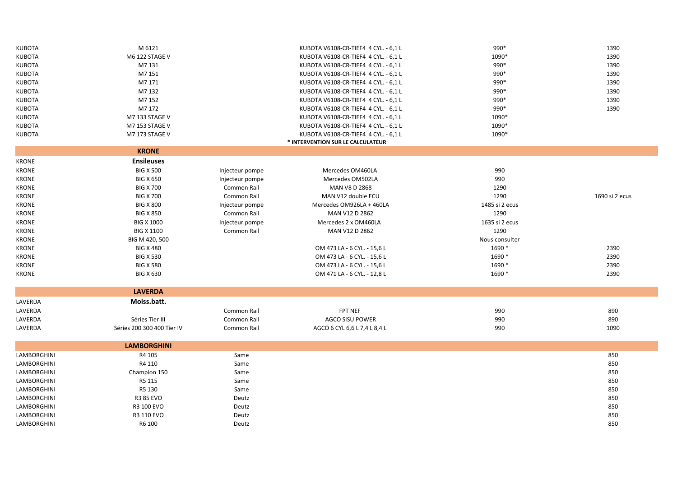| <b>KUBOTA</b> | M 6121                     |                 | KUBOTA V6108-CR-TIEF4 4 CYL. - 6,1 L | 990*           | 1390           |
|---------------|----------------------------|-----------------|--------------------------------------|----------------|----------------|
| <b>KUBOTA</b> | M6 122 STAGE V             |                 | KUBOTA V6108-CR-TIEF4 4 CYL. - 6,1 L | 1090*          | 1390           |
| <b>KUBOTA</b> | M7 131                     |                 | KUBOTA V6108-CR-TIEF4 4 CYL. - 6,1 L | 990*           | 1390           |
| <b>KUBOTA</b> | M7 151                     |                 | KUBOTA V6108-CR-TIEF4 4 CYL. - 6,1 L | 990*           | 1390           |
| <b>KUBOTA</b> | M7 171                     |                 | KUBOTA V6108-CR-TIEF4 4 CYL. - 6,1 L | 990*           | 1390           |
| <b>KUBOTA</b> | M7 132                     |                 | KUBOTA V6108-CR-TIEF4 4 CYL. - 6,1 L | 990*           | 1390           |
| <b>KUBOTA</b> | M7 152                     |                 | KUBOTA V6108-CR-TIEF4 4 CYL. - 6,1 L | 990*           | 1390           |
| <b>KUBOTA</b> | M7 172                     |                 | KUBOTA V6108-CR-TIEF4 4 CYL. - 6,1 L | 990*           | 1390           |
| <b>KUBOTA</b> | M7 133 STAGE V             |                 | KUBOTA V6108-CR-TIEF4 4 CYL. - 6,1 L | 1090*          |                |
| <b>KUBOTA</b> | M7 153 STAGE V             |                 | KUBOTA V6108-CR-TIEF4 4 CYL. - 6,1 L | 1090*          |                |
| <b>KUBOTA</b> | M7 173 STAGE V             |                 | KUBOTA V6108-CR-TIEF4 4 CYL. - 6,1 L | 1090*          |                |
|               |                            |                 | * INTERVENTION SUR LE CALCULATEUR    |                |                |
|               | <b>KRONE</b>               |                 |                                      |                |                |
| <b>KRONE</b>  | <b>Ensileuses</b>          |                 |                                      |                |                |
| <b>KRONE</b>  | <b>BIG X 500</b>           | Injecteur pompe | Mercedes OM460LA                     | 990            |                |
| <b>KRONE</b>  | <b>BIG X 650</b>           | Injecteur pompe | Mercedes OM502LA                     | 990            |                |
| <b>KRONE</b>  | <b>BIG X 700</b>           | Common Rail     | MAN V8 D 2868                        | 1290           |                |
| <b>KRONE</b>  | <b>BIG X 700</b>           | Common Rail     | MAN V12 double ECU                   | 1290           | 1690 si 2 ecus |
| <b>KRONE</b>  | <b>BIG X 800</b>           | Injecteur pompe | Mercedes OM926LA + 460LA             | 1485 si 2 ecus |                |
| <b>KRONE</b>  | <b>BIG X 850</b>           | Common Rail     | MAN V12 D 2862                       | 1290           |                |
| <b>KRONE</b>  | <b>BIG X 1000</b>          | Injecteur pompe | Mercedes 2 x OM460LA                 | 1635 si 2 ecus |                |
| <b>KRONE</b>  | <b>BIG X 1100</b>          | Common Rail     | MAN V12 D 2862                       | 1290           |                |
| <b>KRONE</b>  | BIG M 420, 500             |                 |                                      | Nous consulter |                |
| <b>KRONE</b>  | <b>BIG X 480</b>           |                 | OM 473 LA - 6 CYL. - 15,6 L          | 1690 *         | 2390           |
| <b>KRONE</b>  | <b>BIG X 530</b>           |                 | OM 473 LA - 6 CYL. - 15,6 L          | 1690 *         | 2390           |
| <b>KRONE</b>  | <b>BIG X 580</b>           |                 | OM 473 LA - 6 CYL. - 15,6 L          | 1690 *         | 2390           |
| <b>KRONE</b>  | <b>BIG X 630</b>           |                 | OM 471 LA - 6 CYL. - 12,8 L          | 1690 *         | 2390           |
|               |                            |                 |                                      |                |                |
|               | <b>LAVERDA</b>             |                 |                                      |                |                |
| LAVERDA       | Moiss.batt.                |                 |                                      |                |                |
| LAVERDA       |                            | Common Rail     | <b>FPT NEF</b>                       | 990            | 890            |
| LAVERDA       | Séries Tier III            | Common Rail     | <b>AGCO SISU POWER</b>               | 990            | 890            |
| LAVERDA       | Séries 200 300 400 Tier IV | Common Rail     | AGCO 6 CYL 6,6 L 7,4 L 8,4 L         | 990            | 1090           |
|               |                            |                 |                                      |                |                |
|               | <b>LAMBORGHINI</b>         |                 |                                      |                |                |
| LAMBORGHINI   | R4 105                     | Same            |                                      |                | 850            |
| LAMBORGHINI   | R4 110                     | Same            |                                      |                | 850            |
| LAMBORGHINI   | Champion 150               | Same            |                                      |                | 850            |
| LAMBORGHINI   | R5 115                     | Same            |                                      |                | 850            |
| LAMBORGHINI   | R5 130                     | Same            |                                      |                | 850            |
| LAMBORGHINI   | R3 85 EVO                  | Deutz           |                                      |                | 850            |
| LAMBORGHINI   | R3 100 EVO                 | Deutz           |                                      |                | 850            |
| LAMBORGHINI   | R3 110 EVO                 | Deutz           |                                      |                | 850            |
| LAMBORGHINI   | R6 100                     | Deutz           |                                      |                | 850            |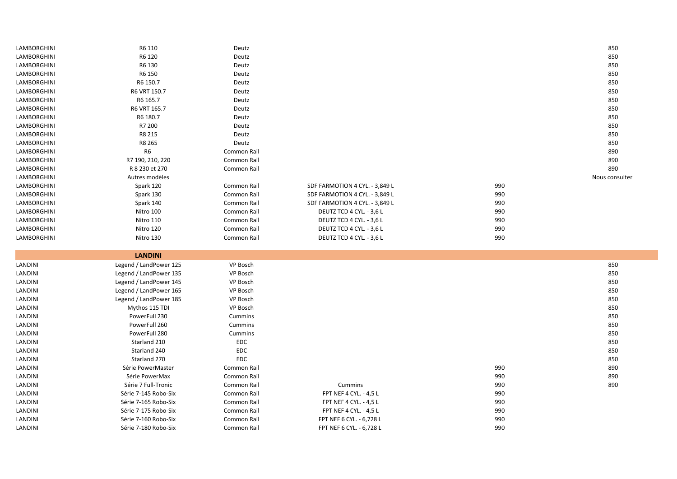| LAMBORGHINI | R6 110                 | Deutz       |                                |     | 850            |
|-------------|------------------------|-------------|--------------------------------|-----|----------------|
| LAMBORGHINI | R6 120                 | Deutz       |                                |     | 850            |
| LAMBORGHINI | R6 130                 | Deutz       |                                |     | 850            |
| LAMBORGHINI | R6 150                 | Deutz       |                                |     | 850            |
| LAMBORGHINI | R6 150.7               | Deutz       |                                |     | 850            |
| LAMBORGHINI | R6 VRT 150.7           | Deutz       |                                |     | 850            |
| LAMBORGHINI | R6 165.7               | Deutz       |                                |     | 850            |
| LAMBORGHINI | R6 VRT 165.7           | Deutz       |                                |     | 850            |
| LAMBORGHINI | R6 180.7               | Deutz       |                                |     | 850            |
| LAMBORGHINI | R7 200                 | Deutz       |                                |     | 850            |
| LAMBORGHINI | R8 215                 | Deutz       |                                |     | 850            |
| LAMBORGHINI | R8 265                 | Deutz       |                                |     | 850            |
| LAMBORGHINI | R <sub>6</sub>         | Common Rail |                                |     | 890            |
| LAMBORGHINI | R7 190, 210, 220       | Common Rail |                                |     | 890            |
| LAMBORGHINI | R 8 230 et 270         | Common Rail |                                |     | 890            |
| LAMBORGHINI | Autres modèles         |             |                                |     | Nous consulter |
| LAMBORGHINI | Spark 120              | Common Rail | SDF FARMOTION 4 CYL. - 3,849 L | 990 |                |
| LAMBORGHINI | Spark 130              | Common Rail | SDF FARMOTION 4 CYL. - 3,849 L | 990 |                |
| LAMBORGHINI | Spark 140              | Common Rail | SDF FARMOTION 4 CYL. - 3,849 L | 990 |                |
| LAMBORGHINI | Nitro 100              | Common Rail | DEUTZ TCD 4 CYL. - 3,6 L       | 990 |                |
| LAMBORGHINI | Nitro 110              | Common Rail | DEUTZ TCD 4 CYL. - 3,6 L       | 990 |                |
| LAMBORGHINI | Nitro 120              | Common Rail | DEUTZ TCD 4 CYL. - 3,6 L       | 990 |                |
|             |                        |             |                                | 990 |                |
| LAMBORGHINI | Nitro 130              | Common Rail | DEUTZ TCD 4 CYL. - 3,6 L       |     |                |
|             |                        |             |                                |     |                |
|             | <b>LANDINI</b>         |             |                                |     |                |
| LANDINI     | Legend / LandPower 125 | VP Bosch    |                                |     | 850            |
| LANDINI     | Legend / LandPower 135 | VP Bosch    |                                |     | 850            |
| LANDINI     | Legend / LandPower 145 | VP Bosch    |                                |     | 850            |
| LANDINI     | Legend / LandPower 165 | VP Bosch    |                                |     | 850            |
| LANDINI     | Legend / LandPower 185 | VP Bosch    |                                |     | 850            |
| LANDINI     | Mythos 115 TDI         | VP Bosch    |                                |     | 850            |
| LANDINI     | PowerFull 230          | Cummins     |                                |     | 850            |
| LANDINI     | PowerFull 260          | Cummins     |                                |     | 850            |
| LANDINI     | PowerFull 280          | Cummins     |                                |     | 850            |
| LANDINI     | Starland 210           | <b>EDC</b>  |                                |     | 850            |
| LANDINI     | Starland 240           | <b>EDC</b>  |                                |     | 850            |
| LANDINI     | Starland 270           | EDC         |                                |     | 850            |
| LANDINI     | Série PowerMaster      | Common Rail |                                | 990 | 890            |
| LANDINI     | Série PowerMax         | Common Rail |                                | 990 | 890            |
| LANDINI     | Série 7 Full-Tronic    | Common Rail | Cummins                        | 990 | 890            |
| LANDINI     | Série 7-145 Robo-Six   | Common Rail | FPT NEF 4 CYL. - 4,5 L         | 990 |                |
| LANDINI     | Série 7-165 Robo-Six   | Common Rail | FPT NEF 4 CYL. - 4,5 L         | 990 |                |
| LANDINI     | Série 7-175 Robo-Six   | Common Rail | FPT NEF 4 CYL. - 4,5 L         | 990 |                |
| LANDINI     | Série 7-160 Robo-Six   | Common Rail | FPT NEF 6 CYL. - 6,728 L       | 990 |                |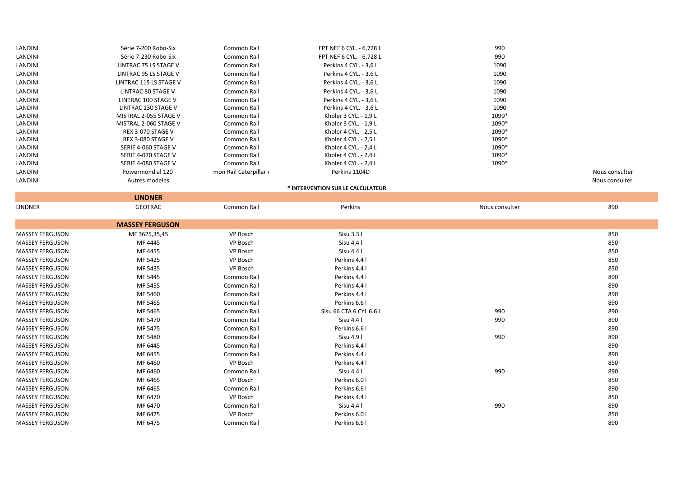| LANDINI | Série 7-200 Robo-Six      | Common Rail            | FPT NEF 6 CYL. - 6,728 L | 990   |                |
|---------|---------------------------|------------------------|--------------------------|-------|----------------|
| LANDINI | Série 7-230 Robo-Six      | Common Rail            | FPT NEF 6 CYL. - 6,728 L | 990   |                |
| LANDINI | LINTRAC 75 LS STAGE V     | Common Rail            | Perkins 4 CYL. - 3,6 L   | 1090  |                |
| LANDINI | LINTRAC 95 LS STAGE V     | Common Rail            | Perkins 4 CYL. - 3,6 L   | 1090  |                |
| LANDINI | LINTRAC 115 LS STAGE V    | <b>Common Rail</b>     | Perkins 4 CYL. - 3,6 L   | 1090  |                |
| LANDINI | <b>LINTRAC 80 STAGE V</b> | Common Rail            | Perkins 4 CYL. - 3,6 L   | 1090  |                |
| LANDINI | LINTRAC 100 STAGE V       | Common Rail            | Perkins 4 CYL. - 3,6 L   | 1090  |                |
| LANDINI | LINTRAC 130 STAGE V       | Common Rail            | Perkins 4 CYL. - 3,6 L   | 1090  |                |
| LANDINI | MISTRAL 2-055 STAGE V     | Common Rail            | Kholer 3 CYL. - 1,9 L    | 1090* |                |
| LANDINI | MISTRAL 2-060 STAGE V     | Common Rail            | Kholer 3 CYL. - 1,9 L    | 1090* |                |
| LANDINI | REX 3-070 STAGE V         | Common Rail            | Kholer 4 CYL. - 2,5 L    | 1090* |                |
| LANDINI | REX 3-080 STAGE V         | Common Rail            | Kholer 4 CYL. - 2,5 L    | 1090* |                |
| LANDINI | SERIE 4-060 STAGE V       | Common Rail            | Kholer 4 CYL. - 2,4 L    | 1090* |                |
| LANDINI | SERIE 4-070 STAGE V       | Common Rail            | Kholer 4 CYL. - 2,4 L    | 1090* |                |
| LANDINI | SERIE 4-080 STAGE V       | Common Rail            | Kholer 4 CYL. - 2,4 L    | 1090* |                |
| LANDINI | Powermondial 120          | mon Rail Caterpillar / | Perkins 1104D            |       | Nous consulter |
| LANDINI | Autres modèles            |                        |                          |       | Nous consulter |
|         |                           |                        |                          |       |                |

## **\* INTERVENTION SUR LE CALCULATEUR**

LINDNER GEOTRAC Common Rail Perkins Nous consulter 890

**LINDNER**

|                        | <b>MASSEY FERGUSON</b> |                 |                       |     |     |
|------------------------|------------------------|-----------------|-----------------------|-----|-----|
| <b>MASSEY FERGUSON</b> | MF 3625,35,45          | VP Bosch        | Sisu 3.3 l            |     | 850 |
| <b>MASSEY FERGUSON</b> | MF 4445                | VP Bosch        | Sisu 4.4              |     | 850 |
| <b>MASSEY FERGUSON</b> | MF 4455                | VP Bosch        | Sisu 4.4 l            |     | 850 |
| <b>MASSEY FERGUSON</b> | MF 5425                | <b>VP Bosch</b> | Perkins 4.4 l         |     | 850 |
| <b>MASSEY FERGUSON</b> | MF 5435                | VP Bosch        | Perkins 4.4 l         |     | 850 |
| <b>MASSEY FERGUSON</b> | MF 5445                | Common Rail     | Perkins 4.4 l         |     | 890 |
| <b>MASSEY FERGUSON</b> | MF 5455                | Common Rail     | Perkins 4.4 l         |     | 890 |
| <b>MASSEY FERGUSON</b> | MF 5460                | Common Rail     | Perkins 4.4 l         |     | 890 |
| <b>MASSEY FERGUSON</b> | MF 5465                | Common Rail     | Perkins 6.6 l         |     | 890 |
| <b>MASSEY FERGUSON</b> | MF 5465                | Common Rail     | Sisu 66 CTA 6 CYL 6.6 | 990 | 890 |
| <b>MASSEY FERGUSON</b> | MF 5470                | Common Rail     | Sisu 4.4 l            | 990 | 890 |
| <b>MASSEY FERGUSON</b> | MF 5475                | Common Rail     | Perkins 6.6 I         |     | 890 |
| <b>MASSEY FERGUSON</b> | MF 5480                | Common Rail     | Sisu 4.91             | 990 | 890 |
| <b>MASSEY FERGUSON</b> | MF 6445                | Common Rail     | Perkins 4.4 l         |     | 890 |
| <b>MASSEY FERGUSON</b> | MF 6455                | Common Rail     | Perkins 4.4 l         |     | 890 |
| <b>MASSEY FERGUSON</b> | MF 6460                | VP Bosch        | Perkins 4.4 l         |     | 850 |
| <b>MASSEY FERGUSON</b> | MF 6460                | Common Rail     | Sisu 4.4 l            | 990 | 890 |
| <b>MASSEY FERGUSON</b> | MF 6465                | <b>VP Bosch</b> | Perkins 6.0 l         |     | 850 |
| <b>MASSEY FERGUSON</b> | MF 6465                | Common Rail     | Perkins 6.6 I         |     | 890 |
| <b>MASSEY FERGUSON</b> | MF 6470                | <b>VP Bosch</b> | Perkins 4.4 l         |     | 850 |
| <b>MASSEY FERGUSON</b> | MF 6470                | Common Rail     | Sisu 4.4 l            | 990 | 890 |
| <b>MASSEY FERGUSON</b> | MF 6475                | VP Bosch        | Perkins 6.01          |     | 850 |
| <b>MASSEY FERGUSON</b> | MF 6475                | Common Rail     | Perkins 6.6 l         |     | 890 |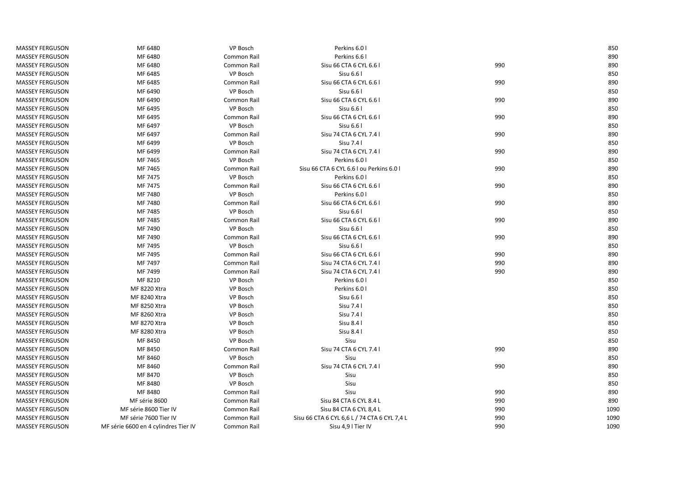| <b>MASSEY FERGUSON</b> | MF 6480                              | VP Bosch    | Perkins 6.0 l                                |     | 850  |
|------------------------|--------------------------------------|-------------|----------------------------------------------|-----|------|
| <b>MASSEY FERGUSON</b> | MF 6480                              | Common Rail | Perkins 6.6                                  |     | 890  |
| <b>MASSEY FERGUSON</b> | MF 6480                              | Common Rail | Sisu 66 CTA 6 CYL 6.6 I                      | 990 | 890  |
| <b>MASSEY FERGUSON</b> | MF 6485                              | VP Bosch    | Sisu 6.6 l                                   |     | 850  |
| <b>MASSEY FERGUSON</b> | MF 6485                              | Common Rail | Sisu 66 CTA 6 CYL 6.6 I                      | 990 | 890  |
| <b>MASSEY FERGUSON</b> | MF 6490                              | VP Bosch    | Sisu 6.6                                     |     | 850  |
| <b>MASSEY FERGUSON</b> | MF 6490                              | Common Rail | Sisu 66 CTA 6 CYL 6.6 I                      | 990 | 890  |
| <b>MASSEY FERGUSON</b> | MF 6495                              | VP Bosch    | Sisu 6.6 l                                   |     | 850  |
| <b>MASSEY FERGUSON</b> | MF 6495                              | Common Rail | Sisu 66 CTA 6 CYL 6.6 I                      | 990 | 890  |
| <b>MASSEY FERGUSON</b> | MF 6497                              | VP Bosch    | Sisu 6.6 l                                   |     | 850  |
| <b>MASSEY FERGUSON</b> | MF 6497                              | Common Rail | Sisu 74 CTA 6 CYL 7.4 l                      | 990 | 890  |
| <b>MASSEY FERGUSON</b> | MF 6499                              | VP Bosch    | Sisu 7.4 l                                   |     | 850  |
| <b>MASSEY FERGUSON</b> | MF 6499                              | Common Rail | Sisu 74 CTA 6 CYL 7.4 l                      | 990 | 890  |
| <b>MASSEY FERGUSON</b> | MF 7465                              | VP Bosch    | Perkins 6.0 l                                |     | 850  |
| <b>MASSEY FERGUSON</b> | MF 7465                              | Common Rail | Sisu 66 CTA 6 CYL 6.6   ou Perkins 6.0       | 990 | 890  |
| <b>MASSEY FERGUSON</b> | MF 7475                              | VP Bosch    | Perkins 6.0 l                                |     | 850  |
| <b>MASSEY FERGUSON</b> | MF 7475                              | Common Rail | Sisu 66 CTA 6 CYL 6.6 I                      | 990 | 890  |
| <b>MASSEY FERGUSON</b> | MF 7480                              | VP Bosch    | Perkins 6.0 l                                |     | 850  |
| <b>MASSEY FERGUSON</b> | MF 7480                              | Common Rail | Sisu 66 CTA 6 CYL 6.6 I                      | 990 | 890  |
| <b>MASSEY FERGUSON</b> | MF 7485                              | VP Bosch    | Sisu 6.6 l                                   |     | 850  |
| <b>MASSEY FERGUSON</b> | MF 7485                              | Common Rail | Sisu 66 CTA 6 CYL 6.6 I                      | 990 | 890  |
| <b>MASSEY FERGUSON</b> | MF 7490                              | VP Bosch    | Sisu 6.6 l                                   |     | 850  |
| <b>MASSEY FERGUSON</b> | MF 7490                              | Common Rail | Sisu 66 CTA 6 CYL 6.6 l                      | 990 | 890  |
| <b>MASSEY FERGUSON</b> | MF 7495                              | VP Bosch    | Sisu 6.6 l                                   |     | 850  |
| <b>MASSEY FERGUSON</b> | MF 7495                              | Common Rail | Sisu 66 CTA 6 CYL 6.6 I                      | 990 | 890  |
| <b>MASSEY FERGUSON</b> | MF 7497                              | Common Rail | Sisu 74 CTA 6 CYL 7.4 l                      | 990 | 890  |
| <b>MASSEY FERGUSON</b> | MF 7499                              | Common Rail | Sisu 74 CTA 6 CYL 7.4 l                      | 990 | 890  |
| <b>MASSEY FERGUSON</b> | MF 8210                              | VP Bosch    | Perkins 6.0 l                                |     | 850  |
| <b>MASSEY FERGUSON</b> | MF 8220 Xtra                         | VP Bosch    | Perkins 6.0 l                                |     | 850  |
| <b>MASSEY FERGUSON</b> | MF 8240 Xtra                         | VP Bosch    | Sisu 6.6 l                                   |     | 850  |
| <b>MASSEY FERGUSON</b> | MF 8250 Xtra                         | VP Bosch    | Sisu 7.4 l                                   |     | 850  |
| <b>MASSEY FERGUSON</b> | MF 8260 Xtra                         | VP Bosch    | Sisu 7.4 l                                   |     | 850  |
| <b>MASSEY FERGUSON</b> | MF 8270 Xtra                         | VP Bosch    | Sisu 8.4 l                                   |     | 850  |
| <b>MASSEY FERGUSON</b> | MF 8280 Xtra                         | VP Bosch    | Sisu 8.4 l                                   |     | 850  |
| <b>MASSEY FERGUSON</b> | MF 8450                              | VP Bosch    | Sisu                                         |     | 850  |
| <b>MASSEY FERGUSON</b> | MF 8450                              | Common Rail | Sisu 74 CTA 6 CYL 7.4 l                      | 990 | 890  |
| <b>MASSEY FERGUSON</b> | MF 8460                              | VP Bosch    | Sisu                                         |     | 850  |
| <b>MASSEY FERGUSON</b> | MF 8460                              | Common Rail | Sisu 74 CTA 6 CYL 7.4 I                      | 990 | 890  |
| <b>MASSEY FERGUSON</b> | MF 8470                              | VP Bosch    | Sisu                                         |     | 850  |
| <b>MASSEY FERGUSON</b> | MF 8480                              | VP Bosch    | Sisu                                         |     | 850  |
| <b>MASSEY FERGUSON</b> | MF 8480                              | Common Rail | Sisu                                         | 990 | 890  |
| <b>MASSEY FERGUSON</b> | MF série 8600                        | Common Rail | Sisu 84 CTA 6 CYL 8.4 L                      | 990 | 890  |
| <b>MASSEY FERGUSON</b> | MF série 8600 Tier IV                | Common Rail | Sisu 84 CTA 6 CYL 8,4 L                      | 990 | 1090 |
| <b>MASSEY FERGUSON</b> | MF série 7600 Tier IV                | Common Rail | Sisu 66 CTA 6 CYL 6,6 L / 74 CTA 6 CYL 7,4 L | 990 | 1090 |
| <b>MASSEY FERGUSON</b> | MF série 6600 en 4 cylindres Tier IV | Common Rail | Sisu 4,9   Tier IV                           | 990 | 1090 |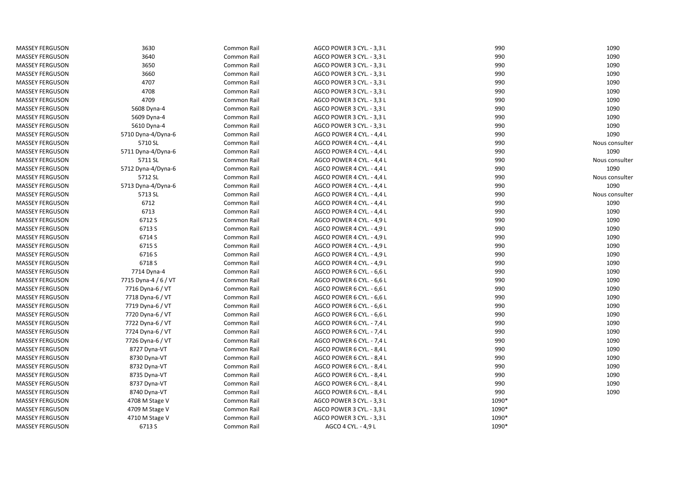| <b>MASSEY FERGUSON</b> | 3630                 | Common Rail | AGCO POWER 3 CYL. - 3,3 L | 990   | 1090           |
|------------------------|----------------------|-------------|---------------------------|-------|----------------|
| <b>MASSEY FERGUSON</b> | 3640                 | Common Rail | AGCO POWER 3 CYL. - 3,3 L | 990   | 1090           |
| <b>MASSEY FERGUSON</b> | 3650                 | Common Rail | AGCO POWER 3 CYL. - 3,3 L | 990   | 1090           |
| <b>MASSEY FERGUSON</b> | 3660                 | Common Rail | AGCO POWER 3 CYL. - 3,3 L | 990   | 1090           |
| <b>MASSEY FERGUSON</b> | 4707                 | Common Rail | AGCO POWER 3 CYL. - 3,3 L | 990   | 1090           |
| <b>MASSEY FERGUSON</b> | 4708                 | Common Rail | AGCO POWER 3 CYL. - 3,3 L | 990   | 1090           |
| <b>MASSEY FERGUSON</b> | 4709                 | Common Rail | AGCO POWER 3 CYL. - 3,3 L | 990   | 1090           |
| <b>MASSEY FERGUSON</b> | 5608 Dyna-4          | Common Rail | AGCO POWER 3 CYL. - 3,3 L | 990   | 1090           |
| <b>MASSEY FERGUSON</b> | 5609 Dyna-4          | Common Rail | AGCO POWER 3 CYL. - 3,3 L | 990   | 1090           |
| <b>MASSEY FERGUSON</b> | 5610 Dyna-4          | Common Rail | AGCO POWER 3 CYL. - 3,3 L | 990   | 1090           |
| <b>MASSEY FERGUSON</b> | 5710 Dyna-4/Dyna-6   | Common Rail | AGCO POWER 4 CYL. - 4,4 L | 990   | 1090           |
| <b>MASSEY FERGUSON</b> | 5710 SL              | Common Rail | AGCO POWER 4 CYL. - 4,4 L | 990   | Nous consulter |
| <b>MASSEY FERGUSON</b> | 5711 Dyna-4/Dyna-6   | Common Rail | AGCO POWER 4 CYL. - 4,4 L | 990   | 1090           |
| <b>MASSEY FERGUSON</b> | 5711 SL              | Common Rail | AGCO POWER 4 CYL. - 4,4 L | 990   | Nous consulter |
| <b>MASSEY FERGUSON</b> | 5712 Dyna-4/Dyna-6   | Common Rail | AGCO POWER 4 CYL. - 4,4 L | 990   | 1090           |
| <b>MASSEY FERGUSON</b> | 5712 SL              | Common Rail | AGCO POWER 4 CYL. - 4,4 L | 990   | Nous consulter |
| <b>MASSEY FERGUSON</b> | 5713 Dyna-4/Dyna-6   | Common Rail | AGCO POWER 4 CYL. - 4,4 L | 990   | 1090           |
| <b>MASSEY FERGUSON</b> | 5713 SL              | Common Rail | AGCO POWER 4 CYL. - 4,4 L | 990   | Nous consulter |
| <b>MASSEY FERGUSON</b> | 6712                 | Common Rail | AGCO POWER 4 CYL. - 4,4 L | 990   | 1090           |
| <b>MASSEY FERGUSON</b> | 6713                 | Common Rail | AGCO POWER 4 CYL. - 4,4 L | 990   | 1090           |
| <b>MASSEY FERGUSON</b> | 6712 S               | Common Rail | AGCO POWER 4 CYL. - 4,9 L | 990   | 1090           |
| <b>MASSEY FERGUSON</b> | 6713 S               | Common Rail | AGCO POWER 4 CYL. - 4,9 L | 990   | 1090           |
| <b>MASSEY FERGUSON</b> | 6714 S               | Common Rail | AGCO POWER 4 CYL. - 4,9 L | 990   | 1090           |
| <b>MASSEY FERGUSON</b> | 6715 S               | Common Rail | AGCO POWER 4 CYL. - 4,9 L | 990   | 1090           |
| <b>MASSEY FERGUSON</b> | 6716 S               | Common Rail | AGCO POWER 4 CYL. - 4,9 L | 990   | 1090           |
| <b>MASSEY FERGUSON</b> | 6718 S               | Common Rail | AGCO POWER 4 CYL. - 4,9 L | 990   | 1090           |
| <b>MASSEY FERGUSON</b> | 7714 Dyna-4          | Common Rail | AGCO POWER 6 CYL. - 6,6 L | 990   | 1090           |
| <b>MASSEY FERGUSON</b> | 7715 Dyna-4 / 6 / VT | Common Rail | AGCO POWER 6 CYL. - 6,6 L | 990   | 1090           |
| <b>MASSEY FERGUSON</b> | 7716 Dyna-6 / VT     | Common Rail | AGCO POWER 6 CYL. - 6,6 L | 990   | 1090           |
| <b>MASSEY FERGUSON</b> | 7718 Dyna-6 / VT     | Common Rail | AGCO POWER 6 CYL. - 6,6 L | 990   | 1090           |
| <b>MASSEY FERGUSON</b> | 7719 Dyna-6 / VT     | Common Rail | AGCO POWER 6 CYL. - 6,6 L | 990   | 1090           |
| <b>MASSEY FERGUSON</b> | 7720 Dyna-6 / VT     | Common Rail | AGCO POWER 6 CYL. - 6,6 L | 990   | 1090           |
| <b>MASSEY FERGUSON</b> | 7722 Dyna-6 / VT     | Common Rail | AGCO POWER 6 CYL. - 7,4 L | 990   | 1090           |
| <b>MASSEY FERGUSON</b> | 7724 Dyna-6 / VT     | Common Rail | AGCO POWER 6 CYL. - 7,4 L | 990   | 1090           |
| <b>MASSEY FERGUSON</b> | 7726 Dyna-6 / VT     | Common Rail | AGCO POWER 6 CYL. - 7,4 L | 990   | 1090           |
| <b>MASSEY FERGUSON</b> | 8727 Dyna-VT         | Common Rail | AGCO POWER 6 CYL. - 8,4 L | 990   | 1090           |
| <b>MASSEY FERGUSON</b> | 8730 Dyna-VT         | Common Rail | AGCO POWER 6 CYL. - 8,4 L | 990   | 1090           |
| <b>MASSEY FERGUSON</b> | 8732 Dyna-VT         | Common Rail | AGCO POWER 6 CYL. - 8,4 L | 990   | 1090           |
| <b>MASSEY FERGUSON</b> | 8735 Dyna-VT         | Common Rail | AGCO POWER 6 CYL. - 8,4 L | 990   | 1090           |
| <b>MASSEY FERGUSON</b> | 8737 Dyna-VT         | Common Rail | AGCO POWER 6 CYL. - 8,4 L | 990   | 1090           |
| <b>MASSEY FERGUSON</b> | 8740 Dyna-VT         | Common Rail | AGCO POWER 6 CYL. - 8,4 L | 990   | 1090           |
| <b>MASSEY FERGUSON</b> | 4708 M Stage V       | Common Rail | AGCO POWER 3 CYL. - 3,3 L | 1090* |                |
| <b>MASSEY FERGUSON</b> | 4709 M Stage V       | Common Rail | AGCO POWER 3 CYL. - 3,3 L | 1090* |                |
| <b>MASSEY FERGUSON</b> | 4710 M Stage V       | Common Rail | AGCO POWER 3 CYL. - 3,3 L | 1090* |                |
| <b>MASSEY FERGUSON</b> | 6713 S               | Common Rail | AGCO 4 CYL. - 4,9 L       | 1090* |                |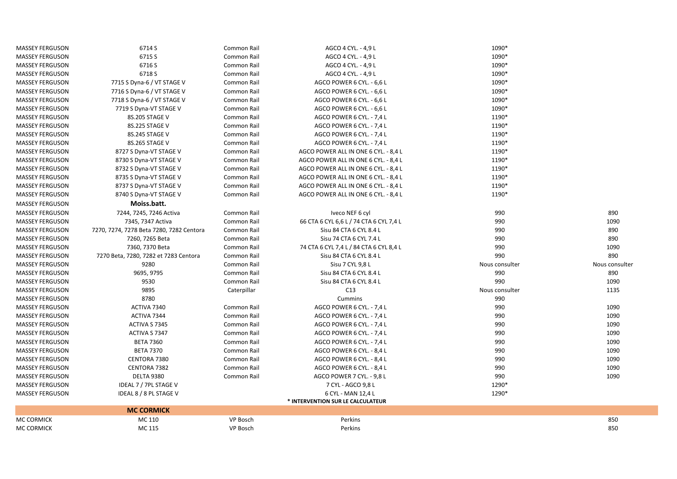| <b>MASSEY FERGUSON</b> | 6714 S                                   | Common Rail        | AGCO 4 CYL. - 4,9 L                     | 1090*          |                |
|------------------------|------------------------------------------|--------------------|-----------------------------------------|----------------|----------------|
| <b>MASSEY FERGUSON</b> | 6715 S                                   | Common Rail        | AGCO 4 CYL. - 4,9 L                     | 1090*          |                |
| <b>MASSEY FERGUSON</b> | 6716 S                                   | Common Rail        | AGCO 4 CYL. - 4,9 L                     | 1090*          |                |
| <b>MASSEY FERGUSON</b> | 6718 S                                   | Common Rail        | AGCO 4 CYL. - 4,9 L                     | 1090*          |                |
| <b>MASSEY FERGUSON</b> | 7715 S Dyna-6 / VT STAGE V               | Common Rail        | AGCO POWER 6 CYL. - 6,6 L               | 1090*          |                |
| <b>MASSEY FERGUSON</b> | 7716 S Dyna-6 / VT STAGE V               | Common Rail        | AGCO POWER 6 CYL. - 6,6 L               | 1090*          |                |
| <b>MASSEY FERGUSON</b> | 7718 S Dyna-6 / VT STAGE V               | Common Rail        | AGCO POWER 6 CYL. - 6,6 L               | 1090*          |                |
| <b>MASSEY FERGUSON</b> | 7719 S Dyna-VT STAGE V                   | <b>Common Rail</b> | AGCO POWER 6 CYL. - 6,6 L               | 1090*          |                |
| <b>MASSEY FERGUSON</b> | 8S.205 STAGE V                           | Common Rail        | AGCO POWER 6 CYL. - 7,4 L               | 1190*          |                |
| <b>MASSEY FERGUSON</b> | 8S.225 STAGE V                           | Common Rail        | AGCO POWER 6 CYL. - 7,4 L               | 1190*          |                |
| <b>MASSEY FERGUSON</b> | 8S.245 STAGE V                           | Common Rail        | AGCO POWER 6 CYL. - 7,4 L               | 1190*          |                |
| <b>MASSEY FERGUSON</b> | 8S.265 STAGE V                           | Common Rail        | AGCO POWER 6 CYL. - 7,4 L               | 1190*          |                |
| <b>MASSEY FERGUSON</b> | 8727 S Dyna-VT STAGE V                   | Common Rail        | AGCO POWER ALL IN ONE 6 CYL. - 8,4 L    | 1190*          |                |
| <b>MASSEY FERGUSON</b> | 8730 S Dyna-VT STAGE V                   | Common Rail        | AGCO POWER ALL IN ONE 6 CYL. - 8,4 L    | 1190*          |                |
| <b>MASSEY FERGUSON</b> | 8732 S Dyna-VT STAGE V                   | Common Rail        | AGCO POWER ALL IN ONE 6 CYL. - 8,4 L    | 1190*          |                |
| <b>MASSEY FERGUSON</b> | 8735 S Dyna-VT STAGE V                   | Common Rail        | AGCO POWER ALL IN ONE 6 CYL. - 8,4 L    | 1190*          |                |
| <b>MASSEY FERGUSON</b> | 8737 S Dyna-VT STAGE V                   | Common Rail        | AGCO POWER ALL IN ONE 6 CYL. - 8,4 L    | 1190*          |                |
| <b>MASSEY FERGUSON</b> | 8740 S Dyna-VT STAGE V                   | Common Rail        | AGCO POWER ALL IN ONE 6 CYL. - 8,4 L    | 1190*          |                |
| <b>MASSEY FERGUSON</b> | Moiss.batt.                              |                    |                                         |                |                |
| <b>MASSEY FERGUSON</b> | 7244, 7245, 7246 Activa                  | Common Rail        | Iveco NEF 6 cyl                         | 990            | 890            |
| <b>MASSEY FERGUSON</b> | 7345, 7347 Activa                        | Common Rail        | 66 CTA 6 CYL 6,6 L / 74 CTA 6 CYL 7,4 L | 990            | 1090           |
| <b>MASSEY FERGUSON</b> | 7270, 7274, 7278 Beta 7280, 7282 Centora | Common Rail        | Sisu 84 CTA 6 CYL 8.4 L                 | 990            | 890            |
| <b>MASSEY FERGUSON</b> | 7260, 7265 Beta                          | Common Rail        | Sisu 74 CTA 6 CYL 7.4 L                 | 990            | 890            |
| <b>MASSEY FERGUSON</b> | 7360, 7370 Beta                          | Common Rail        | 74 CTA 6 CYL 7,4 L / 84 CTA 6 CYL 8,4 L | 990            | 1090           |
| <b>MASSEY FERGUSON</b> | 7270 Beta, 7280, 7282 et 7283 Centora    | Common Rail        | Sisu 84 CTA 6 CYL 8.4 L                 | 990            | 890            |
| <b>MASSEY FERGUSON</b> | 9280                                     | Common Rail        | Sisu 7 CYL 9,8 L                        | Nous consulter | Nous consulter |
| <b>MASSEY FERGUSON</b> | 9695, 9795                               | Common Rail        | Sisu 84 CTA 6 CYL 8.4 L                 | 990            | 890            |
| <b>MASSEY FERGUSON</b> | 9530                                     | Common Rail        | Sisu 84 CTA 6 CYL 8.4 L                 | 990            | 1090           |
| <b>MASSEY FERGUSON</b> | 9895                                     | Caterpillar        | C13                                     | Nous consulter | 1135           |
| <b>MASSEY FERGUSON</b> | 8780                                     |                    | Cummins                                 | 990            |                |
| <b>MASSEY FERGUSON</b> | ACTIVA 7340                              | <b>Common Rail</b> | AGCO POWER 6 CYL. - 7,4 L               | 990            | 1090           |
| <b>MASSEY FERGUSON</b> | ACTIVA 7344                              | Common Rail        | AGCO POWER 6 CYL. - 7,4 L               | 990            | 1090           |
| <b>MASSEY FERGUSON</b> | ACTIVA S 7345                            | Common Rail        | AGCO POWER 6 CYL. - 7,4 L               | 990            | 1090           |
| <b>MASSEY FERGUSON</b> | ACTIVA S 7347                            | Common Rail        | AGCO POWER 6 CYL. - 7,4 L               | 990            | 1090           |
| <b>MASSEY FERGUSON</b> | <b>BETA 7360</b>                         | Common Rail        | AGCO POWER 6 CYL. - 7,4 L               | 990            | 1090           |
| <b>MASSEY FERGUSON</b> | <b>BETA 7370</b>                         | <b>Common Rail</b> | AGCO POWER 6 CYL. - 8,4 L               | 990            | 1090           |
| <b>MASSEY FERGUSON</b> | CENTORA 7380                             | Common Rail        | AGCO POWER 6 CYL. - 8,4 L               | 990            | 1090           |
| <b>MASSEY FERGUSON</b> | CENTORA 7382                             | Common Rail        | AGCO POWER 6 CYL. - 8,4 L               | 990            | 1090           |
| <b>MASSEY FERGUSON</b> | <b>DELTA 9380</b>                        | Common Rail        | AGCO POWER 7 CYL. - 9,8 L               | 990            | 1090           |
| <b>MASSEY FERGUSON</b> | IDEAL 7 / 7PL STAGE V                    |                    | 7 CYL - AGCO 9,8 L                      | 1290*          |                |
| <b>MASSEY FERGUSON</b> | IDEAL 8 / 8 PL STAGE V                   |                    | 6 CYL - MAN 12,4 L                      | 1290*          |                |
|                        |                                          |                    | * INTERVENTION SUR LE CALCULATEUR       |                |                |
|                        | <b>MC CORMICK</b>                        |                    |                                         |                |                |
| <b>MC CORMICK</b>      | MC 110                                   | VP Bosch           | Perkins                                 |                | 850            |
| <b>MC CORMICK</b>      | MC 115                                   | VP Bosch           | Perkins                                 |                | 850            |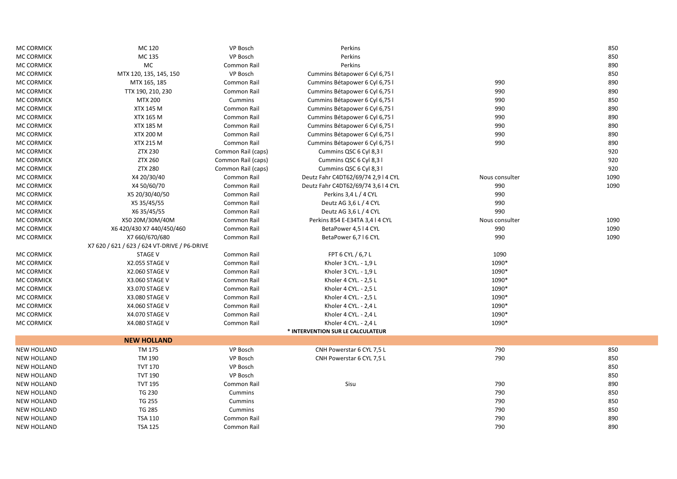| <b>MC CORMICK</b>  | MC 120                                       | VP Bosch           | Perkins                             |                | 850  |
|--------------------|----------------------------------------------|--------------------|-------------------------------------|----------------|------|
| <b>MC CORMICK</b>  | MC 135                                       | VP Bosch           | Perkins                             |                | 850  |
| MC CORMICK         | MC                                           | Common Rail        | Perkins                             |                | 890  |
| <b>MC CORMICK</b>  | MTX 120, 135, 145, 150                       | VP Bosch           | Cummins Bétapower 6 Cyl 6,75 l      |                | 850  |
| <b>MC CORMICK</b>  | MTX 165, 185                                 | Common Rail        | Cummins Bétapower 6 Cyl 6,75 l      | 990            | 890  |
| <b>MC CORMICK</b>  | TTX 190, 210, 230                            | Common Rail        | Cummins Bétapower 6 Cyl 6,75 l      | 990            | 890  |
| <b>MC CORMICK</b>  | MTX 200                                      | <b>Cummins</b>     | Cummins Bétapower 6 Cyl 6,75 l      | 990            | 850  |
| MC CORMICK         | XTX 145 M                                    | Common Rail        | Cummins Bétapower 6 Cyl 6,75 l      | 990            | 890  |
| MC CORMICK         | XTX 165 M                                    | Common Rail        | Cummins Bétapower 6 Cyl 6,75 l      | 990            | 890  |
| <b>MC CORMICK</b>  | XTX 185 M                                    | Common Rail        | Cummins Bétapower 6 Cyl 6,75 l      | 990            | 890  |
| <b>MC CORMICK</b>  | <b>XTX 200 M</b>                             | Common Rail        | Cummins Bétapower 6 Cyl 6,75 l      | 990            | 890  |
| MC CORMICK         | XTX 215 M                                    | Common Rail        | Cummins Bétapower 6 Cyl 6,75 l      | 990            | 890  |
| <b>MC CORMICK</b>  | <b>ZTX 230</b>                               | Common Rail (caps) | Cummins QSC 6 Cyl 8,3 l             |                | 920  |
| MC CORMICK         | <b>ZTX 260</b>                               | Common Rail (caps) | Cummins QSC 6 Cyl 8,3 l             |                | 920  |
| MC CORMICK         | <b>ZTX 280</b>                               | Common Rail (caps) | Cummins QSC 6 Cyl 8,3 l             |                | 920  |
| <b>MC CORMICK</b>  | X4 20/30/40                                  | Common Rail        | Deutz Fahr C4DT62/69/74 2,914 CYL   | Nous consulter | 1090 |
| MC CORMICK         | X4 50/60/70                                  | Common Rail        | Deutz Fahr C4DT62/69/74 3,6 I 4 CYL | 990            | 1090 |
| MC CORMICK         | X5 20/30/40/50                               | Common Rail        | Perkins 3,4 L / 4 CYL               | 990            |      |
| MC CORMICK         | X5 35/45/55                                  | Common Rail        | Deutz AG 3,6 L / 4 CYL              | 990            |      |
| <b>MC CORMICK</b>  | X6 35/45/55                                  | Common Rail        | Deutz AG 3,6 L / 4 CYL              | 990            |      |
| <b>MC CORMICK</b>  | X50 20M/30M/40M                              | Common Rail        | Perkins 854 E-E34TA 3,4   4 CYL     | Nous consulter | 1090 |
| <b>MC CORMICK</b>  | X6 420/430 X7 440/450/460                    | Common Rail        | BetaPower 4,5   4 CYL               | 990            | 1090 |
| <b>MC CORMICK</b>  | X7 660/670/680                               | Common Rail        | BetaPower 6,716 CYL                 | 990            | 1090 |
|                    | X7 620 / 621 / 623 / 624 VT-DRIVE / P6-DRIVE |                    |                                     |                |      |
| <b>MC CORMICK</b>  | <b>STAGE V</b>                               | Common Rail        | FPT 6 CYL / 6,7 L                   | 1090           |      |
| <b>MC CORMICK</b>  | <b>X2.055 STAGE V</b>                        | Common Rail        | Kholer 3 CYL. - 1,9 L               | 1090*          |      |
| <b>MC CORMICK</b>  | X2.060 STAGE V                               | Common Rail        | Kholer 3 CYL. - 1,9 L               | 1090*          |      |
| <b>MC CORMICK</b>  | X3.060 STAGE V                               | Common Rail        | Kholer 4 CYL. - 2,5 L               | 1090*          |      |
| <b>MC CORMICK</b>  | X3.070 STAGE V                               | Common Rail        | Kholer 4 CYL. - 2,5 L               | 1090*          |      |
| <b>MC CORMICK</b>  | X3.080 STAGE V                               | Common Rail        | Kholer 4 CYL. - 2,5 L               | 1090*          |      |
| <b>MC CORMICK</b>  | <b>X4.060 STAGE V</b>                        | Common Rail        | Kholer 4 CYL. - 2,4 L               | 1090*          |      |
| MC CORMICK         | X4.070 STAGE V                               | Common Rail        | Kholer 4 CYL. - 2,4 L               | 1090*          |      |
| <b>MC CORMICK</b>  | X4.080 STAGE V                               | Common Rail        | Kholer 4 CYL. - 2,4 L               | 1090*          |      |
|                    |                                              |                    | * INTERVENTION SUR LE CALCULATEUR   |                |      |
|                    | <b>NEW HOLLAND</b>                           |                    |                                     |                |      |
| <b>NEW HOLLAND</b> | TM 175                                       | VP Bosch           | CNH Powerstar 6 CYL 7,5 L           | 790            | 850  |
| <b>NEW HOLLAND</b> | TM 190                                       | VP Bosch           | CNH Powerstar 6 CYL 7,5 L           | 790            | 850  |
| <b>NEW HOLLAND</b> | <b>TVT 170</b>                               | VP Bosch           |                                     |                | 850  |
| <b>NEW HOLLAND</b> | <b>TVT 190</b>                               | VP Bosch           |                                     |                | 850  |
| <b>NEW HOLLAND</b> | <b>TVT 195</b>                               | Common Rail        | Sisu                                | 790            | 890  |
| <b>NEW HOLLAND</b> | <b>TG 230</b>                                | Cummins            |                                     | 790            | 850  |
| <b>NEW HOLLAND</b> | <b>TG 255</b>                                | Cummins            |                                     | 790            | 850  |
| <b>NEW HOLLAND</b> | <b>TG 285</b>                                | Cummins            |                                     | 790            | 850  |
| <b>NEW HOLLAND</b> | <b>TSA 110</b>                               | Common Rail        |                                     | 790            | 890  |
| <b>NEW HOLLAND</b> | <b>TSA 125</b>                               | Common Rail        |                                     | 790            | 890  |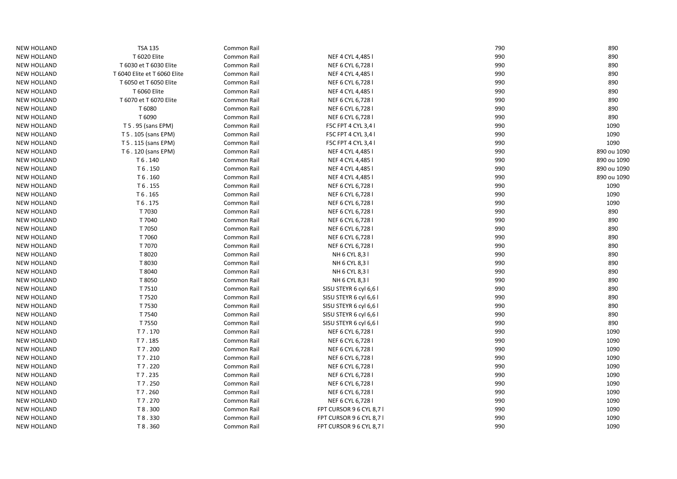| <b>NEW HOLLAND</b> | <b>TSA 135</b>               | Common Rail |                         | 790 | 890         |
|--------------------|------------------------------|-------------|-------------------------|-----|-------------|
| <b>NEW HOLLAND</b> | T 6020 Elite                 | Common Rail | NEF 4 CYL 4,485 I       | 990 | 890         |
| <b>NEW HOLLAND</b> | T 6030 et T 6030 Elite       | Common Rail | NEF 6 CYL 6,728 I       | 990 | 890         |
| <b>NEW HOLLAND</b> | T 6040 Elite et T 6060 Elite | Common Rail | NEF 4 CYL 4,485 I       | 990 | 890         |
| <b>NEW HOLLAND</b> | T 6050 et T 6050 Elite       | Common Rail | NEF 6 CYL 6,728 I       | 990 | 890         |
| <b>NEW HOLLAND</b> | T 6060 Elite                 | Common Rail | NEF 4 CYL 4,485 I       | 990 | 890         |
| <b>NEW HOLLAND</b> | T 6070 et T 6070 Elite       | Common Rail | NEF 6 CYL 6,728 I       | 990 | 890         |
| <b>NEW HOLLAND</b> | T 6080                       | Common Rail | NEF 6 CYL 6,728 I       | 990 | 890         |
| <b>NEW HOLLAND</b> | T 6090                       | Common Rail | NEF 6 CYL 6,728 I       | 990 | 890         |
| <b>NEW HOLLAND</b> | T 5 . 95 (sans EPM)          | Common Rail | F5C FPT 4 CYL 3,4 I     | 990 | 1090        |
| <b>NEW HOLLAND</b> | T 5 . 105 (sans EPM)         | Common Rail | F5C FPT 4 CYL 3,4 I     | 990 | 1090        |
| <b>NEW HOLLAND</b> | T 5 . 115 (sans EPM)         | Common Rail | F5C FPT 4 CYL 3,4 I     | 990 | 1090        |
| <b>NEW HOLLAND</b> | T 6 . 120 (sans EPM)         | Common Rail | NEF 4 CYL 4,485 I       | 990 | 890 ou 1090 |
| <b>NEW HOLLAND</b> | T6.140                       | Common Rail | NEF 4 CYL 4,485 I       | 990 | 890 ou 1090 |
| <b>NEW HOLLAND</b> | T6.150                       | Common Rail | NEF 4 CYL 4,485 I       | 990 | 890 ou 1090 |
| <b>NEW HOLLAND</b> | T6.160                       | Common Rail | NEF 4 CYL 4,485 I       | 990 | 890 ou 1090 |
| <b>NEW HOLLAND</b> | T6.155                       | Common Rail | NEF 6 CYL 6,728 I       | 990 | 1090        |
| <b>NEW HOLLAND</b> | T6.165                       | Common Rail | NEF 6 CYL 6,728 I       | 990 | 1090        |
| <b>NEW HOLLAND</b> | T6.175                       | Common Rail | NEF 6 CYL 6,728 I       | 990 | 1090        |
| <b>NEW HOLLAND</b> | T 7030                       | Common Rail | NEF 6 CYL 6,728 I       | 990 | 890         |
| <b>NEW HOLLAND</b> | T 7040                       | Common Rail | NEF 6 CYL 6,728 I       | 990 | 890         |
| <b>NEW HOLLAND</b> | T 7050                       | Common Rail | NEF 6 CYL 6,728 I       | 990 | 890         |
| <b>NEW HOLLAND</b> | T 7060                       | Common Rail | NEF 6 CYL 6,728 I       | 990 | 890         |
| <b>NEW HOLLAND</b> | T 7070                       | Common Rail | NEF 6 CYL 6,728 I       | 990 | 890         |
| <b>NEW HOLLAND</b> | T 8020                       | Common Rail | NH 6 CYL 8,31           | 990 | 890         |
| <b>NEW HOLLAND</b> | T 8030                       | Common Rail | NH 6 CYL 8,31           | 990 | 890         |
| <b>NEW HOLLAND</b> | T 8040                       | Common Rail | NH 6 CYL 8,31           | 990 | 890         |
| <b>NEW HOLLAND</b> | T 8050                       | Common Rail | NH 6 CYL 8,31           | 990 | 890         |
| <b>NEW HOLLAND</b> | T 7510                       | Common Rail | SISU STEYR 6 cyl 6,6 l  | 990 | 890         |
| <b>NEW HOLLAND</b> | T 7520                       | Common Rail | SISU STEYR 6 cyl 6,6 l  | 990 | 890         |
| <b>NEW HOLLAND</b> | T 7530                       | Common Rail | SISU STEYR 6 cyl 6,6 l  | 990 | 890         |
| <b>NEW HOLLAND</b> | T 7540                       | Common Rail | SISU STEYR 6 cyl 6,6 l  | 990 | 890         |
| <b>NEW HOLLAND</b> | T 7550                       | Common Rail | SISU STEYR 6 cyl 6,6 l  | 990 | 890         |
| <b>NEW HOLLAND</b> | T7.170                       | Common Rail | NEF 6 CYL 6,728 I       | 990 | 1090        |
| <b>NEW HOLLAND</b> | T7.185                       | Common Rail | NEF 6 CYL 6,728 I       | 990 | 1090        |
| <b>NEW HOLLAND</b> | T7.200                       | Common Rail | NEF 6 CYL 6,728 I       | 990 | 1090        |
| <b>NEW HOLLAND</b> | T7.210                       | Common Rail | NEF 6 CYL 6,728 I       | 990 | 1090        |
| <b>NEW HOLLAND</b> | T7.220                       | Common Rail | NEF 6 CYL 6,728 I       | 990 | 1090        |
| <b>NEW HOLLAND</b> | T7.235                       | Common Rail | NEF 6 CYL 6,728 I       | 990 | 1090        |
| <b>NEW HOLLAND</b> | T7.250                       | Common Rail | NEF 6 CYL 6,728 I       | 990 | 1090        |
| <b>NEW HOLLAND</b> | T7.260                       | Common Rail | NEF 6 CYL 6,728 I       | 990 | 1090        |
| <b>NEW HOLLAND</b> | T7.270                       | Common Rail | NEF 6 CYL 6,728 I       | 990 | 1090        |
| <b>NEW HOLLAND</b> | T 8.300                      | Common Rail | FPT CURSOR 9 6 CYL 8,71 | 990 | 1090        |
| <b>NEW HOLLAND</b> | T 8.330                      | Common Rail | FPT CURSOR 9 6 CYL 8,71 | 990 | 1090        |
| <b>NEW HOLLAND</b> | T 8.360                      | Common Rail | FPT CURSOR 9 6 CYL 8,71 | 990 | 1090        |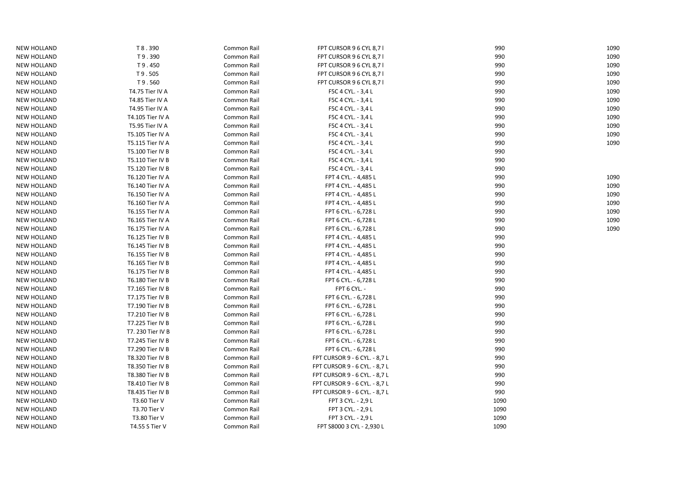| <b>NEW HOLLAND</b> | T 8.390           | Common Rail | FPT CURSOR 9 6 CYL 8,7 I      | 990  | 1090 |
|--------------------|-------------------|-------------|-------------------------------|------|------|
| <b>NEW HOLLAND</b> | T9.390            | Common Rail | FPT CURSOR 9 6 CYL 8,7 I      | 990  | 1090 |
| <b>NEW HOLLAND</b> | T9.450            | Common Rail | FPT CURSOR 9 6 CYL 8,71       | 990  | 1090 |
| <b>NEW HOLLAND</b> | T9.505            | Common Rail | FPT CURSOR 9 6 CYL 8,7 I      | 990  | 1090 |
| <b>NEW HOLLAND</b> | T9.560            | Common Rail | FPT CURSOR 9 6 CYL 8,71       | 990  | 1090 |
| <b>NEW HOLLAND</b> | T4.75 Tier IV A   | Common Rail | F5C 4 CYL. - 3,4 L            | 990  | 1090 |
| <b>NEW HOLLAND</b> | T4.85 Tier IV A   | Common Rail | F5C 4 CYL. - 3,4 L            | 990  | 1090 |
| <b>NEW HOLLAND</b> | T4.95 Tier IV A   | Common Rail | F5C 4 CYL. - 3,4 L            | 990  | 1090 |
| <b>NEW HOLLAND</b> | T4.105 Tier IV A  | Common Rail | F5C 4 CYL. - 3,4 L            | 990  | 1090 |
| <b>NEW HOLLAND</b> | T5.95 Tier IV A   | Common Rail | F5C 4 CYL. - 3,4 L            | 990  | 1090 |
| <b>NEW HOLLAND</b> | T5.105 Tier IV A  | Common Rail | F5C 4 CYL. - 3,4 L            | 990  | 1090 |
| <b>NEW HOLLAND</b> | T5.115 Tier IV A  | Common Rail | F5C 4 CYL. - 3,4 L            | 990  | 1090 |
| <b>NEW HOLLAND</b> | T5.100 Tier IV B  | Common Rail | F5C 4 CYL. - 3,4 L            | 990  |      |
| <b>NEW HOLLAND</b> | T5.110 Tier IV B  | Common Rail | F5C 4 CYL. - 3,4 L            | 990  |      |
| <b>NEW HOLLAND</b> | T5.120 Tier IV B  | Common Rail | F5C 4 CYL. - 3,4 L            | 990  |      |
| <b>NEW HOLLAND</b> | T6.120 Tier IV A  | Common Rail | FPT 4 CYL. - 4,485 L          | 990  | 1090 |
| <b>NEW HOLLAND</b> | T6.140 Tier IV A  | Common Rail | FPT 4 CYL. - 4,485 L          | 990  | 1090 |
| <b>NEW HOLLAND</b> | T6.150 Tier IV A  | Common Rail | FPT 4 CYL. - 4,485 L          | 990  | 1090 |
| <b>NEW HOLLAND</b> | T6.160 Tier IV A  | Common Rail | FPT 4 CYL. - 4,485 L          | 990  | 1090 |
| <b>NEW HOLLAND</b> | T6.155 Tier IV A  | Common Rail | FPT 6 CYL. - 6,728 L          | 990  | 1090 |
| <b>NEW HOLLAND</b> | T6.165 Tier IV A  | Common Rail | FPT 6 CYL. - 6,728 L          | 990  | 1090 |
| <b>NEW HOLLAND</b> | T6.175 Tier IV A  | Common Rail | FPT 6 CYL. - 6,728 L          | 990  | 1090 |
| <b>NEW HOLLAND</b> | T6.125 Tier IV B  | Common Rail | FPT 4 CYL. - 4,485 L          | 990  |      |
| <b>NEW HOLLAND</b> | T6.145 Tier IV B  | Common Rail | FPT 4 CYL. - 4,485 L          | 990  |      |
| <b>NEW HOLLAND</b> | T6.155 Tier IV B  | Common Rail | FPT 4 CYL. - 4,485 L          | 990  |      |
| <b>NEW HOLLAND</b> | T6.165 Tier IV B  | Common Rail | FPT 4 CYL. - 4,485 L          | 990  |      |
| <b>NEW HOLLAND</b> | T6.175 Tier IV B  | Common Rail | FPT 4 CYL. - 4,485 L          | 990  |      |
| <b>NEW HOLLAND</b> | T6.180 Tier IV B  | Common Rail | FPT 6 CYL. - 6,728 L          | 990  |      |
| <b>NEW HOLLAND</b> | T7.165 Tier IV B  | Common Rail | FPT 6 CYL. -                  | 990  |      |
| <b>NEW HOLLAND</b> | T7.175 Tier IV B  | Common Rail | FPT 6 CYL. - 6,728 L          | 990  |      |
| <b>NEW HOLLAND</b> | T7.190 Tier IV B  | Common Rail | FPT 6 CYL. - 6,728 L          | 990  |      |
| <b>NEW HOLLAND</b> | T7.210 Tier IV B  | Common Rail | FPT 6 CYL. - 6,728 L          | 990  |      |
| <b>NEW HOLLAND</b> | T7.225 Tier IV B  | Common Rail | FPT 6 CYL. - 6,728 L          | 990  |      |
| <b>NEW HOLLAND</b> | T7. 230 Tier IV B | Common Rail | FPT 6 CYL. - 6,728 L          | 990  |      |
| <b>NEW HOLLAND</b> | T7.245 Tier IV B  | Common Rail | FPT 6 CYL. - 6,728 L          | 990  |      |
| <b>NEW HOLLAND</b> | T7.290 Tier IV B  | Common Rail | FPT 6 CYL. - 6,728 L          | 990  |      |
| <b>NEW HOLLAND</b> | T8.320 Tier IV B  | Common Rail | FPT CURSOR 9 - 6 CYL. - 8,7 L | 990  |      |
| <b>NEW HOLLAND</b> | T8.350 Tier IV B  | Common Rail | FPT CURSOR 9 - 6 CYL. - 8,7 L | 990  |      |
| <b>NEW HOLLAND</b> | T8.380 Tier IV B  | Common Rail | FPT CURSOR 9 - 6 CYL. - 8,7 L | 990  |      |
| <b>NEW HOLLAND</b> | T8.410 Tier IV B  | Common Rail | FPT CURSOR 9 - 6 CYL. - 8,7 L | 990  |      |
| <b>NEW HOLLAND</b> | T8.435 Tier IV B  | Common Rail | FPT CURSOR 9 - 6 CYL. - 8,7 L | 990  |      |
| <b>NEW HOLLAND</b> | T3.60 Tier V      | Common Rail | FPT 3 CYL. - 2,9 L            | 1090 |      |
| <b>NEW HOLLAND</b> | T3.70 Tier V      | Common Rail | FPT 3 CYL. - 2,9 L            | 1090 |      |
| <b>NEW HOLLAND</b> | T3.80 Tier V      | Common Rail | FPT 3 CYL. - 2,9 L            | 1090 |      |
| <b>NEW HOLLAND</b> | T4.55 S Tier V    | Common Rail | FPT S8000 3 CYL - 2,930 L     | 1090 |      |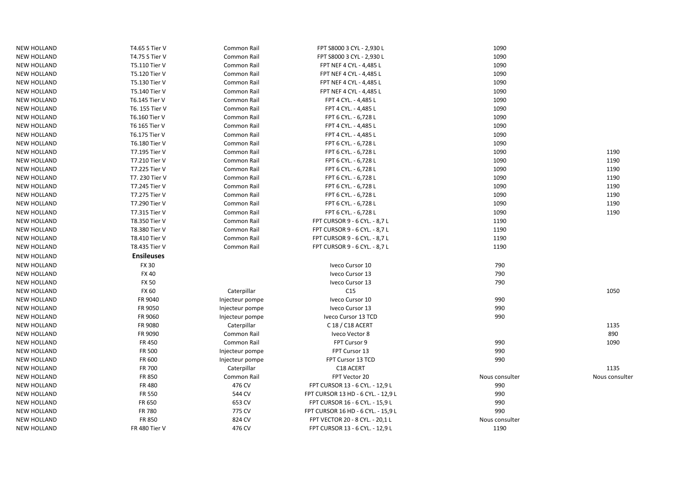| <b>NEW HOLLAND</b> | T4.65 S Tier V    | Common Rail     | FPT S8000 3 CYL - 2,930 L          | 1090           |                |
|--------------------|-------------------|-----------------|------------------------------------|----------------|----------------|
| <b>NEW HOLLAND</b> | T4.75 S Tier V    | Common Rail     | FPT S8000 3 CYL - 2,930 L          | 1090           |                |
| <b>NEW HOLLAND</b> | T5.110 Tier V     | Common Rail     | FPT NEF 4 CYL - 4,485 L            | 1090           |                |
| <b>NEW HOLLAND</b> | T5.120 Tier V     | Common Rail     | FPT NEF 4 CYL - 4,485 L            | 1090           |                |
| <b>NEW HOLLAND</b> | T5.130 Tier V     | Common Rail     | FPT NEF 4 CYL - 4,485 L            | 1090           |                |
| <b>NEW HOLLAND</b> | T5.140 Tier V     | Common Rail     | FPT NEF 4 CYL - 4,485 L            | 1090           |                |
| <b>NEW HOLLAND</b> | T6.145 Tier V     | Common Rail     | FPT 4 CYL. - 4,485 L               | 1090           |                |
| <b>NEW HOLLAND</b> | T6. 155 Tier V    | Common Rail     | FPT 4 CYL. - 4,485 L               | 1090           |                |
| <b>NEW HOLLAND</b> | T6.160 Tier V     | Common Rail     | FPT 6 CYL. - 6,728 L               | 1090           |                |
| <b>NEW HOLLAND</b> | T6 165 Tier V     | Common Rail     | FPT 4 CYL. - 4,485 L               | 1090           |                |
| <b>NEW HOLLAND</b> | T6.175 Tier V     | Common Rail     | FPT 4 CYL. - 4,485 L               | 1090           |                |
| <b>NEW HOLLAND</b> | T6.180 Tier V     | Common Rail     | FPT 6 CYL. - 6,728 L               | 1090           |                |
| <b>NEW HOLLAND</b> | T7.195 Tier V     | Common Rail     | FPT 6 CYL. - 6,728 L               | 1090           | 1190           |
| <b>NEW HOLLAND</b> | T7.210 Tier V     | Common Rail     | FPT 6 CYL. - 6,728 L               | 1090           | 1190           |
| <b>NEW HOLLAND</b> | T7.225 Tier V     | Common Rail     | FPT 6 CYL. - 6,728 L               | 1090           | 1190           |
| <b>NEW HOLLAND</b> | T7. 230 Tier V    | Common Rail     | FPT 6 CYL. - 6,728 L               | 1090           | 1190           |
| <b>NEW HOLLAND</b> | T7.245 Tier V     | Common Rail     | FPT 6 CYL. - 6,728 L               | 1090           | 1190           |
| <b>NEW HOLLAND</b> | T7.275 Tier V     | Common Rail     | FPT 6 CYL. - 6,728 L               | 1090           | 1190           |
| <b>NEW HOLLAND</b> | T7.290 Tier V     | Common Rail     | FPT 6 CYL. - 6,728 L               | 1090           | 1190           |
| <b>NEW HOLLAND</b> | T7.315 Tier V     | Common Rail     | FPT 6 CYL. - 6,728 L               | 1090           | 1190           |
| <b>NEW HOLLAND</b> | T8.350 Tier V     | Common Rail     | FPT CURSOR 9 - 6 CYL. - 8,7 L      | 1190           |                |
| <b>NEW HOLLAND</b> | T8.380 Tier V     | Common Rail     | FPT CURSOR 9 - 6 CYL. - 8,7 L      | 1190           |                |
| <b>NEW HOLLAND</b> | T8.410 Tier V     | Common Rail     | FPT CURSOR 9 - 6 CYL. - 8,7 L      | 1190           |                |
| <b>NEW HOLLAND</b> | T8.435 Tier V     | Common Rail     | FPT CURSOR 9 - 6 CYL. - 8,7 L      | 1190           |                |
| <b>NEW HOLLAND</b> | <b>Ensileuses</b> |                 |                                    |                |                |
| <b>NEW HOLLAND</b> | <b>FX 30</b>      |                 | Iveco Cursor 10                    | 790            |                |
| <b>NEW HOLLAND</b> | <b>FX40</b>       |                 | Iveco Cursor 13                    | 790            |                |
| <b>NEW HOLLAND</b> | <b>FX 50</b>      |                 | Iveco Cursor 13                    | 790            |                |
| <b>NEW HOLLAND</b> | FX 60             | Caterpillar     | C15                                |                | 1050           |
| <b>NEW HOLLAND</b> | FR 9040           | Injecteur pompe | Iveco Cursor 10                    | 990            |                |
| <b>NEW HOLLAND</b> | FR 9050           | Injecteur pompe | Iveco Cursor 13                    | 990            |                |
| <b>NEW HOLLAND</b> | FR 9060           | Injecteur pompe | Iveco Cursor 13 TCD                | 990            |                |
| <b>NEW HOLLAND</b> | FR 9080           | Caterpillar     | C 18 / C18 ACERT                   |                | 1135           |
| <b>NEW HOLLAND</b> | FR 9090           | Common Rail     | Iveco Vector 8                     |                | 890            |
| <b>NEW HOLLAND</b> | FR 450            | Common Rail     | FPT Cursor 9                       | 990            | 1090           |
| <b>NEW HOLLAND</b> | FR 500            | Injecteur pompe | FPT Cursor 13                      | 990            |                |
| <b>NEW HOLLAND</b> | FR 600            | Injecteur pompe | FPT Cursor 13 TCD                  | 990            |                |
| <b>NEW HOLLAND</b> | <b>FR 700</b>     | Caterpillar     | C18 ACERT                          |                | 1135           |
| <b>NEW HOLLAND</b> | FR 850            | Common Rail     | FPT Vector 20                      | Nous consulter | Nous consulter |
| <b>NEW HOLLAND</b> | <b>FR480</b>      | 476 CV          | FPT CURSOR 13 - 6 CYL. - 12,9 L    | 990            |                |
| <b>NEW HOLLAND</b> | FR 550            | 544 CV          | FPT CURSOR 13 HD - 6 CYL. - 12,9 L | 990            |                |
| <b>NEW HOLLAND</b> | FR 650            | 653 CV          | FPT CURSOR 16 - 6 CYL. - 15,9 L    | 990            |                |
| <b>NEW HOLLAND</b> | <b>FR 780</b>     | 775 CV          | FPT CURSOR 16 HD - 6 CYL. - 15,9 L | 990            |                |
| <b>NEW HOLLAND</b> | <b>FR 850</b>     | 824 CV          | FPT VECTOR 20 - 8 CYL. - 20,1 L    | Nous consulter |                |
| <b>NEW HOLLAND</b> | FR 480 Tier V     | 476 CV          | FPT CURSOR 13 - 6 CYL. - 12,9 L    | 1190           |                |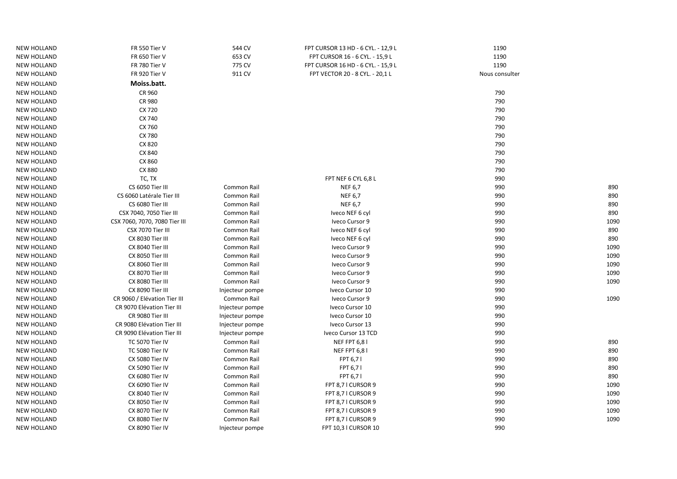| <b>NEW HOLLAND</b> | FR 550 Tier V                 | 544 CV          | FPT CURSOR 13 HD - 6 CYL. - 12,9 L | 1190           |      |
|--------------------|-------------------------------|-----------------|------------------------------------|----------------|------|
| <b>NEW HOLLAND</b> | FR 650 Tier V                 | 653 CV          | FPT CURSOR 16 - 6 CYL. - 15,9 L    | 1190           |      |
| <b>NEW HOLLAND</b> | FR 780 Tier V                 | 775 CV          | FPT CURSOR 16 HD - 6 CYL. - 15,9 L | 1190           |      |
| <b>NEW HOLLAND</b> | FR 920 Tier V                 | 911 CV          | FPT VECTOR 20 - 8 CYL. - 20,1 L    | Nous consulter |      |
| <b>NEW HOLLAND</b> | Moiss.batt.                   |                 |                                    |                |      |
| <b>NEW HOLLAND</b> | CR 960                        |                 |                                    | 790            |      |
| <b>NEW HOLLAND</b> | <b>CR 980</b>                 |                 |                                    | 790            |      |
| <b>NEW HOLLAND</b> | CX 720                        |                 |                                    | 790            |      |
| <b>NEW HOLLAND</b> | CX 740                        |                 |                                    | 790            |      |
| <b>NEW HOLLAND</b> | CX 760                        |                 |                                    | 790            |      |
| <b>NEW HOLLAND</b> | CX 780                        |                 |                                    | 790            |      |
| <b>NEW HOLLAND</b> | CX 820                        |                 |                                    | 790            |      |
| <b>NEW HOLLAND</b> | CX 840                        |                 |                                    | 790            |      |
| <b>NEW HOLLAND</b> | CX 860                        |                 |                                    | 790            |      |
| <b>NEW HOLLAND</b> | CX 880                        |                 |                                    | 790            |      |
| <b>NEW HOLLAND</b> | TC, TX                        |                 | FPT NEF 6 CYL 6,8 L                | 990            |      |
| <b>NEW HOLLAND</b> | CS 6050 Tier III              | Common Rail     | <b>NEF 6,7</b>                     | 990            | 890  |
| <b>NEW HOLLAND</b> | CS 6060 Latérale Tier III     | Common Rail     | <b>NEF 6,7</b>                     | 990            | 890  |
| <b>NEW HOLLAND</b> | CS 6080 Tier III              | Common Rail     | <b>NEF 6,7</b>                     | 990            | 890  |
| <b>NEW HOLLAND</b> | CSX 7040, 7050 Tier III       | Common Rail     | Iveco NEF 6 cyl                    | 990            | 890  |
| <b>NEW HOLLAND</b> | CSX 7060, 7070, 7080 Tier III | Common Rail     | Iveco Cursor 9                     | 990            | 1090 |
| <b>NEW HOLLAND</b> | CSX 7070 Tier III             | Common Rail     | Iveco NEF 6 cyl                    | 990            | 890  |
| <b>NEW HOLLAND</b> | CX 8030 Tier III              | Common Rail     | Iveco NEF 6 cyl                    | 990            | 890  |
| <b>NEW HOLLAND</b> | CX 8040 Tier III              | Common Rail     | Iveco Cursor 9                     | 990            | 1090 |
| <b>NEW HOLLAND</b> | CX 8050 Tier III              | Common Rail     | Iveco Cursor 9                     | 990            | 1090 |
| <b>NEW HOLLAND</b> | CX 8060 Tier III              | Common Rail     | Iveco Cursor 9                     | 990            | 1090 |
| <b>NEW HOLLAND</b> | CX 8070 Tier III              | Common Rail     | Iveco Cursor 9                     | 990            | 1090 |
| <b>NEW HOLLAND</b> | CX 8080 Tier III              | Common Rail     | Iveco Cursor 9                     | 990            | 1090 |
| <b>NEW HOLLAND</b> | CX 8090 Tier III              | Injecteur pompe | Iveco Cursor 10                    | 990            |      |
| <b>NEW HOLLAND</b> | CR 9060 / Elévation Tier III  | Common Rail     | Iveco Cursor 9                     | 990            | 1090 |
| <b>NEW HOLLAND</b> | CR 9070 Elévation Tier III    | Injecteur pompe | Iveco Cursor 10                    | 990            |      |
| <b>NEW HOLLAND</b> | CR 9080 Tier III              | Injecteur pompe | Iveco Cursor 10                    | 990            |      |
| <b>NEW HOLLAND</b> | CR 9080 Elévation Tier III    | Injecteur pompe | Iveco Cursor 13                    | 990            |      |
| <b>NEW HOLLAND</b> | CR 9090 Elévation Tier III    | Injecteur pompe | Iveco Cursor 13 TCD                | 990            |      |
| <b>NEW HOLLAND</b> | TC 5070 Tier IV               | Common Rail     | NEF FPT 6,81                       | 990            | 890  |
| <b>NEW HOLLAND</b> | TC 5080 Tier IV               | Common Rail     | NEF FPT 6,81                       | 990            | 890  |
| <b>NEW HOLLAND</b> | CX 5080 Tier IV               | Common Rail     | FPT 6,71                           | 990            | 890  |
| <b>NEW HOLLAND</b> | CX 5090 Tier IV               | Common Rail     | FPT 6,71                           | 990            | 890  |
| <b>NEW HOLLAND</b> | CX 6080 Tier IV               | Common Rail     | FPT 6,71                           | 990            | 890  |
| <b>NEW HOLLAND</b> | CX 6090 Tier IV               | Common Rail     | FPT 8,7 I CURSOR 9                 | 990            | 1090 |
| <b>NEW HOLLAND</b> | CX 8040 Tier IV               | Common Rail     | FPT 8,7 I CURSOR 9                 | 990            | 1090 |
| <b>NEW HOLLAND</b> | CX 8050 Tier IV               | Common Rail     | FPT 8,7 I CURSOR 9                 | 990            | 1090 |
| <b>NEW HOLLAND</b> | CX 8070 Tier IV               | Common Rail     | FPT 8,7 I CURSOR 9                 | 990            | 1090 |
| <b>NEW HOLLAND</b> | CX 8080 Tier IV               | Common Rail     | FPT 8,7 I CURSOR 9                 | 990            | 1090 |
| <b>NEW HOLLAND</b> | CX 8090 Tier IV               | Injecteur pompe | FPT 10,3 I CURSOR 10               | 990            |      |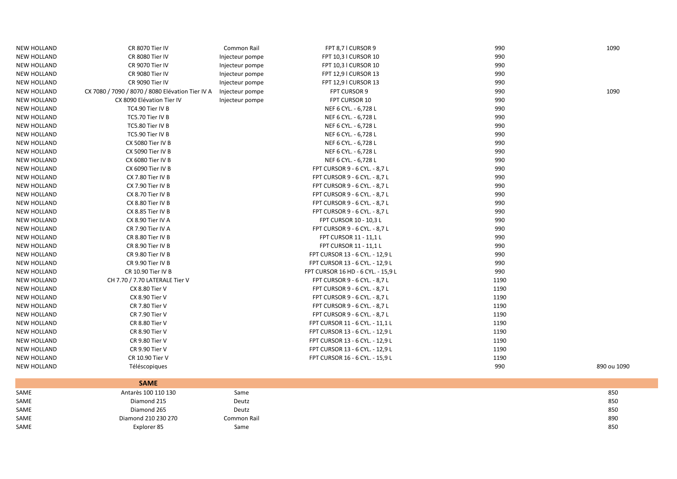| CANAE              | Antarkc 100 110 120                              | $S_{2mn}$       |                                    |      | O E <sub>O</sub> |
|--------------------|--------------------------------------------------|-----------------|------------------------------------|------|------------------|
|                    | <b>SAME</b>                                      |                 |                                    |      |                  |
| <b>NEW HOLLAND</b> | Téléscopiques                                    |                 |                                    | 990  | 890 ou 1090      |
| <b>NEW HOLLAND</b> | CR 10.90 Tier V                                  |                 | FPT CURSOR 16 - 6 CYL. - 15,9 L    | 1190 |                  |
| <b>NEW HOLLAND</b> | CR 9.90 Tier V                                   |                 | FPT CURSOR 13 - 6 CYL. - 12,9 L    | 1190 |                  |
| <b>NEW HOLLAND</b> | CR 9.80 Tier V                                   |                 | FPT CURSOR 13 - 6 CYL. - 12,9 L    | 1190 |                  |
| <b>NEW HOLLAND</b> | CR 8.90 Tier V                                   |                 | FPT CURSOR 13 - 6 CYL. - 12,9 L    | 1190 |                  |
| <b>NEW HOLLAND</b> | CR 8.80 Tier V                                   |                 | FPT CURSOR 11 - 6 CYL. - 11,1 L    | 1190 |                  |
| <b>NEW HOLLAND</b> | CR 7.90 Tier V                                   |                 | FPT CURSOR 9 - 6 CYL. - 8,7 L      | 1190 |                  |
| <b>NEW HOLLAND</b> | CR 7.80 Tier V                                   |                 | FPT CURSOR 9 - 6 CYL. - 8,7 L      | 1190 |                  |
| <b>NEW HOLLAND</b> | CX 8.90 Tier V                                   |                 | FPT CURSOR 9 - 6 CYL. - 8,7 L      | 1190 |                  |
| <b>NEW HOLLAND</b> | CX 8.80 Tier V                                   |                 | FPT CURSOR 9 - 6 CYL. - 8,7 L      | 1190 |                  |
| <b>NEW HOLLAND</b> | CH 7.70 / 7.70 LATERALE Tier V                   |                 | FPT CURSOR 9 - 6 CYL. - 8,7 L      | 1190 |                  |
| <b>NEW HOLLAND</b> | CR 10.90 Tier IV B                               |                 | FPT CURSOR 16 HD - 6 CYL. - 15,9 L | 990  |                  |
| <b>NEW HOLLAND</b> | CR 9.90 Tier IV B                                |                 | FPT CURSOR 13 - 6 CYL. - 12,9 L    | 990  |                  |
| <b>NEW HOLLAND</b> | CR 9.80 Tier IV B                                |                 | FPT CURSOR 13 - 6 CYL. - 12,9 L    | 990  |                  |
| <b>NEW HOLLAND</b> | CR 8.90 Tier IV B                                |                 | <b>FPT CURSOR 11 - 11,1L</b>       | 990  |                  |
| <b>NEW HOLLAND</b> | CR 8.80 Tier IV B                                |                 | FPT CURSOR 11 - 11,1 L             | 990  |                  |
| <b>NEW HOLLAND</b> | CR 7.90 Tier IV A                                |                 | FPT CURSOR 9 - 6 CYL. - 8,7 L      | 990  |                  |
| <b>NEW HOLLAND</b> | CX 8.90 Tier IV A                                |                 | <b>FPT CURSOR 10 - 10,3 L</b>      | 990  |                  |
| <b>NEW HOLLAND</b> | CX 8.85 Tier IV B                                |                 | FPT CURSOR 9 - 6 CYL. - 8,7 L      | 990  |                  |
| <b>NEW HOLLAND</b> | CX 8.80 Tier IV B                                |                 | FPT CURSOR 9 - 6 CYL. - 8,7 L      | 990  |                  |
| <b>NEW HOLLAND</b> | CX 8.70 Tier IV B                                |                 | FPT CURSOR 9 - 6 CYL. - 8,7 L      | 990  |                  |
| <b>NEW HOLLAND</b> | CX 7.90 Tier IV B                                |                 | FPT CURSOR 9 - 6 CYL. - 8,7 L      | 990  |                  |
| <b>NEW HOLLAND</b> | CX 7.80 Tier IV B                                |                 | FPT CURSOR 9 - 6 CYL. - 8,7 L      | 990  |                  |
| <b>NEW HOLLAND</b> | CX 6090 Tier IV B                                |                 | FPT CURSOR 9 - 6 CYL. - 8,7 L      | 990  |                  |
| <b>NEW HOLLAND</b> | CX 6080 Tier IV B                                |                 | NEF 6 CYL. - 6,728 L               | 990  |                  |
| <b>NEW HOLLAND</b> | CX 5090 Tier IV B                                |                 | NEF 6 CYL. - 6,728 L               | 990  |                  |
| <b>NEW HOLLAND</b> | CX 5080 Tier IV B                                |                 | NEF 6 CYL. - 6,728 L               | 990  |                  |
| <b>NEW HOLLAND</b> | TC5.90 Tier IV B                                 |                 | NEF 6 CYL. - 6,728 L               | 990  |                  |
| <b>NEW HOLLAND</b> | TC5.80 Tier IV B                                 |                 | NEF 6 CYL. - 6,728 L               | 990  |                  |
| <b>NEW HOLLAND</b> | TC5.70 Tier IV B                                 |                 | NEF 6 CYL. - 6,728 L               | 990  |                  |
| <b>NEW HOLLAND</b> | TC4.90 Tier IV B                                 |                 | NEF 6 CYL. - 6,728 L               | 990  |                  |
| <b>NEW HOLLAND</b> | CX 8090 Elévation Tier IV                        | Injecteur pompe | FPT CURSOR 10                      | 990  |                  |
| <b>NEW HOLLAND</b> | CX 7080 / 7090 / 8070 / 8080 Elévation Tier IV A | Injecteur pompe | FPT CURSOR 9                       | 990  | 1090             |
| <b>NEW HOLLAND</b> | CR 9090 Tier IV                                  | Injecteur pompe | FPT 12,9 I CURSOR 13               | 990  |                  |
| <b>NEW HOLLAND</b> | CR 9080 Tier IV                                  | Injecteur pompe | FPT 12,9 I CURSOR 13               | 990  |                  |
| <b>NEW HOLLAND</b> | CR 9070 Tier IV                                  | Injecteur pompe | FPT 10,3 I CURSOR 10               | 990  |                  |
| <b>NEW HOLLAND</b> | CR 8080 Tier IV                                  | Injecteur pompe | FPT 10,3 I CURSOR 10               | 990  |                  |
| <b>NEW HOLLAND</b> | CR 8070 Tier IV                                  | Common Rail     | FPT 8,7 I CURSOR 9                 | 990  | 1090             |

| SAME | Antarès 100 110 130 | Same        | 850 |
|------|---------------------|-------------|-----|
| SAME | Diamond 215         | Deutz       | 850 |
| SAME | Diamond 265         | Deutz       | 850 |
| SAME | Diamond 210 230 270 | Common Rail | 890 |
| SAME | Explorer 85         | Same        | 850 |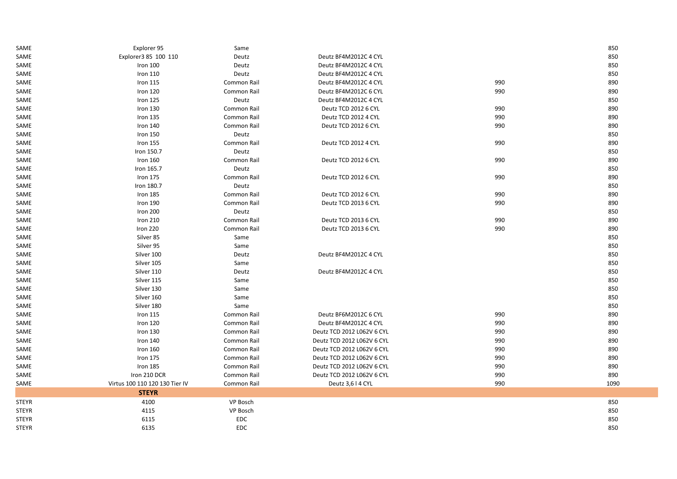| SAME         | Explorer 95                    | Same        |                            |     | 850  |
|--------------|--------------------------------|-------------|----------------------------|-----|------|
| SAME         | Explorer3 85 100 110           | Deutz       | Deutz BF4M2012C 4 CYL      |     | 850  |
| SAME         | Iron 100                       | Deutz       | Deutz BF4M2012C 4 CYL      |     | 850  |
| SAME         | Iron 110                       | Deutz       | Deutz BF4M2012C 4 CYL      |     | 850  |
| SAME         | Iron 115                       | Common Rail | Deutz BF4M2012C 4 CYL      | 990 | 890  |
| SAME         | Iron 120                       | Common Rail | Deutz BF4M2012C 6 CYL      | 990 | 890  |
| SAME         | Iron 125                       | Deutz       | Deutz BF4M2012C 4 CYL      |     | 850  |
| SAME         | Iron 130                       | Common Rail | Deutz TCD 2012 6 CYL       | 990 | 890  |
| SAME         | Iron 135                       | Common Rail | Deutz TCD 2012 4 CYL       | 990 | 890  |
| SAME         | Iron 140                       | Common Rail | Deutz TCD 2012 6 CYL       | 990 | 890  |
| SAME         | <b>Iron 150</b>                | Deutz       |                            |     | 850  |
| SAME         | Iron 155                       | Common Rail | Deutz TCD 2012 4 CYL       | 990 | 890  |
| SAME         | Iron 150.7                     | Deutz       |                            |     | 850  |
| SAME         | Iron 160                       | Common Rail | Deutz TCD 2012 6 CYL       | 990 | 890  |
| SAME         | Iron 165.7                     | Deutz       |                            |     | 850  |
| SAME         | Iron 175                       | Common Rail | Deutz TCD 2012 6 CYL       | 990 | 890  |
| SAME         | Iron 180.7                     | Deutz       |                            |     | 850  |
| SAME         | <b>Iron 185</b>                | Common Rail | Deutz TCD 2012 6 CYL       | 990 | 890  |
| SAME         | Iron 190                       | Common Rail | Deutz TCD 2013 6 CYL       | 990 | 890  |
| SAME         | Iron 200                       | Deutz       |                            |     | 850  |
| SAME         | <b>Iron 210</b>                | Common Rail | Deutz TCD 2013 6 CYL       | 990 | 890  |
| SAME         | Iron 220                       | Common Rail | Deutz TCD 2013 6 CYL       | 990 | 890  |
| SAME         | Silver 85                      | Same        |                            |     | 850  |
| SAME         | Silver 95                      | Same        |                            |     | 850  |
| SAME         | Silver 100                     | Deutz       | Deutz BF4M2012C 4 CYL      |     | 850  |
| SAME         | Silver 105                     | Same        |                            |     | 850  |
| SAME         | Silver 110                     | Deutz       | Deutz BF4M2012C 4 CYL      |     | 850  |
| SAME         | Silver 115                     | Same        |                            |     | 850  |
| SAME         | Silver 130                     | Same        |                            |     | 850  |
| SAME         | Silver 160                     | Same        |                            |     | 850  |
| SAME         | Silver 180                     | Same        |                            |     | 850  |
| SAME         | Iron 115                       | Common Rail | Deutz BF6M2012C 6 CYL      | 990 | 890  |
| SAME         | Iron 120                       | Common Rail | Deutz BF4M2012C 4 CYL      | 990 | 890  |
| SAME         | Iron 130                       | Common Rail | Deutz TCD 2012 L062V 6 CYL | 990 | 890  |
| SAME         | Iron 140                       | Common Rail | Deutz TCD 2012 L062V 6 CYL | 990 | 890  |
| SAME         | <b>Iron 160</b>                | Common Rail | Deutz TCD 2012 L062V 6 CYL | 990 | 890  |
| SAME         | Iron 175                       | Common Rail | Deutz TCD 2012 L062V 6 CYL | 990 | 890  |
| SAME         | Iron 185                       | Common Rail | Deutz TCD 2012 L062V 6 CYL | 990 | 890  |
| SAME         | Iron 210 DCR                   | Common Rail | Deutz TCD 2012 L062V 6 CYL | 990 | 890  |
| SAME         | Virtus 100 110 120 130 Tier IV | Common Rail | Deutz 3,6 I 4 CYL          | 990 | 1090 |
|              | <b>STEYR</b>                   |             |                            |     |      |
| <b>STEYR</b> | 4100                           | VP Bosch    |                            |     | 850  |
| <b>STEYR</b> | 4115                           | VP Bosch    |                            |     | 850  |
| <b>STEYR</b> | 6115                           | EDC         |                            |     | 850  |
| <b>STEYR</b> | 6135                           | EDC         |                            |     | 850  |
|              |                                |             |                            |     |      |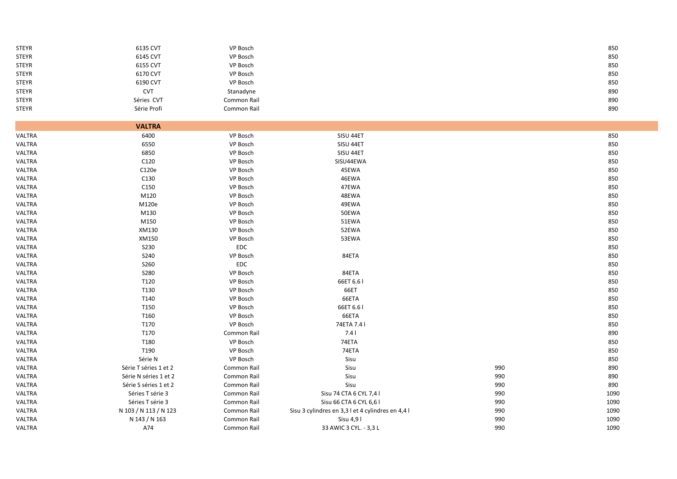| <b>STEYR</b> | 6135 CVT              | VP Bosch    |                                                   |     | 850  |
|--------------|-----------------------|-------------|---------------------------------------------------|-----|------|
| <b>STEYR</b> | 6145 CVT              | VP Bosch    |                                                   |     | 850  |
| <b>STEYR</b> | 6155 CVT              | VP Bosch    |                                                   |     | 850  |
| <b>STEYR</b> | 6170 CVT              | VP Bosch    |                                                   |     | 850  |
| <b>STEYR</b> | 6190 CVT              | VP Bosch    |                                                   |     | 850  |
| <b>STEYR</b> | <b>CVT</b>            | Stanadyne   |                                                   |     | 890  |
| <b>STEYR</b> | Séries CVT            | Common Rail |                                                   |     | 890  |
| STEYR        | Série Profi           | Common Rail |                                                   |     | 890  |
|              |                       |             |                                                   |     |      |
|              | <b>VALTRA</b>         |             |                                                   |     |      |
| VALTRA       | 6400                  | VP Bosch    | SISU 44ET                                         |     | 850  |
| VALTRA       | 6550                  | VP Bosch    | SISU 44ET                                         |     | 850  |
| VALTRA       | 6850                  | VP Bosch    | SISU 44ET                                         |     | 850  |
| VALTRA       | C120                  | VP Bosch    | SISU44EWA                                         |     | 850  |
| VALTRA       | C120e                 | VP Bosch    | 45EWA                                             |     | 850  |
| VALTRA       | C130                  | VP Bosch    | 46EWA                                             |     | 850  |
| VALTRA       | C150                  | VP Bosch    | 47EWA                                             |     | 850  |
| VALTRA       | M120                  | VP Bosch    | 48EWA                                             |     | 850  |
| VALTRA       | M120e                 | VP Bosch    | 49EWA                                             |     | 850  |
| VALTRA       | M130                  | VP Bosch    | 50EWA                                             |     | 850  |
| VALTRA       | M150                  | VP Bosch    | 51EWA                                             |     | 850  |
| VALTRA       | XM130                 | VP Bosch    | 52EWA                                             |     | 850  |
| VALTRA       | XM150                 | VP Bosch    | 53EWA                                             |     | 850  |
| VALTRA       | S230                  | <b>EDC</b>  |                                                   |     | 850  |
| VALTRA       | S240                  | VP Bosch    | 84ETA                                             |     | 850  |
| VALTRA       | S260                  | <b>EDC</b>  |                                                   |     | 850  |
| VALTRA       | S280                  | VP Bosch    | 84ETA                                             |     | 850  |
| VALTRA       | T120                  | VP Bosch    | 66ET 6.6 I                                        |     | 850  |
| VALTRA       | T130                  | VP Bosch    | 66ET                                              |     | 850  |
| VALTRA       | T140                  | VP Bosch    | 66ETA                                             |     | 850  |
| VALTRA       | T150                  | VP Bosch    | 66ET 6.61                                         |     | 850  |
| VALTRA       | T160                  | VP Bosch    | 66ETA                                             |     | 850  |
| VALTRA       | T170                  | VP Bosch    | 74ETA 7.41                                        |     | 850  |
| VALTRA       | T170                  | Common Rail | 7.4                                               |     | 890  |
| VALTRA       | T180                  | VP Bosch    | 74ETA                                             |     | 850  |
| VALTRA       | T190                  | VP Bosch    | 74ETA                                             |     | 850  |
| VALTRA       | Série N               | VP Bosch    | Sisu                                              |     | 850  |
| VALTRA       | Série T séries 1 et 2 | Common Rail | Sisu                                              | 990 | 890  |
| VALTRA       | Série N séries 1 et 2 | Common Rail | Sisu                                              | 990 | 890  |
| VALTRA       | Série S séries 1 et 2 | Common Rail | Sisu                                              | 990 | 890  |
| VALTRA       | Séries T série 3      | Common Rail | Sisu 74 CTA 6 CYL 7,4 I                           | 990 | 1090 |
| VALTRA       | Séries T série 3      | Common Rail | Sisu 66 CTA 6 CYL 6,6 I                           | 990 | 1090 |
| VALTRA       | N 103 / N 113 / N 123 | Common Rail | Sisu 3 cylindres en 3,3 l et 4 cylindres en 4,4 l | 990 | 1090 |
| VALTRA       | N 143 / N 163         | Common Rail | Sisu 4,91                                         | 990 | 1090 |
| VALTRA       | A74                   | Common Rail | 33 AWIC 3 CYL. - 3,3 L                            | 990 | 1090 |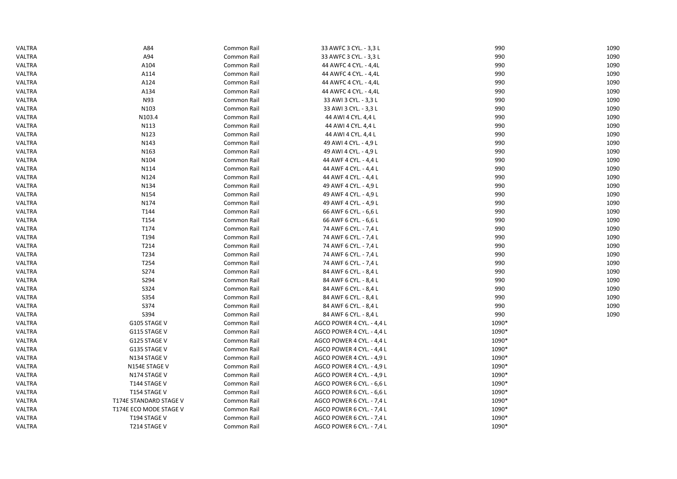| VALTRA        | A84                    | Common Rail | 33 AWFC 3 CYL. - 3,3 L    | 990   | 1090 |
|---------------|------------------------|-------------|---------------------------|-------|------|
| VALTRA        | A94                    | Common Rail | 33 AWFC 3 CYL. - 3,3 L    | 990   | 1090 |
| VALTRA        | A104                   | Common Rail | 44 AWFC 4 CYL. - 4,4L     | 990   | 1090 |
| VALTRA        | A114                   | Common Rail | 44 AWFC 4 CYL. - 4,4L     | 990   | 1090 |
| VALTRA        | A124                   | Common Rail | 44 AWFC 4 CYL. - 4,4L     | 990   | 1090 |
| VALTRA        | A134                   | Common Rail | 44 AWFC 4 CYL. - 4,4L     | 990   | 1090 |
| VALTRA        | N93                    | Common Rail | 33 AWI 3 CYL. - 3,3 L     | 990   | 1090 |
| VALTRA        | N <sub>10</sub> 3      | Common Rail | 33 AWI 3 CYL. - 3,3 L     | 990   | 1090 |
| VALTRA        | N103.4                 | Common Rail | 44 AWI 4 CYL. 4,4 L       | 990   | 1090 |
| VALTRA        | N113                   | Common Rail | 44 AWI 4 CYL. 4,4 L       | 990   | 1090 |
| VALTRA        | N123                   | Common Rail | 44 AWI 4 CYL. 4,4 L       | 990   | 1090 |
| VALTRA        | N143                   | Common Rail | 49 AWI 4 CYL. - 4,9 L     | 990   | 1090 |
| VALTRA        | N163                   | Common Rail | 49 AWI 4 CYL. - 4,9 L     | 990   | 1090 |
| VALTRA        | N104                   | Common Rail | 44 AWF 4 CYL. - 4,4 L     | 990   | 1090 |
| VALTRA        | N114                   | Common Rail | 44 AWF 4 CYL. - 4,4 L     | 990   | 1090 |
| <b>VALTRA</b> | N124                   | Common Rail | 44 AWF 4 CYL. - 4,4 L     | 990   | 1090 |
| VALTRA        | N134                   | Common Rail | 49 AWF 4 CYL. - 4,9 L     | 990   | 1090 |
| VALTRA        | N154                   | Common Rail | 49 AWF 4 CYL. - 4,9 L     | 990   | 1090 |
| VALTRA        | N174                   | Common Rail | 49 AWF 4 CYL. - 4,9 L     | 990   | 1090 |
| VALTRA        | T144                   | Common Rail | 66 AWF 6 CYL. - 6,6 L     | 990   | 1090 |
| <b>VALTRA</b> | T154                   | Common Rail | 66 AWF 6 CYL. - 6,6 L     | 990   | 1090 |
| <b>VALTRA</b> | T174                   | Common Rail | 74 AWF 6 CYL. - 7,4 L     | 990   | 1090 |
| VALTRA        | T194                   | Common Rail | 74 AWF 6 CYL. - 7,4 L     | 990   | 1090 |
| VALTRA        | T214                   | Common Rail | 74 AWF 6 CYL. - 7,4 L     | 990   | 1090 |
| VALTRA        | T234                   | Common Rail | 74 AWF 6 CYL. - 7,4 L     | 990   | 1090 |
| VALTRA        | T254                   | Common Rail | 74 AWF 6 CYL. - 7,4 L     | 990   | 1090 |
| <b>VALTRA</b> | S274                   | Common Rail | 84 AWF 6 CYL. - 8,4 L     | 990   | 1090 |
| VALTRA        | S294                   | Common Rail | 84 AWF 6 CYL. - 8,4 L     | 990   | 1090 |
| VALTRA        | S324                   | Common Rail | 84 AWF 6 CYL. - 8,4 L     | 990   | 1090 |
| VALTRA        | S354                   | Common Rail | 84 AWF 6 CYL. - 8,4 L     | 990   | 1090 |
| VALTRA        | S374                   | Common Rail | 84 AWF 6 CYL. - 8,4 L     | 990   | 1090 |
| VALTRA        | S394                   | Common Rail | 84 AWF 6 CYL. - 8,4 L     | 990   | 1090 |
| VALTRA        | G105 STAGE V           | Common Rail | AGCO POWER 4 CYL. - 4,4 L | 1090* |      |
| VALTRA        | G115 STAGE V           | Common Rail | AGCO POWER 4 CYL. - 4,4 L | 1090* |      |
| VALTRA        | G125 STAGE V           | Common Rail | AGCO POWER 4 CYL. - 4,4 L | 1090* |      |
| VALTRA        | G135 STAGE V           | Common Rail | AGCO POWER 4 CYL. - 4,4 L | 1090* |      |
| VALTRA        | N134 STAGE V           | Common Rail | AGCO POWER 4 CYL. - 4,9 L | 1090* |      |
| VALTRA        | N154E STAGE V          | Common Rail | AGCO POWER 4 CYL. - 4,9 L | 1090* |      |
| VALTRA        | N174 STAGE V           | Common Rail | AGCO POWER 4 CYL. - 4,9 L | 1090* |      |
| <b>VALTRA</b> | T144 STAGE V           | Common Rail | AGCO POWER 6 CYL. - 6,6 L | 1090* |      |
| VALTRA        | T154 STAGE V           | Common Rail | AGCO POWER 6 CYL. - 6,6 L | 1090* |      |
| VALTRA        | T174E STANDARD STAGE V | Common Rail | AGCO POWER 6 CYL. - 7,4 L | 1090* |      |
| VALTRA        | T174E ECO MODE STAGE V | Common Rail | AGCO POWER 6 CYL. - 7,4 L | 1090* |      |
| VALTRA        | T194 STAGE V           | Common Rail | AGCO POWER 6 CYL. - 7,4 L | 1090* |      |
| VALTRA        | T214 STAGE V           | Common Rail | AGCO POWER 6 CYL. - 7,4 L | 1090* |      |